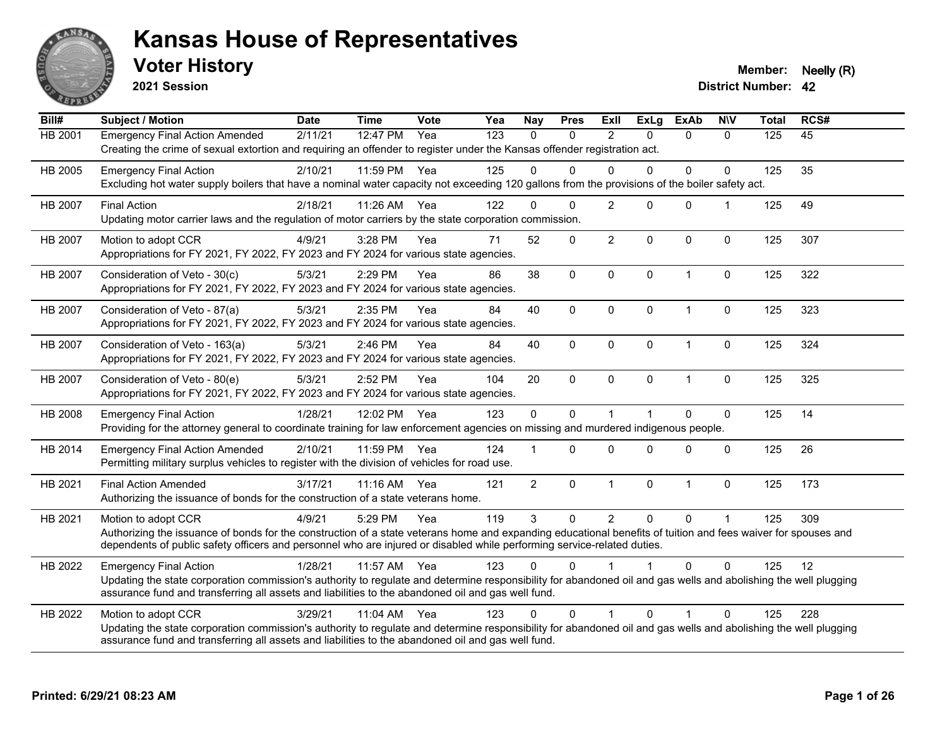

**2021 Session**

**Voter History Member: Neelly (R)** 

| Bill#          | Subject / Motion                                                                                                                                                                                                                                                                                                | <b>Date</b> | <b>Time</b> | <b>Vote</b> | Yea | <b>Nay</b>     | <b>Pres</b>  | ExII           | <b>ExLg</b>  | <b>ExAb</b>             | <b>NIV</b>   | <b>Total</b> | RCS# |
|----------------|-----------------------------------------------------------------------------------------------------------------------------------------------------------------------------------------------------------------------------------------------------------------------------------------------------------------|-------------|-------------|-------------|-----|----------------|--------------|----------------|--------------|-------------------------|--------------|--------------|------|
| <b>HB 2001</b> | <b>Emergency Final Action Amended</b><br>Creating the crime of sexual extortion and requiring an offender to register under the Kansas offender registration act.                                                                                                                                               | 2/11/21     | 12:47 PM    | Yea         | 123 | $\mathbf{0}$   | $\mathbf{0}$ | 2              | $\Omega$     | $\mathbf{0}$            | $\mathbf{0}$ | 125          | 45   |
| HB 2005        | <b>Emergency Final Action</b><br>Excluding hot water supply boilers that have a nominal water capacity not exceeding 120 gallons from the provisions of the boiler safety act.                                                                                                                                  | 2/10/21     | 11:59 PM    | Yea         | 125 | $\Omega$       | $\Omega$     | $\Omega$       | $\Omega$     | $\mathbf 0$             | $\mathbf 0$  | 125          | 35   |
| HB 2007        | <b>Final Action</b><br>Updating motor carrier laws and the regulation of motor carriers by the state corporation commission.                                                                                                                                                                                    | 2/18/21     | 11:26 AM    | Yea         | 122 | $\Omega$       | $\Omega$     | $\overline{2}$ | $\Omega$     | $\Omega$                | 1            | 125          | 49   |
| HB 2007        | Motion to adopt CCR<br>Appropriations for FY 2021, FY 2022, FY 2023 and FY 2024 for various state agencies.                                                                                                                                                                                                     | 4/9/21      | 3:28 PM     | Yea         | 71  | 52             | $\Omega$     | $\overline{2}$ | $\Omega$     | $\mathbf 0$             | $\mathbf{0}$ | 125          | 307  |
| <b>HB 2007</b> | Consideration of Veto - 30(c)<br>Appropriations for FY 2021, FY 2022, FY 2023 and FY 2024 for various state agencies.                                                                                                                                                                                           | 5/3/21      | 2:29 PM     | Yea         | 86  | 38             | $\mathbf 0$  | $\mathbf 0$    | $\mathbf 0$  | $\overline{1}$          | $\mathbf 0$  | 125          | 322  |
| HB 2007        | Consideration of Veto - 87(a)<br>Appropriations for FY 2021, FY 2022, FY 2023 and FY 2024 for various state agencies.                                                                                                                                                                                           | 5/3/21      | 2:35 PM     | Yea         | 84  | 40             | 0            | $\mathbf 0$    | $\mathbf 0$  | $\mathbf{1}$            | 0            | 125          | 323  |
| <b>HB 2007</b> | Consideration of Veto - 163(a)<br>Appropriations for FY 2021, FY 2022, FY 2023 and FY 2024 for various state agencies.                                                                                                                                                                                          | 5/3/21      | 2:46 PM     | Yea         | 84  | 40             | 0            | $\mathbf{0}$   | $\mathbf 0$  | $\mathbf{1}$            | $\mathbf 0$  | 125          | 324  |
| HB 2007        | Consideration of Veto - 80(e)<br>Appropriations for FY 2021, FY 2022, FY 2023 and FY 2024 for various state agencies.                                                                                                                                                                                           | 5/3/21      | 2:52 PM     | Yea         | 104 | 20             | $\mathbf 0$  | $\mathbf 0$    | $\mathbf 0$  | $\mathbf{1}$            | 0            | 125          | 325  |
| HB 2008        | <b>Emergency Final Action</b><br>Providing for the attorney general to coordinate training for law enforcement agencies on missing and murdered indigenous people.                                                                                                                                              | 1/28/21     | 12:02 PM    | Yea         | 123 | $\mathbf 0$    | $\Omega$     | 1              |              | $\Omega$                | 0            | 125          | 14   |
| HB 2014        | <b>Emergency Final Action Amended</b><br>Permitting military surplus vehicles to register with the division of vehicles for road use.                                                                                                                                                                           | 2/10/21     | 11:59 PM    | Yea         | 124 |                | $\Omega$     | $\Omega$       | $\Omega$     | $\Omega$                | $\mathbf{0}$ | 125          | 26   |
| HB 2021        | <b>Final Action Amended</b><br>Authorizing the issuance of bonds for the construction of a state veterans home.                                                                                                                                                                                                 | 3/17/21     | $11:16$ AM  | Yea         | 121 | $\overline{2}$ | 0            | $\mathbf{1}$   | $\mathbf 0$  | $\overline{1}$          | $\mathbf 0$  | 125          | 173  |
| HB 2021        | Motion to adopt CCR<br>Authorizing the issuance of bonds for the construction of a state veterans home and expanding educational benefits of tuition and fees waiver for spouses and<br>dependents of public safety officers and personnel who are injured or disabled while performing service-related duties. | 4/9/21      | 5:29 PM     | Yea         | 119 | 3              | $\mathbf 0$  | $\overline{2}$ | $\mathbf{0}$ | $\mathbf{0}$            | $\mathbf{1}$ | 125          | 309  |
| HB 2022        | <b>Emergency Final Action</b><br>Updating the state corporation commission's authority to regulate and determine responsibility for abandoned oil and gas wells and abolishing the well plugging<br>assurance fund and transferring all assets and liabilities to the abandoned oil and gas well fund.          | 1/28/21     | 11:57 AM    | Yea         | 123 | $\Omega$       | 0            |                |              | $\Omega$                | $\mathbf{0}$ | 125          | 12   |
| HB 2022        | Motion to adopt CCR<br>Updating the state corporation commission's authority to regulate and determine responsibility for abandoned oil and gas wells and abolishing the well plugging<br>assurance fund and transferring all assets and liabilities to the abandoned oil and gas well fund.                    | 3/29/21     | $11:04$ AM  | Yea         | 123 | $\Omega$       | 0            | $\mathbf 1$    | $\Omega$     | $\overline{\mathbf{1}}$ | $\Omega$     | 125          | 228  |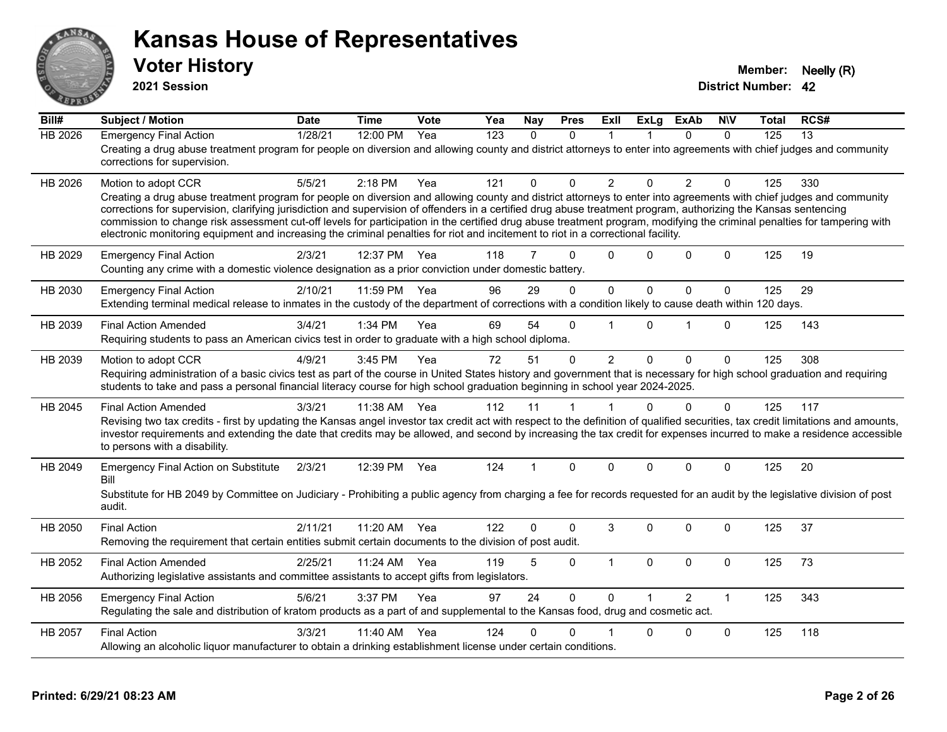

**2021 Session**

| Bill#          | <b>Subject / Motion</b>                                                                                                                                                                                                                                                                                                                                                                                                                                                                                                                                                                                                                                                         | <b>Date</b> | <b>Time</b> | Vote | Yea | Nay            | <b>Pres</b> | ExIl           | <b>ExLg</b>  | <b>ExAb</b>    | <b>NIV</b>   | Total | RCS# |
|----------------|---------------------------------------------------------------------------------------------------------------------------------------------------------------------------------------------------------------------------------------------------------------------------------------------------------------------------------------------------------------------------------------------------------------------------------------------------------------------------------------------------------------------------------------------------------------------------------------------------------------------------------------------------------------------------------|-------------|-------------|------|-----|----------------|-------------|----------------|--------------|----------------|--------------|-------|------|
| <b>HB 2026</b> | <b>Emergency Final Action</b><br>Creating a drug abuse treatment program for people on diversion and allowing county and district attorneys to enter into agreements with chief judges and community<br>corrections for supervision.                                                                                                                                                                                                                                                                                                                                                                                                                                            | 1/28/21     | 12:00 PM    | Yea  | 123 | $\Omega$       | $\Omega$    | 1              |              | $\Omega$       | $\Omega$     | 125   | 13   |
| HB 2026        | Motion to adopt CCR<br>Creating a drug abuse treatment program for people on diversion and allowing county and district attorneys to enter into agreements with chief judges and community<br>corrections for supervision, clarifying jurisdiction and supervision of offenders in a certified drug abuse treatment program, authorizing the Kansas sentencing<br>commission to change risk assessment cut-off levels for participation in the certified drug abuse treatment program, modifying the criminal penalties for tampering with<br>electronic monitoring equipment and increasing the criminal penalties for riot and incitement to riot in a correctional facility. | 5/5/21      | 2:18 PM     | Yea  | 121 | 0              | $\Omega$    | $\overline{2}$ | $\Omega$     | $\overline{2}$ | $\Omega$     | 125   | 330  |
| HB 2029        | <b>Emergency Final Action</b><br>Counting any crime with a domestic violence designation as a prior conviction under domestic battery.                                                                                                                                                                                                                                                                                                                                                                                                                                                                                                                                          | 2/3/21      | 12:37 PM    | Yea  | 118 | $\overline{7}$ | $\Omega$    | $\Omega$       | $\Omega$     | $\Omega$       | $\Omega$     | 125   | 19   |
| HB 2030        | <b>Emergency Final Action</b><br>Extending terminal medical release to inmates in the custody of the department of corrections with a condition likely to cause death within 120 days.                                                                                                                                                                                                                                                                                                                                                                                                                                                                                          | 2/10/21     | 11:59 PM    | Yea  | 96  | 29             | 0           | $\mathbf 0$    | $\mathbf 0$  | 0              | $\mathbf 0$  | 125   | 29   |
| HB 2039        | <b>Final Action Amended</b><br>Requiring students to pass an American civics test in order to graduate with a high school diploma.                                                                                                                                                                                                                                                                                                                                                                                                                                                                                                                                              | 3/4/21      | 1:34 PM     | Yea  | 69  | 54             | $\Omega$    |                | $\Omega$     | 1              | $\Omega$     | 125   | 143  |
| HB 2039        | Motion to adopt CCR<br>Requiring administration of a basic civics test as part of the course in United States history and government that is necessary for high school graduation and requiring<br>students to take and pass a personal financial literacy course for high school graduation beginning in school year 2024-2025.                                                                                                                                                                                                                                                                                                                                                | 4/9/21      | 3:45 PM     | Yea  | 72  | 51             | $\Omega$    | $\overline{2}$ | $\mathbf{0}$ | 0              | $\mathbf{0}$ | 125   | 308  |
| HB 2045        | <b>Final Action Amended</b><br>Revising two tax credits - first by updating the Kansas angel investor tax credit act with respect to the definition of qualified securities, tax credit limitations and amounts,<br>investor requirements and extending the date that credits may be allowed, and second by increasing the tax credit for expenses incurred to make a residence accessible<br>to persons with a disability.                                                                                                                                                                                                                                                     | 3/3/21      | 11:38 AM    | Yea  | 112 | 11             | 1           |                | $\Omega$     | $\Omega$       | $\Omega$     | 125   | 117  |
| HB 2049        | <b>Emergency Final Action on Substitute</b><br>Bill<br>Substitute for HB 2049 by Committee on Judiciary - Prohibiting a public agency from charging a fee for records requested for an audit by the legislative division of post<br>audit.                                                                                                                                                                                                                                                                                                                                                                                                                                      | 2/3/21      | 12:39 PM    | Yea  | 124 | 1              | $\Omega$    | $\Omega$       | $\Omega$     | $\Omega$       | $\Omega$     | 125   | 20   |
| HB 2050        | <b>Final Action</b><br>Removing the requirement that certain entities submit certain documents to the division of post audit.                                                                                                                                                                                                                                                                                                                                                                                                                                                                                                                                                   | 2/11/21     | 11:20 AM    | Yea  | 122 | $\Omega$       | $\Omega$    | 3              | $\Omega$     | $\Omega$       | $\Omega$     | 125   | 37   |
| HB 2052        | <b>Final Action Amended</b><br>Authorizing legislative assistants and committee assistants to accept gifts from legislators.                                                                                                                                                                                                                                                                                                                                                                                                                                                                                                                                                    | 2/25/21     | 11:24 AM    | Yea  | 119 | 5              | $\mathbf 0$ | $\mathbf{1}$   | 0            | 0              | $\mathbf 0$  | 125   | 73   |
| HB 2056        | <b>Emergency Final Action</b><br>Regulating the sale and distribution of kratom products as a part of and supplemental to the Kansas food, drug and cosmetic act.                                                                                                                                                                                                                                                                                                                                                                                                                                                                                                               | 5/6/21      | 3:37 PM     | Yea  | 97  | 24             | $\mathbf 0$ | $\Omega$       |              | $\overline{2}$ | $\mathbf{1}$ | 125   | 343  |
| HB 2057        | <b>Final Action</b><br>Allowing an alcoholic liquor manufacturer to obtain a drinking establishment license under certain conditions.                                                                                                                                                                                                                                                                                                                                                                                                                                                                                                                                           | 3/3/21      | 11:40 AM    | Yea  | 124 | 0              | $\Omega$    |                | $\Omega$     | $\Omega$       | $\mathbf{0}$ | 125   | 118  |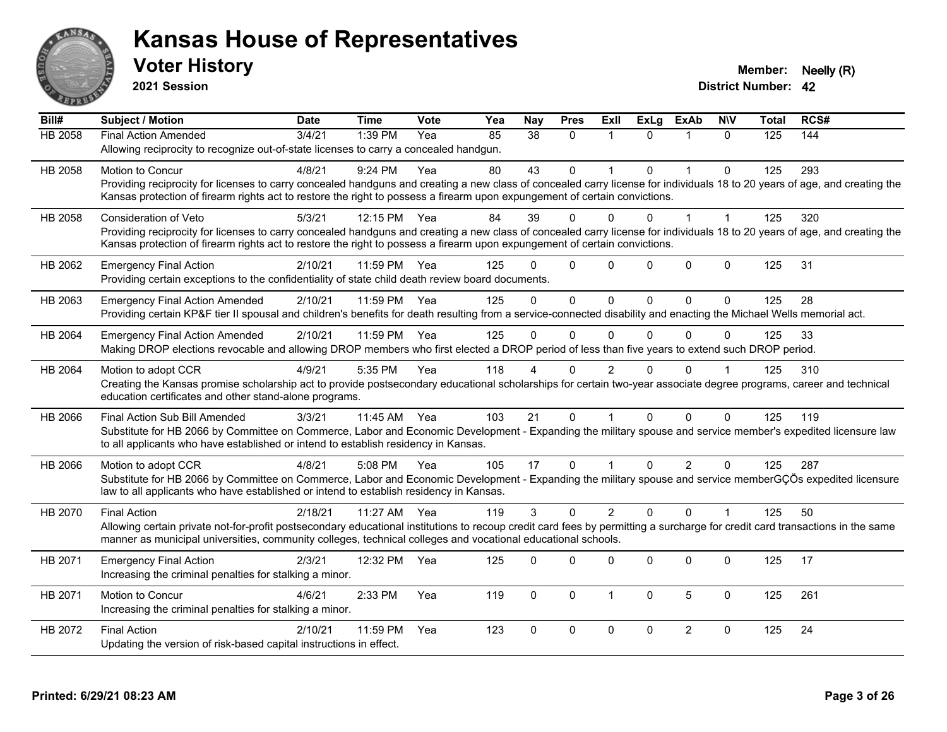

**2021 Session**

| Bill#   | Subject / Motion                                                                                                                                                             | <b>Date</b> | <b>Time</b> | Vote | Yea | <b>Nay</b> | <b>Pres</b>  | <b>ExII</b>    | <b>ExLg</b> | <b>ExAb</b>    | <b>NIV</b>   | <b>Total</b> | RCS# |
|---------|------------------------------------------------------------------------------------------------------------------------------------------------------------------------------|-------------|-------------|------|-----|------------|--------------|----------------|-------------|----------------|--------------|--------------|------|
| HB 2058 | <b>Final Action Amended</b>                                                                                                                                                  | 3/4/21      | 1:39 PM     | Yea  | 85  | 38         | $\mathbf{0}$ | 1              | $\Omega$    | 1              | $\Omega$     | 125          | 144  |
|         | Allowing reciprocity to recognize out-of-state licenses to carry a concealed handgun.                                                                                        |             |             |      |     |            |              |                |             |                |              |              |      |
| HB 2058 | Motion to Concur                                                                                                                                                             | 4/8/21      | 9:24 PM     | Yea  | 80  | 43         | $\mathbf{0}$ | 1              | $\Omega$    | 1              | $\Omega$     | 125          | 293  |
|         | Providing reciprocity for licenses to carry concealed handguns and creating a new class of concealed carry license for individuals 18 to 20 years of age, and creating the   |             |             |      |     |            |              |                |             |                |              |              |      |
|         | Kansas protection of firearm rights act to restore the right to possess a firearm upon expungement of certain convictions.                                                   |             |             |      |     |            |              |                |             |                |              |              |      |
| HB 2058 | <b>Consideration of Veto</b>                                                                                                                                                 | 5/3/21      | 12:15 PM    | Yea  | 84  | 39         | $\Omega$     | 0              | $\Omega$    | $\overline{1}$ | 1            | 125          | 320  |
|         | Providing reciprocity for licenses to carry concealed handguns and creating a new class of concealed carry license for individuals 18 to 20 years of age, and creating the   |             |             |      |     |            |              |                |             |                |              |              |      |
|         | Kansas protection of firearm rights act to restore the right to possess a firearm upon expungement of certain convictions.                                                   |             |             |      |     |            |              |                |             |                |              |              |      |
| HB 2062 | <b>Emergency Final Action</b>                                                                                                                                                | 2/10/21     | 11:59 PM    | Yea  | 125 | 0          | $\Omega$     | 0              | $\Omega$    | $\Omega$       | $\mathbf 0$  | 125          | 31   |
|         | Providing certain exceptions to the confidentiality of state child death review board documents.                                                                             |             |             |      |     |            |              |                |             |                |              |              |      |
| HB 2063 | <b>Emergency Final Action Amended</b>                                                                                                                                        | 2/10/21     | 11:59 PM    | Yea  | 125 | $\Omega$   | $\Omega$     | $\Omega$       | $\Omega$    | $\Omega$       | $\Omega$     | 125          | 28   |
|         | Providing certain KP&F tier II spousal and children's benefits for death resulting from a service-connected disability and enacting the Michael Wells memorial act.          |             |             |      |     |            |              |                |             |                |              |              |      |
| HB 2064 | <b>Emergency Final Action Amended</b>                                                                                                                                        | 2/10/21     | 11:59 PM    | Yea  | 125 | $\Omega$   | $\Omega$     | $\Omega$       | $\Omega$    | $\Omega$       | 0            | 125          | 33   |
|         | Making DROP elections revocable and allowing DROP members who first elected a DROP period of less than five years to extend such DROP period.                                |             |             |      |     |            |              |                |             |                |              |              |      |
| HB 2064 | Motion to adopt CCR                                                                                                                                                          | 4/9/21      | 5:35 PM     | Yea  | 118 |            | 0            | 2              |             | $\Omega$       |              | 125          | 310  |
|         | Creating the Kansas promise scholarship act to provide postsecondary educational scholarships for certain two-year associate degree programs, career and technical           |             |             |      |     |            |              |                |             |                |              |              |      |
|         | education certificates and other stand-alone programs.                                                                                                                       |             |             |      |     |            |              |                |             |                |              |              |      |
| HB 2066 | Final Action Sub Bill Amended                                                                                                                                                | 3/3/21      | 11:45 AM    | Yea  | 103 | 21         | $\Omega$     | 1              | $\Omega$    | $\Omega$       | $\Omega$     | 125          | 119  |
|         | Substitute for HB 2066 by Committee on Commerce, Labor and Economic Development - Expanding the military spouse and service member's expedited licensure law                 |             |             |      |     |            |              |                |             |                |              |              |      |
|         | to all applicants who have established or intend to establish residency in Kansas.                                                                                           |             |             |      |     |            |              |                |             |                |              |              |      |
| HB 2066 | Motion to adopt CCR                                                                                                                                                          | 4/8/21      | 5:08 PM     | Yea  | 105 | 17         | $\mathbf{0}$ | 1              | $\Omega$    | $\overline{2}$ | 0            | 125          | 287  |
|         | Substitute for HB 2066 by Committee on Commerce, Labor and Economic Development - Expanding the military spouse and service memberGÇÖs expedited licensure                   |             |             |      |     |            |              |                |             |                |              |              |      |
|         | law to all applicants who have established or intend to establish residency in Kansas.                                                                                       |             |             |      |     |            |              |                |             |                |              |              |      |
| HB 2070 | <b>Final Action</b>                                                                                                                                                          | 2/18/21     | 11:27 AM    | Yea  | 119 | 3          | $\Omega$     | $\overline{2}$ | $\Omega$    | $\Omega$       |              | 125          | 50   |
|         | Allowing certain private not-for-profit postsecondary educational institutions to recoup credit card fees by permitting a surcharge for credit card transactions in the same |             |             |      |     |            |              |                |             |                |              |              |      |
|         | manner as municipal universities, community colleges, technical colleges and vocational educational schools.                                                                 |             |             |      |     |            |              |                |             |                |              |              |      |
| HB 2071 | <b>Emergency Final Action</b>                                                                                                                                                | 2/3/21      | 12:32 PM    | Yea  | 125 | $\Omega$   | $\Omega$     | 0              | $\Omega$    | 0              | $\mathbf{0}$ | 125          | 17   |
|         | Increasing the criminal penalties for stalking a minor.                                                                                                                      |             |             |      |     |            |              |                |             |                |              |              |      |
| HB 2071 | Motion to Concur                                                                                                                                                             | 4/6/21      | 2:33 PM     | Yea  | 119 | $\Omega$   | $\mathbf{0}$ | 1              | $\Omega$    | 5              | $\Omega$     | 125          | 261  |
|         | Increasing the criminal penalties for stalking a minor.                                                                                                                      |             |             |      |     |            |              |                |             |                |              |              |      |
| HB 2072 | <b>Final Action</b>                                                                                                                                                          | 2/10/21     | 11:59 PM    | Yea  | 123 | $\Omega$   | $\mathbf 0$  | $\mathbf 0$    | $\Omega$    | $\overline{2}$ | $\mathbf 0$  | 125          | 24   |
|         | Updating the version of risk-based capital instructions in effect.                                                                                                           |             |             |      |     |            |              |                |             |                |              |              |      |
|         |                                                                                                                                                                              |             |             |      |     |            |              |                |             |                |              |              |      |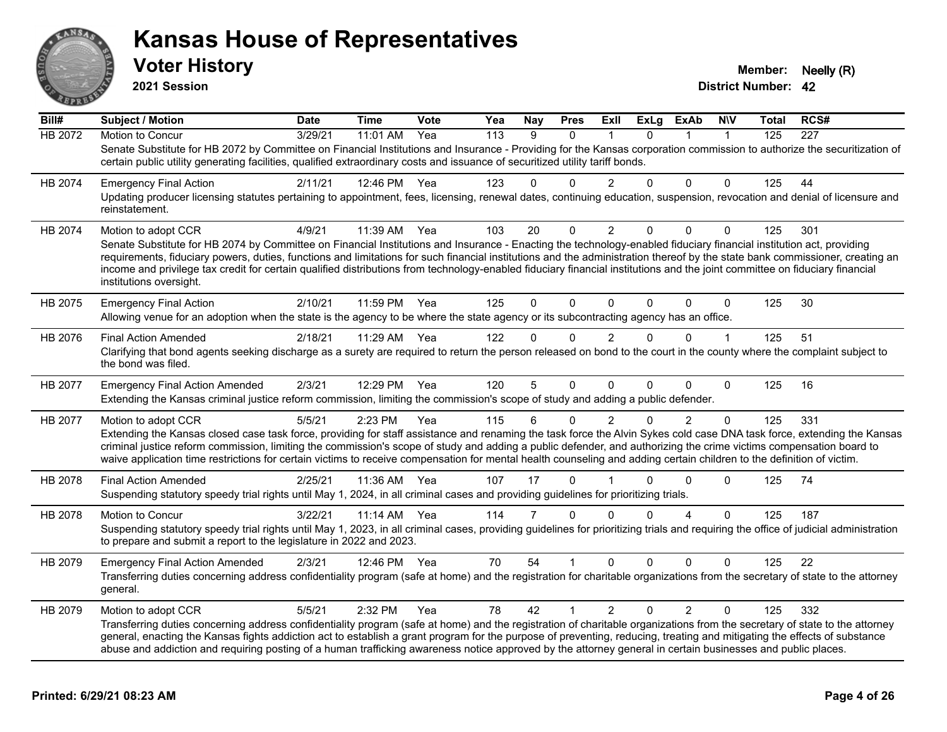

**2021 Session**

| Bill#          | Subject / Motion                                                                                                                                                                                                                                                                                                                                                                                                                                                                                                                                              | <b>Date</b> | <b>Time</b>  | Vote | Yea | <b>Nay</b>     | <b>Pres</b>    | ExII           | ExLg     | <b>ExAb</b>            | <b>NIV</b>   | Total | RCS#             |
|----------------|---------------------------------------------------------------------------------------------------------------------------------------------------------------------------------------------------------------------------------------------------------------------------------------------------------------------------------------------------------------------------------------------------------------------------------------------------------------------------------------------------------------------------------------------------------------|-------------|--------------|------|-----|----------------|----------------|----------------|----------|------------------------|--------------|-------|------------------|
| <b>HB 2072</b> | Motion to Concur                                                                                                                                                                                                                                                                                                                                                                                                                                                                                                                                              | 3/29/21     | 11:01 AM     | Yea  | 113 | 9              | $\Omega$       |                | $\Omega$ |                        | 1            | 125   | $\overline{227}$ |
|                | Senate Substitute for HB 2072 by Committee on Financial Institutions and Insurance - Providing for the Kansas corporation commission to authorize the securitization of<br>certain public utility generating facilities, qualified extraordinary costs and issuance of securitized utility tariff bonds.                                                                                                                                                                                                                                                      |             |              |      |     |                |                |                |          |                        |              |       |                  |
| HB 2074        | <b>Emergency Final Action</b>                                                                                                                                                                                                                                                                                                                                                                                                                                                                                                                                 | 2/11/21     | 12:46 PM Yea |      | 123 | 0              | $\Omega$       | 2              | $\Omega$ | $\Omega$               | 0            | 125   | 44               |
|                | Updating producer licensing statutes pertaining to appointment, fees, licensing, renewal dates, continuing education, suspension, revocation and denial of licensure and<br>reinstatement.                                                                                                                                                                                                                                                                                                                                                                    |             |              |      |     |                |                |                |          |                        |              |       |                  |
| HB 2074        | Motion to adopt CCR                                                                                                                                                                                                                                                                                                                                                                                                                                                                                                                                           | 4/9/21      | 11:39 AM     | Yea  | 103 | 20             | $\Omega$       | 2              | $\Omega$ | $\Omega$               | 0            | 125   | 301              |
|                | Senate Substitute for HB 2074 by Committee on Financial Institutions and Insurance - Enacting the technology-enabled fiduciary financial institution act, providing<br>requirements, fiduciary powers, duties, functions and limitations for such financial institutions and the administration thereof by the state bank commissioner, creating an<br>income and privilege tax credit for certain qualified distributions from technology-enabled fiduciary financial institutions and the joint committee on fiduciary financial<br>institutions oversight. |             |              |      |     |                |                |                |          |                        |              |       |                  |
| HB 2075        | <b>Emergency Final Action</b><br>Allowing venue for an adoption when the state is the agency to be where the state agency or its subcontracting agency has an office.                                                                                                                                                                                                                                                                                                                                                                                         | 2/10/21     | 11:59 PM     | Yea  | 125 | $\Omega$       | 0              | $\mathbf 0$    | $\Omega$ | 0                      | $\mathbf 0$  | 125   | 30               |
| HB 2076        | <b>Final Action Amended</b>                                                                                                                                                                                                                                                                                                                                                                                                                                                                                                                                   | 2/18/21     | 11:29 AM     | Yea  | 122 | $\Omega$       | $\Omega$       | 2              | $\Omega$ | $\Omega$               | $\mathbf 1$  | 125   | 51               |
|                | Clarifying that bond agents seeking discharge as a surety are required to return the person released on bond to the court in the county where the complaint subject to<br>the bond was filed.                                                                                                                                                                                                                                                                                                                                                                 |             |              |      |     |                |                |                |          |                        |              |       |                  |
| HB 2077        | <b>Emergency Final Action Amended</b>                                                                                                                                                                                                                                                                                                                                                                                                                                                                                                                         | 2/3/21      | 12:29 PM     | Yea  | 120 | 5              | 0              | $\Omega$       | $\Omega$ | 0                      | $\mathbf{0}$ | 125   | 16               |
|                | Extending the Kansas criminal justice reform commission, limiting the commission's scope of study and adding a public defender.                                                                                                                                                                                                                                                                                                                                                                                                                               |             |              |      |     |                |                |                |          |                        |              |       |                  |
| HB 2077        | Motion to adopt CCR                                                                                                                                                                                                                                                                                                                                                                                                                                                                                                                                           | 5/5/21      | 2:23 PM      | Yea  | 115 | 6              | $\mathbf{0}$   | 2              | $\Omega$ | $\overline{2}$         | $\Omega$     | 125   | 331              |
|                | Extending the Kansas closed case task force, providing for staff assistance and renaming the task force the Alvin Sykes cold case DNA task force, extending the Kansas<br>criminal justice reform commission, limiting the commission's scope of study and adding a public defender, and authorizing the crime victims compensation board to<br>waive application time restrictions for certain victims to receive compensation for mental health counseling and adding certain children to the definition of victim.                                         |             |              |      |     |                |                |                |          |                        |              |       |                  |
| HB 2078        | <b>Final Action Amended</b>                                                                                                                                                                                                                                                                                                                                                                                                                                                                                                                                   | 2/25/21     | 11:36 AM     | Yea  | 107 | 17             | $\Omega$       |                | 0        | $\Omega$               | 0            | 125   | 74               |
|                | Suspending statutory speedy trial rights until May 1, 2024, in all criminal cases and providing guidelines for prioritizing trials.                                                                                                                                                                                                                                                                                                                                                                                                                           |             |              |      |     |                |                |                |          |                        |              |       |                  |
| HB 2078        | Motion to Concur                                                                                                                                                                                                                                                                                                                                                                                                                                                                                                                                              | 3/22/21     | 11:14 AM     | Yea  | 114 | $\overline{7}$ | $\Omega$       | $\Omega$       | $\Omega$ | $\boldsymbol{\Lambda}$ | $\Omega$     | 125   | 187              |
|                | Suspending statutory speedy trial rights until May 1, 2023, in all criminal cases, providing guidelines for prioritizing trials and requiring the office of judicial administration<br>to prepare and submit a report to the legislature in 2022 and 2023.                                                                                                                                                                                                                                                                                                    |             |              |      |     |                |                |                |          |                        |              |       |                  |
| HB 2079        | <b>Emergency Final Action Amended</b>                                                                                                                                                                                                                                                                                                                                                                                                                                                                                                                         | 2/3/21      | 12:46 PM     | Yea  | 70  | 54             |                | $\mathbf{0}$   | 0        | $\Omega$               | 0            | 125   | 22               |
|                | Transferring duties concerning address confidentiality program (safe at home) and the registration for charitable organizations from the secretary of state to the attorney<br>general.                                                                                                                                                                                                                                                                                                                                                                       |             |              |      |     |                |                |                |          |                        |              |       |                  |
| HB 2079        | Motion to adopt CCR                                                                                                                                                                                                                                                                                                                                                                                                                                                                                                                                           | 5/5/21      | 2:32 PM      | Yea  | 78  | 42             | $\overline{1}$ | $\overline{2}$ | $\Omega$ | $\overline{2}$         | $\Omega$     | 125   | 332              |
|                | Transferring duties concerning address confidentiality program (safe at home) and the registration of charitable organizations from the secretary of state to the attorney<br>general, enacting the Kansas fights addiction act to establish a grant program for the purpose of preventing, reducing, treating and mitigating the effects of substance<br>abuse and addiction and requiring posting of a human trafficking awareness notice approved by the attorney general in certain businesses and public places.                                         |             |              |      |     |                |                |                |          |                        |              |       |                  |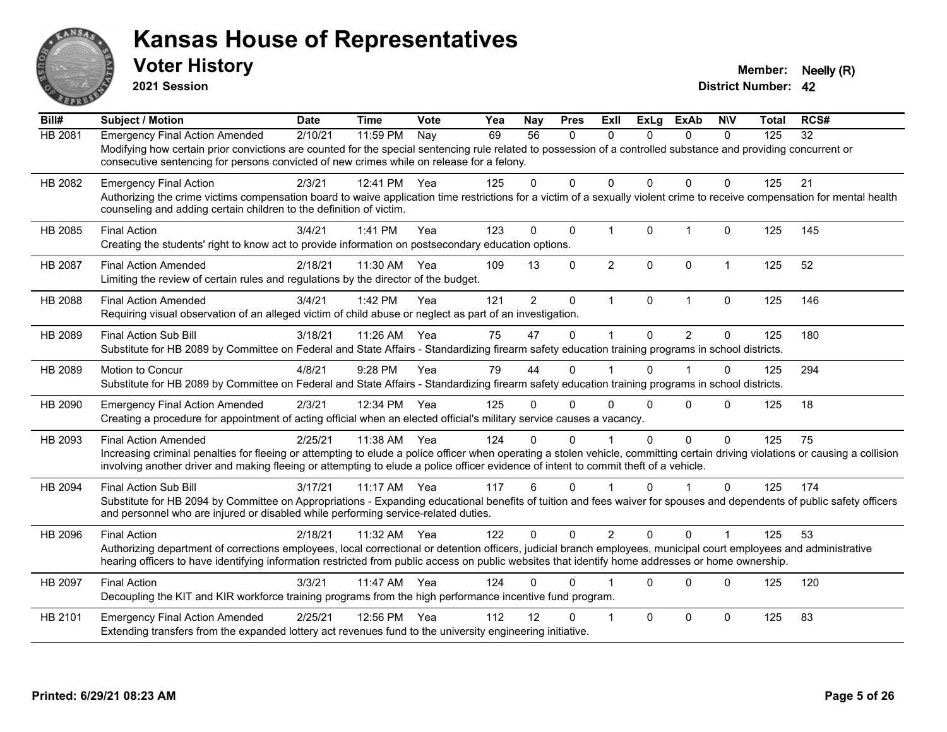

**2021 Session**

| Bill#          | <b>Subject / Motion</b>                                                                                                                                                                                                                                                                                                                                | <b>Date</b> | <b>Time</b> | Vote | Yea | Nay            | <b>Pres</b>  | <b>ExII</b>    | <b>ExLg</b>  | <b>ExAb</b>    | <b>NIV</b>           | <b>Total</b> | RCS# |
|----------------|--------------------------------------------------------------------------------------------------------------------------------------------------------------------------------------------------------------------------------------------------------------------------------------------------------------------------------------------------------|-------------|-------------|------|-----|----------------|--------------|----------------|--------------|----------------|----------------------|--------------|------|
| HB 2081        | <b>Emergency Final Action Amended</b><br>Modifying how certain prior convictions are counted for the special sentencing rule related to possession of a controlled substance and providing concurrent or<br>consecutive sentencing for persons convicted of new crimes while on release for a felony.                                                  | 2/10/21     | 11:59 PM    | Nay  | 69  | 56             | 0            | $\mathbf{0}$   | $\Omega$     | $\mathbf{0}$   | $\mathbf 0$          | 125          | 32   |
| HB 2082        | <b>Emergency Final Action</b><br>Authorizing the crime victims compensation board to waive application time restrictions for a victim of a sexually violent crime to receive compensation for mental health<br>counseling and adding certain children to the definition of victim.                                                                     | 2/3/21      | 12:41 PM    | Yea  | 125 | 0              | 0            | 0              | $\mathbf{0}$ | $\Omega$       | $\mathbf 0$          | 125          | 21   |
| HB 2085        | <b>Final Action</b><br>Creating the students' right to know act to provide information on postsecondary education options.                                                                                                                                                                                                                             | 3/4/21      | 1:41 PM     | Yea  | 123 | $\Omega$       | $\mathbf{0}$ | $\mathbf 1$    | $\Omega$     | $\mathbf{1}$   | $\Omega$             | 125          | 145  |
| <b>HB 2087</b> | <b>Final Action Amended</b><br>Limiting the review of certain rules and regulations by the director of the budget.                                                                                                                                                                                                                                     | 2/18/21     | 11:30 AM    | Yea  | 109 | 13             | 0            | $\overline{2}$ | $\mathbf 0$  | $\mathbf 0$    | $\mathbf{1}$         | 125          | 52   |
| <b>HB 2088</b> | <b>Final Action Amended</b><br>Requiring visual observation of an alleged victim of child abuse or neglect as part of an investigation.                                                                                                                                                                                                                | 3/4/21      | 1:42 PM     | Yea  | 121 | $\overline{2}$ | $\mathbf 0$  | $\mathbf 1$    | $\mathbf 0$  | $\mathbf{1}$   | $\mathbf 0$          | 125          | 146  |
| HB 2089        | <b>Final Action Sub Bill</b><br>Substitute for HB 2089 by Committee on Federal and State Affairs - Standardizing firearm safety education training programs in school districts.                                                                                                                                                                       | 3/18/21     | 11:26 AM    | Yea  | 75  | 47             | $\Omega$     | $\mathbf 1$    | $\Omega$     | $\overline{2}$ | 0                    | 125          | 180  |
| HB 2089        | Motion to Concur<br>Substitute for HB 2089 by Committee on Federal and State Affairs - Standardizing firearm safety education training programs in school districts.                                                                                                                                                                                   | 4/8/21      | 9:28 PM     | Yea  | 79  | 44             | $\Omega$     |                | $\Omega$     | 1              | $\mathbf{0}$         | 125          | 294  |
| HB 2090        | <b>Emergency Final Action Amended</b><br>Creating a procedure for appointment of acting official when an elected official's military service causes a vacancy.                                                                                                                                                                                         | 2/3/21      | 12:34 PM    | Yea  | 125 | 0              | 0            | $\Omega$       | $\Omega$     | $\Omega$       | $\Omega$             | 125          | 18   |
| HB 2093        | <b>Final Action Amended</b><br>Increasing criminal penalties for fleeing or attempting to elude a police officer when operating a stolen vehicle, committing certain driving violations or causing a collision<br>involving another driver and making fleeing or attempting to elude a police officer evidence of intent to commit theft of a vehicle. | 2/25/21     | 11:38 AM    | Yea  | 124 | $\Omega$       | $\Omega$     |                | $\Omega$     | $\Omega$       | $\Omega$             | 125          | 75   |
| HB 2094        | <b>Final Action Sub Bill</b><br>Substitute for HB 2094 by Committee on Appropriations - Expanding educational benefits of tuition and fees waiver for spouses and dependents of public safety officers<br>and personnel who are injured or disabled while performing service-related duties.                                                           | 3/17/21     | $11:17$ AM  | Yea  | 117 | 6              | $\Omega$     |                | $\Omega$     |                | $\Omega$             | 125          | 174  |
| HB 2096        | <b>Final Action</b><br>Authorizing department of corrections employees, local correctional or detention officers, judicial branch employees, municipal court employees and administrative<br>hearing officers to have identifying information restricted from public access on public websites that identify home addresses or home ownership.         | 2/18/21     | 11:32 AM    | Yea  | 122 | $\Omega$       | $\Omega$     | $\overline{2}$ | $\Omega$     | $\Omega$       | $\blacktriangleleft$ | 125          | 53   |
| HB 2097        | <b>Final Action</b><br>Decoupling the KIT and KIR workforce training programs from the high performance incentive fund program.                                                                                                                                                                                                                        | 3/3/21      | 11:47 AM    | Yea  | 124 | 0              | 0            |                | $\Omega$     | $\Omega$       | $\mathbf{0}$         | 125          | 120  |
| HB 2101        | <b>Emergency Final Action Amended</b><br>Extending transfers from the expanded lottery act revenues fund to the university engineering initiative.                                                                                                                                                                                                     | 2/25/21     | 12:56 PM    | Yea  | 112 | 12             | 0            |                | $\Omega$     | $\Omega$       | $\mathbf{0}$         | 125          | 83   |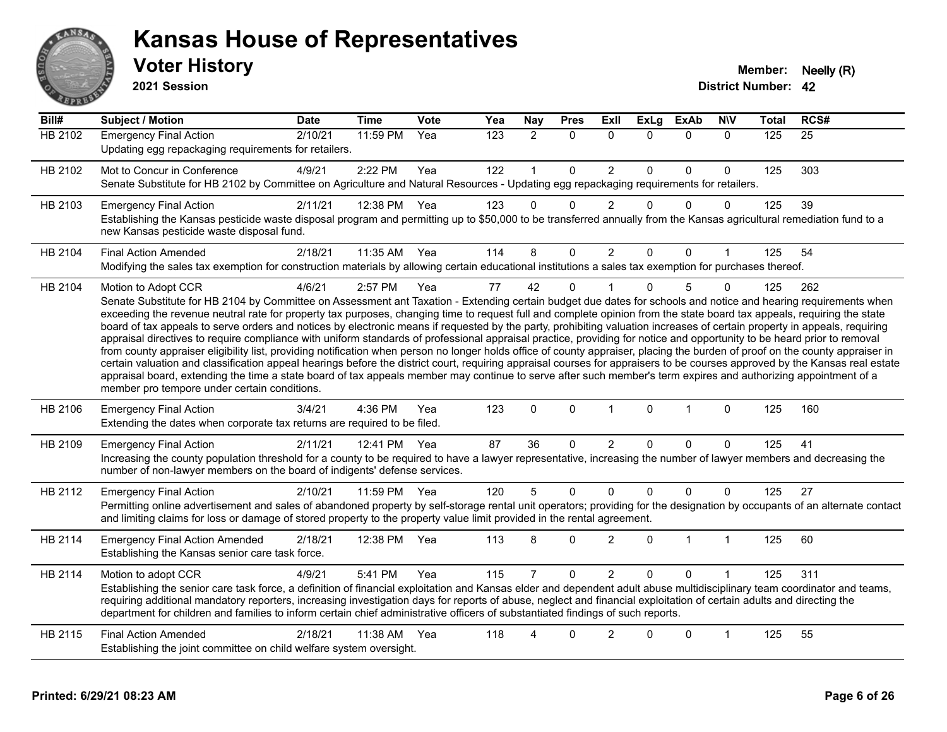

#### **Voter History Member: Neelly (R) Kansas House of Representatives**

**2021 Session**

| $\overline{Bill#}$ | <b>Subject / Motion</b>                                                                                                                                                                                                                                                                                                                                                                                                                                                                                                                                                                                                                                                                                                                                                                                                                                                                                                                                                                                                                                                                                                                                                                                                                                                                                     | <b>Date</b> | <b>Time</b> | Vote | Yea | Nay            | <b>Pres</b>  | Exll           | <b>ExLg</b>  | <b>ExAb</b>  | <b>NIV</b>   | <b>Total</b> | RCS#            |
|--------------------|-------------------------------------------------------------------------------------------------------------------------------------------------------------------------------------------------------------------------------------------------------------------------------------------------------------------------------------------------------------------------------------------------------------------------------------------------------------------------------------------------------------------------------------------------------------------------------------------------------------------------------------------------------------------------------------------------------------------------------------------------------------------------------------------------------------------------------------------------------------------------------------------------------------------------------------------------------------------------------------------------------------------------------------------------------------------------------------------------------------------------------------------------------------------------------------------------------------------------------------------------------------------------------------------------------------|-------------|-------------|------|-----|----------------|--------------|----------------|--------------|--------------|--------------|--------------|-----------------|
| <b>HB 2102</b>     | <b>Emergency Final Action</b><br>Updating egg repackaging requirements for retailers.                                                                                                                                                                                                                                                                                                                                                                                                                                                                                                                                                                                                                                                                                                                                                                                                                                                                                                                                                                                                                                                                                                                                                                                                                       | 2/10/21     | 11:59 PM    | Yea  | 123 | $\overline{2}$ | $\mathbf{0}$ | $\mathbf{0}$   | $\Omega$     | $\mathbf{0}$ | $\mathbf{0}$ | 125          | $\overline{25}$ |
| HB 2102            | Mot to Concur in Conference<br>Senate Substitute for HB 2102 by Committee on Agriculture and Natural Resources - Updating egg repackaging requirements for retailers.                                                                                                                                                                                                                                                                                                                                                                                                                                                                                                                                                                                                                                                                                                                                                                                                                                                                                                                                                                                                                                                                                                                                       | 4/9/21      | 2:22 PM     | Yea  | 122 |                | $\mathbf 0$  | $\overline{c}$ | $\Omega$     | $\pmb{0}$    | 0            | 125          | 303             |
| HB 2103            | <b>Emergency Final Action</b><br>Establishing the Kansas pesticide waste disposal program and permitting up to \$50,000 to be transferred annually from the Kansas agricultural remediation fund to a<br>new Kansas pesticide waste disposal fund.                                                                                                                                                                                                                                                                                                                                                                                                                                                                                                                                                                                                                                                                                                                                                                                                                                                                                                                                                                                                                                                          | 2/11/21     | 12:38 PM    | Yea  | 123 | $\Omega$       | $\Omega$     | $\overline{2}$ | $\Omega$     | $\Omega$     | $\mathbf{0}$ | 125          | 39              |
| HB 2104            | <b>Final Action Amended</b><br>Modifying the sales tax exemption for construction materials by allowing certain educational institutions a sales tax exemption for purchases thereof.                                                                                                                                                                                                                                                                                                                                                                                                                                                                                                                                                                                                                                                                                                                                                                                                                                                                                                                                                                                                                                                                                                                       | 2/18/21     | 11:35 AM    | Yea  | 114 | 8              | $\Omega$     | $\overline{2}$ | $\Omega$     | 0            |              | 125          | 54              |
| HB 2104            | Motion to Adopt CCR<br>Senate Substitute for HB 2104 by Committee on Assessment ant Taxation - Extending certain budget due dates for schools and notice and hearing requirements when<br>exceeding the revenue neutral rate for property tax purposes, changing time to request full and complete opinion from the state board tax appeals, requiring the state<br>board of tax appeals to serve orders and notices by electronic means if requested by the party, prohibiting valuation increases of certain property in appeals, requiring<br>appraisal directives to require compliance with uniform standards of professional appraisal practice, providing for notice and opportunity to be heard prior to removal<br>from county appraiser eligibility list, providing notification when person no longer holds office of county appraiser, placing the burden of proof on the county appraiser in<br>certain valuation and classification appeal hearings before the district court, requiring appraisal courses for appraisers to be courses approved by the Kansas real estate<br>appraisal board, extending the time a state board of tax appeals member may continue to serve after such member's term expires and authorizing appointment of a<br>member pro tempore under certain conditions. | 4/6/21      | 2:57 PM     | Yea  | 77  | 42             | $\mathbf{0}$ |                | $\Omega$     | 5            | 0            | 125          | 262             |
| HB 2106            | <b>Emergency Final Action</b><br>Extending the dates when corporate tax returns are required to be filed.                                                                                                                                                                                                                                                                                                                                                                                                                                                                                                                                                                                                                                                                                                                                                                                                                                                                                                                                                                                                                                                                                                                                                                                                   | 3/4/21      | 4:36 PM     | Yea  | 123 | $\mathbf 0$    | $\mathbf 0$  | $\mathbf{1}$   | $\mathbf{0}$ | $\mathbf{1}$ | $\mathbf 0$  | 125          | 160             |
| HB 2109            | <b>Emergency Final Action</b><br>Increasing the county population threshold for a county to be required to have a lawyer representative, increasing the number of lawyer members and decreasing the<br>number of non-lawyer members on the board of indigents' defense services.                                                                                                                                                                                                                                                                                                                                                                                                                                                                                                                                                                                                                                                                                                                                                                                                                                                                                                                                                                                                                            | 2/11/21     | 12:41 PM    | Yea  | 87  | 36             | $\mathbf 0$  | $\overline{c}$ | $\Omega$     | 0            | 0            | 125          | 41              |
| HB 2112            | <b>Emergency Final Action</b><br>Permitting online advertisement and sales of abandoned property by self-storage rental unit operators; providing for the designation by occupants of an alternate contact<br>and limiting claims for loss or damage of stored property to the property value limit provided in the rental agreement.                                                                                                                                                                                                                                                                                                                                                                                                                                                                                                                                                                                                                                                                                                                                                                                                                                                                                                                                                                       | 2/10/21     | 11:59 PM    | Yea  | 120 | 5              | $\mathbf 0$  | $\mathbf 0$    | $\Omega$     | $\pmb{0}$    | $\Omega$     | 125          | 27              |
| HB 2114            | <b>Emergency Final Action Amended</b><br>Establishing the Kansas senior care task force.                                                                                                                                                                                                                                                                                                                                                                                                                                                                                                                                                                                                                                                                                                                                                                                                                                                                                                                                                                                                                                                                                                                                                                                                                    | 2/18/21     | 12:38 PM    | Yea  | 113 | 8              | $\Omega$     | $\overline{2}$ | $\Omega$     | 1            | $\mathbf{1}$ | 125          | 60              |
| HB 2114            | Motion to adopt CCR<br>Establishing the senior care task force, a definition of financial exploitation and Kansas elder and dependent adult abuse multidisciplinary team coordinator and teams,<br>requiring additional mandatory reporters, increasing investigation days for reports of abuse, neglect and financial exploitation of certain adults and directing the<br>department for children and families to inform certain chief administrative officers of substantiated findings of such reports.                                                                                                                                                                                                                                                                                                                                                                                                                                                                                                                                                                                                                                                                                                                                                                                                  | 4/9/21      | 5:41 PM     | Yea  | 115 |                | $\mathbf 0$  | $\overline{2}$ | $\Omega$     | $\mathbf 0$  |              | 125          | 311             |
| HB 2115            | <b>Final Action Amended</b><br>Establishing the joint committee on child welfare system oversight.                                                                                                                                                                                                                                                                                                                                                                                                                                                                                                                                                                                                                                                                                                                                                                                                                                                                                                                                                                                                                                                                                                                                                                                                          | 2/18/21     | 11:38 AM    | Yea  | 118 | Δ              | 0            | $\overline{2}$ | $\Omega$     | $\mathbf 0$  | 1            | 125          | 55              |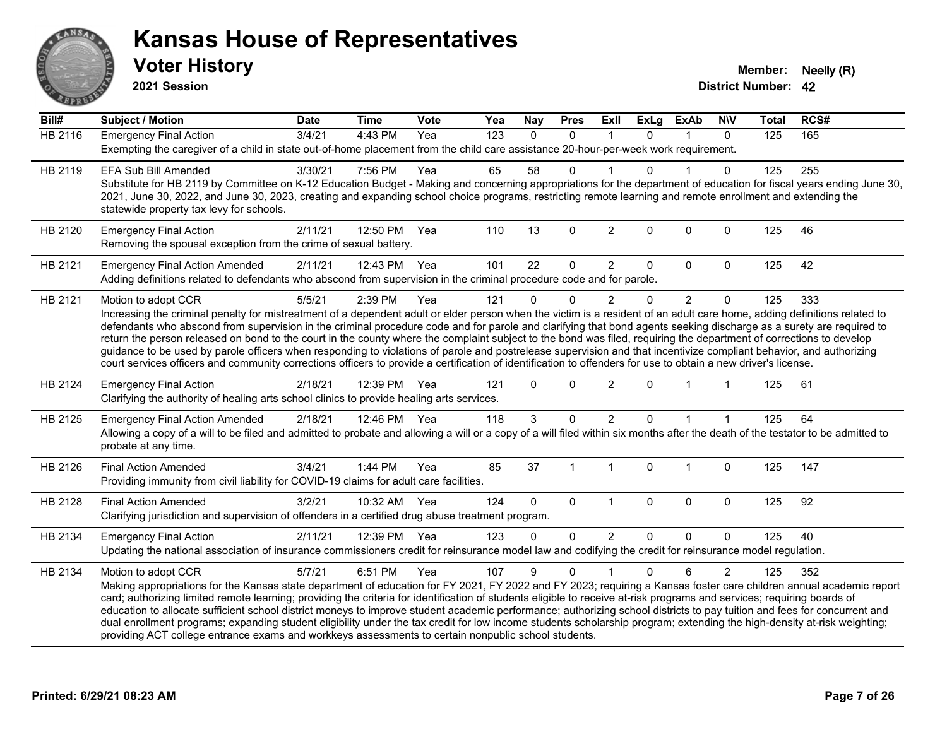

**2021 Session**

| <b>Subject / Motion</b>               | <b>Date</b>                                                                                                                    | <b>Time</b>                                                    | Vote     | Yea                                                                                                                            | Nay                                                                                                                                                                                               | <b>Pres</b>                                                                                            | Exll                     | <b>ExLg</b>                                                                                                                             | <b>ExAb</b>                                                                                                                      | <b>NIV</b>     | <b>Total</b>                                                                                                                        | RCS#                                                                                                                                                                                                                                                                                                                                                                                                                                                                                                                                                                                                                                                                                                                                                                                                                                                                                                                                                                                                                                                                                                                                                                                                                                                                                                                                                                                                                                                                                                                                                                                                                                                                                                                                                                                                                                                                                                                                                                                                                                                                                                                                                                                                                                                                        |
|---------------------------------------|--------------------------------------------------------------------------------------------------------------------------------|----------------------------------------------------------------|----------|--------------------------------------------------------------------------------------------------------------------------------|---------------------------------------------------------------------------------------------------------------------------------------------------------------------------------------------------|--------------------------------------------------------------------------------------------------------|--------------------------|-----------------------------------------------------------------------------------------------------------------------------------------|----------------------------------------------------------------------------------------------------------------------------------|----------------|-------------------------------------------------------------------------------------------------------------------------------------|-----------------------------------------------------------------------------------------------------------------------------------------------------------------------------------------------------------------------------------------------------------------------------------------------------------------------------------------------------------------------------------------------------------------------------------------------------------------------------------------------------------------------------------------------------------------------------------------------------------------------------------------------------------------------------------------------------------------------------------------------------------------------------------------------------------------------------------------------------------------------------------------------------------------------------------------------------------------------------------------------------------------------------------------------------------------------------------------------------------------------------------------------------------------------------------------------------------------------------------------------------------------------------------------------------------------------------------------------------------------------------------------------------------------------------------------------------------------------------------------------------------------------------------------------------------------------------------------------------------------------------------------------------------------------------------------------------------------------------------------------------------------------------------------------------------------------------------------------------------------------------------------------------------------------------------------------------------------------------------------------------------------------------------------------------------------------------------------------------------------------------------------------------------------------------------------------------------------------------------------------------------------------------|
| <b>Emergency Final Action</b>         | 3/4/21                                                                                                                         | 4:43 PM                                                        | Yea      | $\overline{123}$                                                                                                               | $\mathbf{0}$                                                                                                                                                                                      | $\mathbf{0}$                                                                                           | 1                        | $\Omega$                                                                                                                                | $\mathbf 1$                                                                                                                      | $\Omega$       | 125                                                                                                                                 | 165                                                                                                                                                                                                                                                                                                                                                                                                                                                                                                                                                                                                                                                                                                                                                                                                                                                                                                                                                                                                                                                                                                                                                                                                                                                                                                                                                                                                                                                                                                                                                                                                                                                                                                                                                                                                                                                                                                                                                                                                                                                                                                                                                                                                                                                                         |
|                                       |                                                                                                                                |                                                                |          |                                                                                                                                |                                                                                                                                                                                                   |                                                                                                        |                          |                                                                                                                                         |                                                                                                                                  |                |                                                                                                                                     |                                                                                                                                                                                                                                                                                                                                                                                                                                                                                                                                                                                                                                                                                                                                                                                                                                                                                                                                                                                                                                                                                                                                                                                                                                                                                                                                                                                                                                                                                                                                                                                                                                                                                                                                                                                                                                                                                                                                                                                                                                                                                                                                                                                                                                                                             |
| <b>EFA Sub Bill Amended</b>           | 3/30/21                                                                                                                        | 7:56 PM                                                        | Yea      | 65                                                                                                                             | 58                                                                                                                                                                                                | 0                                                                                                      |                          | U                                                                                                                                       |                                                                                                                                  | 0              | 125                                                                                                                                 | 255                                                                                                                                                                                                                                                                                                                                                                                                                                                                                                                                                                                                                                                                                                                                                                                                                                                                                                                                                                                                                                                                                                                                                                                                                                                                                                                                                                                                                                                                                                                                                                                                                                                                                                                                                                                                                                                                                                                                                                                                                                                                                                                                                                                                                                                                         |
|                                       |                                                                                                                                |                                                                |          |                                                                                                                                |                                                                                                                                                                                                   |                                                                                                        |                          |                                                                                                                                         |                                                                                                                                  |                |                                                                                                                                     |                                                                                                                                                                                                                                                                                                                                                                                                                                                                                                                                                                                                                                                                                                                                                                                                                                                                                                                                                                                                                                                                                                                                                                                                                                                                                                                                                                                                                                                                                                                                                                                                                                                                                                                                                                                                                                                                                                                                                                                                                                                                                                                                                                                                                                                                             |
|                                       |                                                                                                                                |                                                                |          |                                                                                                                                |                                                                                                                                                                                                   |                                                                                                        |                          |                                                                                                                                         |                                                                                                                                  |                |                                                                                                                                     |                                                                                                                                                                                                                                                                                                                                                                                                                                                                                                                                                                                                                                                                                                                                                                                                                                                                                                                                                                                                                                                                                                                                                                                                                                                                                                                                                                                                                                                                                                                                                                                                                                                                                                                                                                                                                                                                                                                                                                                                                                                                                                                                                                                                                                                                             |
| <b>Emergency Final Action</b>         | 2/11/21                                                                                                                        | 12:50 PM                                                       | Yea      | 110                                                                                                                            | 13                                                                                                                                                                                                | $\mathbf 0$                                                                                            | $\overline{2}$           | $\mathbf{0}$                                                                                                                            | $\mathbf 0$                                                                                                                      | $\mathbf 0$    | 125                                                                                                                                 | 46                                                                                                                                                                                                                                                                                                                                                                                                                                                                                                                                                                                                                                                                                                                                                                                                                                                                                                                                                                                                                                                                                                                                                                                                                                                                                                                                                                                                                                                                                                                                                                                                                                                                                                                                                                                                                                                                                                                                                                                                                                                                                                                                                                                                                                                                          |
| <b>Emergency Final Action Amended</b> | 2/11/21                                                                                                                        |                                                                |          | 101                                                                                                                            | 22                                                                                                                                                                                                | $\mathbf 0$                                                                                            | $\overline{2}$           | 0                                                                                                                                       | 0                                                                                                                                | $\mathbf 0$    | 125                                                                                                                                 | 42                                                                                                                                                                                                                                                                                                                                                                                                                                                                                                                                                                                                                                                                                                                                                                                                                                                                                                                                                                                                                                                                                                                                                                                                                                                                                                                                                                                                                                                                                                                                                                                                                                                                                                                                                                                                                                                                                                                                                                                                                                                                                                                                                                                                                                                                          |
|                                       |                                                                                                                                |                                                                |          |                                                                                                                                |                                                                                                                                                                                                   |                                                                                                        |                          |                                                                                                                                         |                                                                                                                                  |                |                                                                                                                                     |                                                                                                                                                                                                                                                                                                                                                                                                                                                                                                                                                                                                                                                                                                                                                                                                                                                                                                                                                                                                                                                                                                                                                                                                                                                                                                                                                                                                                                                                                                                                                                                                                                                                                                                                                                                                                                                                                                                                                                                                                                                                                                                                                                                                                                                                             |
| Motion to adopt CCR                   | 5/5/21                                                                                                                         | 2:39 PM                                                        | Yea      | 121                                                                                                                            | $\Omega$                                                                                                                                                                                          | $\Omega$                                                                                               | $\overline{2}$           | $\Omega$                                                                                                                                | $\overline{2}$                                                                                                                   | $\Omega$       | 125                                                                                                                                 | 333                                                                                                                                                                                                                                                                                                                                                                                                                                                                                                                                                                                                                                                                                                                                                                                                                                                                                                                                                                                                                                                                                                                                                                                                                                                                                                                                                                                                                                                                                                                                                                                                                                                                                                                                                                                                                                                                                                                                                                                                                                                                                                                                                                                                                                                                         |
|                                       |                                                                                                                                |                                                                |          |                                                                                                                                |                                                                                                                                                                                                   |                                                                                                        |                          |                                                                                                                                         |                                                                                                                                  |                |                                                                                                                                     |                                                                                                                                                                                                                                                                                                                                                                                                                                                                                                                                                                                                                                                                                                                                                                                                                                                                                                                                                                                                                                                                                                                                                                                                                                                                                                                                                                                                                                                                                                                                                                                                                                                                                                                                                                                                                                                                                                                                                                                                                                                                                                                                                                                                                                                                             |
|                                       |                                                                                                                                |                                                                |          |                                                                                                                                |                                                                                                                                                                                                   |                                                                                                        |                          |                                                                                                                                         |                                                                                                                                  |                |                                                                                                                                     |                                                                                                                                                                                                                                                                                                                                                                                                                                                                                                                                                                                                                                                                                                                                                                                                                                                                                                                                                                                                                                                                                                                                                                                                                                                                                                                                                                                                                                                                                                                                                                                                                                                                                                                                                                                                                                                                                                                                                                                                                                                                                                                                                                                                                                                                             |
|                                       |                                                                                                                                |                                                                |          |                                                                                                                                |                                                                                                                                                                                                   |                                                                                                        |                          |                                                                                                                                         |                                                                                                                                  |                |                                                                                                                                     |                                                                                                                                                                                                                                                                                                                                                                                                                                                                                                                                                                                                                                                                                                                                                                                                                                                                                                                                                                                                                                                                                                                                                                                                                                                                                                                                                                                                                                                                                                                                                                                                                                                                                                                                                                                                                                                                                                                                                                                                                                                                                                                                                                                                                                                                             |
|                                       |                                                                                                                                |                                                                |          |                                                                                                                                |                                                                                                                                                                                                   |                                                                                                        |                          |                                                                                                                                         |                                                                                                                                  |                |                                                                                                                                     |                                                                                                                                                                                                                                                                                                                                                                                                                                                                                                                                                                                                                                                                                                                                                                                                                                                                                                                                                                                                                                                                                                                                                                                                                                                                                                                                                                                                                                                                                                                                                                                                                                                                                                                                                                                                                                                                                                                                                                                                                                                                                                                                                                                                                                                                             |
|                                       |                                                                                                                                |                                                                |          |                                                                                                                                | $\Omega$                                                                                                                                                                                          |                                                                                                        |                          | $\Omega$                                                                                                                                |                                                                                                                                  |                |                                                                                                                                     | 61                                                                                                                                                                                                                                                                                                                                                                                                                                                                                                                                                                                                                                                                                                                                                                                                                                                                                                                                                                                                                                                                                                                                                                                                                                                                                                                                                                                                                                                                                                                                                                                                                                                                                                                                                                                                                                                                                                                                                                                                                                                                                                                                                                                                                                                                          |
|                                       |                                                                                                                                |                                                                |          |                                                                                                                                |                                                                                                                                                                                                   |                                                                                                        |                          |                                                                                                                                         |                                                                                                                                  |                |                                                                                                                                     |                                                                                                                                                                                                                                                                                                                                                                                                                                                                                                                                                                                                                                                                                                                                                                                                                                                                                                                                                                                                                                                                                                                                                                                                                                                                                                                                                                                                                                                                                                                                                                                                                                                                                                                                                                                                                                                                                                                                                                                                                                                                                                                                                                                                                                                                             |
|                                       |                                                                                                                                |                                                                |          |                                                                                                                                |                                                                                                                                                                                                   |                                                                                                        |                          |                                                                                                                                         |                                                                                                                                  |                |                                                                                                                                     | 64                                                                                                                                                                                                                                                                                                                                                                                                                                                                                                                                                                                                                                                                                                                                                                                                                                                                                                                                                                                                                                                                                                                                                                                                                                                                                                                                                                                                                                                                                                                                                                                                                                                                                                                                                                                                                                                                                                                                                                                                                                                                                                                                                                                                                                                                          |
| probate at any time.                  |                                                                                                                                |                                                                |          |                                                                                                                                |                                                                                                                                                                                                   |                                                                                                        |                          |                                                                                                                                         |                                                                                                                                  |                |                                                                                                                                     |                                                                                                                                                                                                                                                                                                                                                                                                                                                                                                                                                                                                                                                                                                                                                                                                                                                                                                                                                                                                                                                                                                                                                                                                                                                                                                                                                                                                                                                                                                                                                                                                                                                                                                                                                                                                                                                                                                                                                                                                                                                                                                                                                                                                                                                                             |
| <b>Final Action Amended</b>           | 3/4/21                                                                                                                         | 1:44 PM                                                        | Yea      | 85                                                                                                                             | 37                                                                                                                                                                                                | $\overline{1}$                                                                                         | $\mathbf{1}$             | $\mathbf{0}$                                                                                                                            | 1                                                                                                                                | $\mathbf 0$    | 125                                                                                                                                 | 147                                                                                                                                                                                                                                                                                                                                                                                                                                                                                                                                                                                                                                                                                                                                                                                                                                                                                                                                                                                                                                                                                                                                                                                                                                                                                                                                                                                                                                                                                                                                                                                                                                                                                                                                                                                                                                                                                                                                                                                                                                                                                                                                                                                                                                                                         |
|                                       |                                                                                                                                |                                                                |          |                                                                                                                                |                                                                                                                                                                                                   |                                                                                                        |                          |                                                                                                                                         |                                                                                                                                  |                |                                                                                                                                     |                                                                                                                                                                                                                                                                                                                                                                                                                                                                                                                                                                                                                                                                                                                                                                                                                                                                                                                                                                                                                                                                                                                                                                                                                                                                                                                                                                                                                                                                                                                                                                                                                                                                                                                                                                                                                                                                                                                                                                                                                                                                                                                                                                                                                                                                             |
| <b>Final Action Amended</b>           | 3/2/21                                                                                                                         |                                                                |          | 124                                                                                                                            | $\Omega$                                                                                                                                                                                          | $\Omega$                                                                                               | $\mathbf{1}$             | $\mathbf 0$                                                                                                                             | $\mathbf 0$                                                                                                                      | $\mathbf 0$    | 125                                                                                                                                 | 92                                                                                                                                                                                                                                                                                                                                                                                                                                                                                                                                                                                                                                                                                                                                                                                                                                                                                                                                                                                                                                                                                                                                                                                                                                                                                                                                                                                                                                                                                                                                                                                                                                                                                                                                                                                                                                                                                                                                                                                                                                                                                                                                                                                                                                                                          |
|                                       |                                                                                                                                |                                                                |          |                                                                                                                                |                                                                                                                                                                                                   |                                                                                                        |                          |                                                                                                                                         |                                                                                                                                  |                |                                                                                                                                     |                                                                                                                                                                                                                                                                                                                                                                                                                                                                                                                                                                                                                                                                                                                                                                                                                                                                                                                                                                                                                                                                                                                                                                                                                                                                                                                                                                                                                                                                                                                                                                                                                                                                                                                                                                                                                                                                                                                                                                                                                                                                                                                                                                                                                                                                             |
|                                       | 2/11/21                                                                                                                        | 12:39 PM                                                       |          | 123                                                                                                                            | $\Omega$                                                                                                                                                                                          | 0                                                                                                      | $\overline{2}$           | $\Omega$                                                                                                                                | $\Omega$                                                                                                                         | $\Omega$       | 125                                                                                                                                 | 40                                                                                                                                                                                                                                                                                                                                                                                                                                                                                                                                                                                                                                                                                                                                                                                                                                                                                                                                                                                                                                                                                                                                                                                                                                                                                                                                                                                                                                                                                                                                                                                                                                                                                                                                                                                                                                                                                                                                                                                                                                                                                                                                                                                                                                                                          |
|                                       |                                                                                                                                |                                                                |          |                                                                                                                                |                                                                                                                                                                                                   |                                                                                                        |                          |                                                                                                                                         |                                                                                                                                  |                |                                                                                                                                     |                                                                                                                                                                                                                                                                                                                                                                                                                                                                                                                                                                                                                                                                                                                                                                                                                                                                                                                                                                                                                                                                                                                                                                                                                                                                                                                                                                                                                                                                                                                                                                                                                                                                                                                                                                                                                                                                                                                                                                                                                                                                                                                                                                                                                                                                             |
|                                       | 5/7/21                                                                                                                         | 6:51 PM                                                        | Yea      | 107                                                                                                                            | 9                                                                                                                                                                                                 | $\Omega$                                                                                               |                          | $\Omega$                                                                                                                                | 6                                                                                                                                | $\overline{2}$ | 125                                                                                                                                 | 352                                                                                                                                                                                                                                                                                                                                                                                                                                                                                                                                                                                                                                                                                                                                                                                                                                                                                                                                                                                                                                                                                                                                                                                                                                                                                                                                                                                                                                                                                                                                                                                                                                                                                                                                                                                                                                                                                                                                                                                                                                                                                                                                                                                                                                                                         |
|                                       |                                                                                                                                |                                                                |          |                                                                                                                                |                                                                                                                                                                                                   |                                                                                                        |                          |                                                                                                                                         |                                                                                                                                  |                |                                                                                                                                     |                                                                                                                                                                                                                                                                                                                                                                                                                                                                                                                                                                                                                                                                                                                                                                                                                                                                                                                                                                                                                                                                                                                                                                                                                                                                                                                                                                                                                                                                                                                                                                                                                                                                                                                                                                                                                                                                                                                                                                                                                                                                                                                                                                                                                                                                             |
|                                       |                                                                                                                                |                                                                |          |                                                                                                                                |                                                                                                                                                                                                   |                                                                                                        |                          |                                                                                                                                         |                                                                                                                                  |                |                                                                                                                                     |                                                                                                                                                                                                                                                                                                                                                                                                                                                                                                                                                                                                                                                                                                                                                                                                                                                                                                                                                                                                                                                                                                                                                                                                                                                                                                                                                                                                                                                                                                                                                                                                                                                                                                                                                                                                                                                                                                                                                                                                                                                                                                                                                                                                                                                                             |
|                                       |                                                                                                                                |                                                                |          |                                                                                                                                |                                                                                                                                                                                                   |                                                                                                        |                          |                                                                                                                                         |                                                                                                                                  |                |                                                                                                                                     |                                                                                                                                                                                                                                                                                                                                                                                                                                                                                                                                                                                                                                                                                                                                                                                                                                                                                                                                                                                                                                                                                                                                                                                                                                                                                                                                                                                                                                                                                                                                                                                                                                                                                                                                                                                                                                                                                                                                                                                                                                                                                                                                                                                                                                                                             |
|                                       |                                                                                                                                |                                                                |          |                                                                                                                                |                                                                                                                                                                                                   |                                                                                                        |                          |                                                                                                                                         |                                                                                                                                  |                |                                                                                                                                     |                                                                                                                                                                                                                                                                                                                                                                                                                                                                                                                                                                                                                                                                                                                                                                                                                                                                                                                                                                                                                                                                                                                                                                                                                                                                                                                                                                                                                                                                                                                                                                                                                                                                                                                                                                                                                                                                                                                                                                                                                                                                                                                                                                                                                                                                             |
|                                       | <b>Emergency Final Action</b><br><b>Emergency Final Action Amended</b><br><b>Emergency Final Action</b><br>Motion to adopt CCR | statewide property tax levy for schools.<br>2/18/21<br>2/18/21 | 12:39 PM | Removing the spousal exception from the crime of sexual battery.<br>12:43 PM Yea<br>Yea<br>12:46 PM Yea<br>10:32 AM Yea<br>Yea | 121<br>Clarifying the authority of healing arts school clinics to provide healing arts services.<br>118<br>Providing immunity from civil liability for COVID-19 claims for adult care facilities. | 3<br>Clarifying jurisdiction and supervision of offenders in a certified drug abuse treatment program. | $\Omega$<br>$\mathbf{0}$ | $\overline{2}$<br>$\overline{2}$<br>providing ACT college entrance exams and workkeys assessments to certain nonpublic school students. | Adding definitions related to defendants who abscond from supervision in the criminal procedure code and for parole.<br>$\Omega$ |                | Exempting the caregiver of a child in state out-of-home placement from the child care assistance 20-hour-per-week work requirement. | Substitute for HB 2119 by Committee on K-12 Education Budget - Making and concerning appropriations for the department of education for fiscal years ending June 30,<br>2021, June 30, 2022, and June 30, 2023, creating and expanding school choice programs, restricting remote learning and remote enrollment and extending the<br>Increasing the criminal penalty for mistreatment of a dependent adult or elder person when the victim is a resident of an adult care home, adding definitions related to<br>defendants who abscond from supervision in the criminal procedure code and for parole and clarifying that bond agents seeking discharge as a surety are required to<br>return the person released on bond to the court in the county where the complaint subject to the bond was filed, requiring the department of corrections to develop<br>guidance to be used by parole officers when responding to violations of parole and postrelease supervision and that incentivize compliant behavior, and authorizing<br>court services officers and community corrections officers to provide a certification of identification to offenders for use to obtain a new driver's license.<br>125<br>125<br>Allowing a copy of a will to be filed and admitted to probate and allowing a will or a copy of a will filed within six months after the death of the testator to be admitted to<br>Updating the national association of insurance commissioners credit for reinsurance model law and codifying the credit for reinsurance model regulation.<br>Making appropriations for the Kansas state department of education for FY 2021, FY 2022 and FY 2023; requiring a Kansas foster care children annual academic report<br>card; authorizing limited remote learning; providing the criteria for identification of students eligible to receive at-risk programs and services; requiring boards of<br>education to allocate sufficient school district moneys to improve student academic performance; authorizing school districts to pay tuition and fees for concurrent and<br>dual enrollment programs; expanding student eligibility under the tax credit for low income students scholarship program; extending the high-density at-risk weighting; |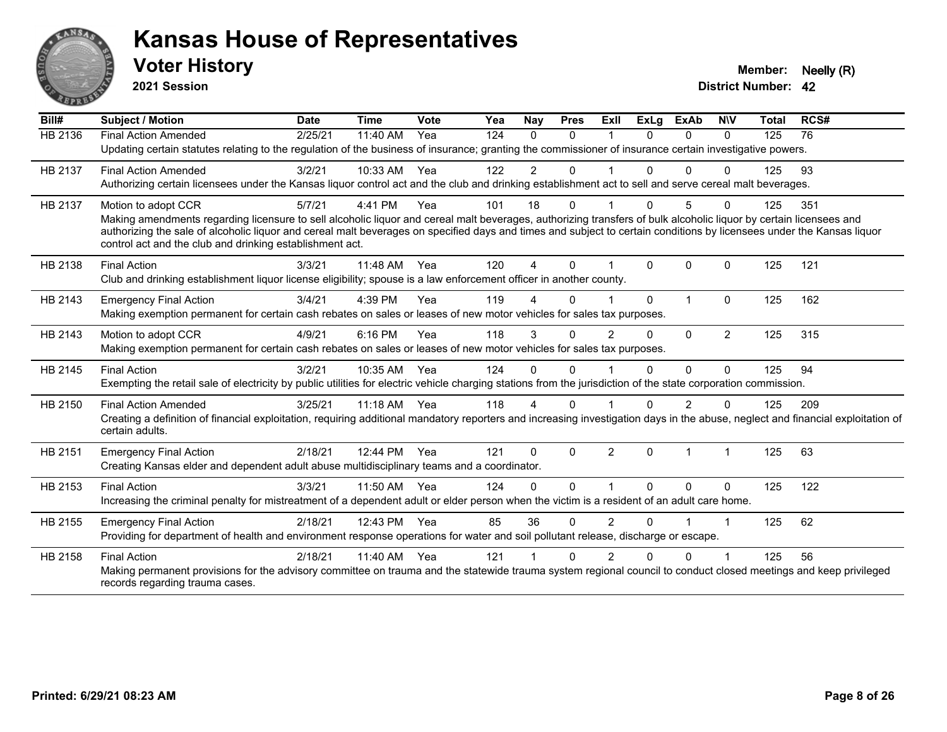

**2021 Session**

| Bill#   | Subject / Motion                                                                                                                                                                                                                  | <b>Date</b> | <b>Time</b> | <b>Vote</b> | Yea | Nay            | <b>Pres</b>  | ExIl           | <b>ExLg</b> | <b>ExAb</b>  | <b>NIV</b>     | <b>Total</b> | RCS# |
|---------|-----------------------------------------------------------------------------------------------------------------------------------------------------------------------------------------------------------------------------------|-------------|-------------|-------------|-----|----------------|--------------|----------------|-------------|--------------|----------------|--------------|------|
| HB 2136 | <b>Final Action Amended</b>                                                                                                                                                                                                       | 2/25/21     | 11:40 AM    | Yea         | 124 | $\Omega$       | $\Omega$     |                | $\Omega$    | $\Omega$     | $\Omega$       | 125          | 76   |
|         | Updating certain statutes relating to the regulation of the business of insurance; granting the commissioner of insurance certain investigative powers.                                                                           |             |             |             |     |                |              |                |             |              |                |              |      |
| HB 2137 | <b>Final Action Amended</b>                                                                                                                                                                                                       | 3/2/21      | 10:33 AM    | Yea         | 122 | $\overline{2}$ | $\Omega$     |                |             | $\Omega$     | $\Omega$       | 125          | 93   |
|         | Authorizing certain licensees under the Kansas liquor control act and the club and drinking establishment act to sell and serve cereal malt beverages.                                                                            |             |             |             |     |                |              |                |             |              |                |              |      |
| HB 2137 | Motion to adopt CCR                                                                                                                                                                                                               | 5/7/21      | 4:41 PM     | Yea         | 101 | 18             | 0            |                | 0           | 5            | $\Omega$       | 125          | 351  |
|         | Making amendments regarding licensure to sell alcoholic liquor and cereal malt beverages, authorizing transfers of bulk alcoholic liquor by certain licensees and                                                                 |             |             |             |     |                |              |                |             |              |                |              |      |
|         | authorizing the sale of alcoholic liquor and cereal malt beverages on specified days and times and subject to certain conditions by licensees under the Kansas liquor<br>control act and the club and drinking establishment act. |             |             |             |     |                |              |                |             |              |                |              |      |
|         |                                                                                                                                                                                                                                   |             |             |             |     |                |              |                |             |              |                |              |      |
| HB 2138 | <b>Final Action</b>                                                                                                                                                                                                               | 3/3/21      | 11:48 AM    | Yea         | 120 | 4              | $\Omega$     |                | $\Omega$    | $\mathbf{0}$ | $\Omega$       | 125          | 121  |
|         | Club and drinking establishment liquor license eligibility; spouse is a law enforcement officer in another county.                                                                                                                |             |             |             |     |                |              |                |             |              |                |              |      |
| HB 2143 | <b>Emergency Final Action</b>                                                                                                                                                                                                     | 3/4/21      | 4:39 PM     | Yea         | 119 |                | 0            |                | $\Omega$    | 1            | $\Omega$       | 125          | 162  |
|         | Making exemption permanent for certain cash rebates on sales or leases of new motor vehicles for sales tax purposes.                                                                                                              |             |             |             |     |                |              |                |             |              |                |              |      |
| HB 2143 | Motion to adopt CCR                                                                                                                                                                                                               | 4/9/21      | 6:16 PM     | Yea         | 118 | 3              | $\mathbf 0$  | 2              | $\Omega$    | $\Omega$     | $\overline{2}$ | 125          | 315  |
|         | Making exemption permanent for certain cash rebates on sales or leases of new motor vehicles for sales tax purposes.                                                                                                              |             |             |             |     |                |              |                |             |              |                |              |      |
| HB 2145 | <b>Final Action</b>                                                                                                                                                                                                               | 3/2/21      | 10:35 AM    | Yea         | 124 | $\Omega$       | $\Omega$     |                | $\Omega$    | $\Omega$     | $\Omega$       | 125          | 94   |
|         | Exempting the retail sale of electricity by public utilities for electric vehicle charging stations from the jurisdiction of the state corporation commission.                                                                    |             |             |             |     |                |              |                |             |              |                |              |      |
| HB 2150 | <b>Final Action Amended</b>                                                                                                                                                                                                       | 3/25/21     | $11:18$ AM  | Yea         | 118 | 4              | 0            |                | 0           | 2            | $\Omega$       | 125          | 209  |
|         | Creating a definition of financial exploitation, requiring additional mandatory reporters and increasing investigation days in the abuse, neglect and financial exploitation of                                                   |             |             |             |     |                |              |                |             |              |                |              |      |
|         | certain adults.                                                                                                                                                                                                                   |             |             |             |     |                |              |                |             |              |                |              |      |
| HB 2151 | <b>Emergency Final Action</b>                                                                                                                                                                                                     | 2/18/21     | 12:44 PM    | Yea         | 121 | $\Omega$       | $\mathbf{0}$ | $\overline{2}$ | $\Omega$    | 1            | -1             | 125          | 63   |
|         | Creating Kansas elder and dependent adult abuse multidisciplinary teams and a coordinator.                                                                                                                                        |             |             |             |     |                |              |                |             |              |                |              |      |
| HB 2153 | <b>Final Action</b>                                                                                                                                                                                                               | 3/3/21      | 11:50 AM    | Yea         | 124 | $\Omega$       | $\Omega$     |                | $\Omega$    | $\Omega$     | $\mathbf{0}$   | 125          | 122  |
|         | Increasing the criminal penalty for mistreatment of a dependent adult or elder person when the victim is a resident of an adult care home.                                                                                        |             |             |             |     |                |              |                |             |              |                |              |      |
| HB 2155 | <b>Emergency Final Action</b>                                                                                                                                                                                                     | 2/18/21     | 12:43 PM    | Yea         | 85  | 36             | $\Omega$     | $\overline{2}$ | $\Omega$    |              |                | 125          | 62   |
|         | Providing for department of health and environment response operations for water and soil pollutant release, discharge or escape.                                                                                                 |             |             |             |     |                |              |                |             |              |                |              |      |
| HB 2158 | <b>Final Action</b>                                                                                                                                                                                                               | 2/18/21     | 11:40 AM    | Yea         | 121 |                | $\Omega$     | 2              | U           | $\Omega$     |                | 125          | 56   |
|         | Making permanent provisions for the advisory committee on trauma and the statewide trauma system regional council to conduct closed meetings and keep privileged                                                                  |             |             |             |     |                |              |                |             |              |                |              |      |
|         | records regarding trauma cases.                                                                                                                                                                                                   |             |             |             |     |                |              |                |             |              |                |              |      |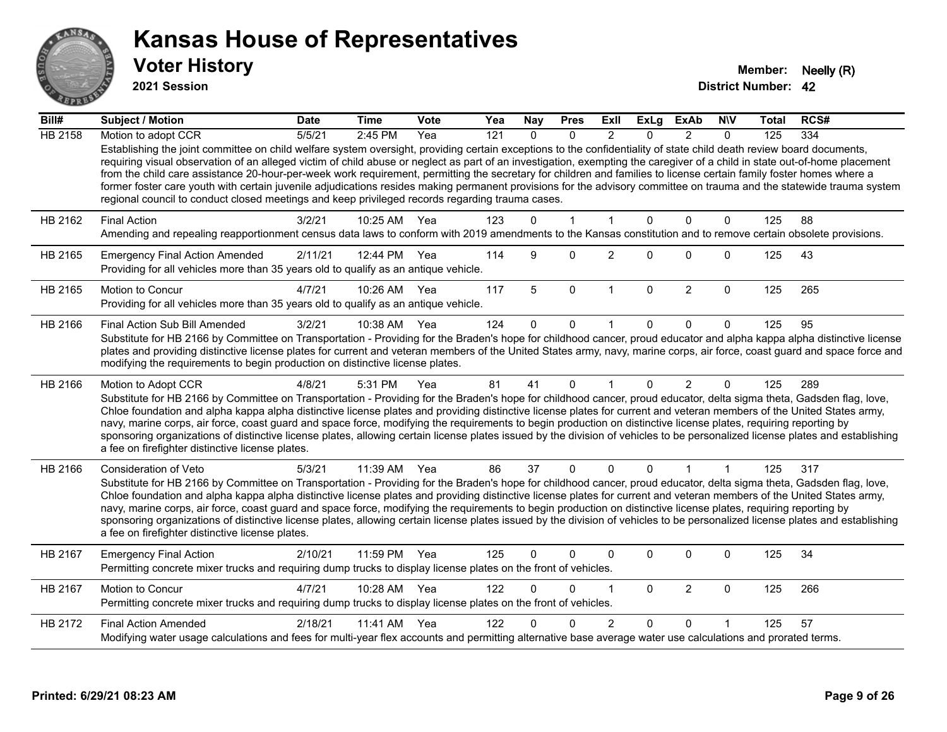

**2021 Session**

| $\overline{Bill#}$ | Subject / Motion                                                                                                                                                                                                                                                                                                                                                                                                                                                                                                                                                                                                                                                                                                                                                                                      | <b>Date</b> | <b>Time</b>  | <b>Vote</b> | Yea              | <b>Nay</b>   | <b>Pres</b>  | ExII           | <b>ExLg</b>  | <b>ExAb</b>    | <b>NIV</b>   | <b>Total</b> | RCS# |
|--------------------|-------------------------------------------------------------------------------------------------------------------------------------------------------------------------------------------------------------------------------------------------------------------------------------------------------------------------------------------------------------------------------------------------------------------------------------------------------------------------------------------------------------------------------------------------------------------------------------------------------------------------------------------------------------------------------------------------------------------------------------------------------------------------------------------------------|-------------|--------------|-------------|------------------|--------------|--------------|----------------|--------------|----------------|--------------|--------------|------|
| <b>HB 2158</b>     | Motion to adopt CCR                                                                                                                                                                                                                                                                                                                                                                                                                                                                                                                                                                                                                                                                                                                                                                                   | 5/5/21      | 2:45 PM      | Yea         | $\overline{121}$ | $\Omega$     | $\Omega$     | $\mathcal{P}$  | $\Omega$     | $\mathcal{P}$  | $\Omega$     | 125          | 334  |
|                    | Establishing the joint committee on child welfare system oversight, providing certain exceptions to the confidentiality of state child death review board documents,<br>requiring visual observation of an alleged victim of child abuse or neglect as part of an investigation, exempting the caregiver of a child in state out-of-home placement<br>from the child care assistance 20-hour-per-week work requirement, permitting the secretary for children and families to license certain family foster homes where a<br>former foster care youth with certain juvenile adjudications resides making permanent provisions for the advisory committee on trauma and the statewide trauma system<br>regional council to conduct closed meetings and keep privileged records regarding trauma cases. |             |              |             |                  |              |              |                |              |                |              |              |      |
| HB 2162            | <b>Final Action</b>                                                                                                                                                                                                                                                                                                                                                                                                                                                                                                                                                                                                                                                                                                                                                                                   | 3/2/21      | 10:25 AM     | Yea         | 123              | $\Omega$     | $\mathbf{1}$ | $\mathbf{1}$   | $\Omega$     | $\Omega$       | $\mathbf{0}$ | 125          | 88   |
|                    | Amending and repealing reapportionment census data laws to conform with 2019 amendments to the Kansas constitution and to remove certain obsolete provisions.                                                                                                                                                                                                                                                                                                                                                                                                                                                                                                                                                                                                                                         |             |              |             |                  |              |              |                |              |                |              |              |      |
| HB 2165            | <b>Emergency Final Action Amended</b><br>Providing for all vehicles more than 35 years old to qualify as an antique vehicle.                                                                                                                                                                                                                                                                                                                                                                                                                                                                                                                                                                                                                                                                          | 2/11/21     | 12:44 PM Yea |             | 114              | 9            | $\Omega$     | $\overline{2}$ | $\Omega$     | $\Omega$       | $\mathbf{0}$ | 125          | 43   |
| HB 2165            | Motion to Concur<br>Providing for all vehicles more than 35 years old to qualify as an antique vehicle.                                                                                                                                                                                                                                                                                                                                                                                                                                                                                                                                                                                                                                                                                               | 4/7/21      | 10:26 AM     | Yea         | 117              | 5            | $\mathbf 0$  | $\mathbf{1}$   | $\mathbf{0}$ | $\overline{2}$ | $\mathbf 0$  | 125          | 265  |
| HB 2166            | Final Action Sub Bill Amended                                                                                                                                                                                                                                                                                                                                                                                                                                                                                                                                                                                                                                                                                                                                                                         | 3/2/21      | 10:38 AM     | Yea         | 124              | $\Omega$     | 0            |                | $\Omega$     | $\Omega$       | $\Omega$     | 125          | 95   |
|                    | Substitute for HB 2166 by Committee on Transportation - Providing for the Braden's hope for childhood cancer, proud educator and alpha kappa alpha distinctive license<br>plates and providing distinctive license plates for current and veteran members of the United States army, navy, marine corps, air force, coast guard and space force and<br>modifying the requirements to begin production on distinctive license plates.                                                                                                                                                                                                                                                                                                                                                                  |             |              |             |                  |              |              |                |              |                |              |              |      |
| HB 2166            | Motion to Adopt CCR<br>Substitute for HB 2166 by Committee on Transportation - Providing for the Braden's hope for childhood cancer, proud educator, delta sigma theta, Gadsden flag, love,<br>Chloe foundation and alpha kappa alpha distinctive license plates and providing distinctive license plates for current and veteran members of the United States army,<br>navy, marine corps, air force, coast guard and space force, modifying the requirements to begin production on distinctive license plates, requiring reporting by<br>sponsoring organizations of distinctive license plates, allowing certain license plates issued by the division of vehicles to be personalized license plates and establishing<br>a fee on firefighter distinctive license plates.                         | 4/8/21      | 5:31 PM      | Yea         | 81               | 41           | $\mathbf{0}$ | $\mathbf{1}$   | $\Omega$     | $\overline{2}$ | $\mathbf{0}$ | 125          | 289  |
| HB 2166            | Consideration of Veto                                                                                                                                                                                                                                                                                                                                                                                                                                                                                                                                                                                                                                                                                                                                                                                 | 5/3/21      | 11:39 AM     | Yea         | 86               | 37           | $\mathbf{0}$ | $\mathbf{0}$   | $\mathbf{0}$ | 1              | $\mathbf{1}$ | 125          | 317  |
|                    | Substitute for HB 2166 by Committee on Transportation - Providing for the Braden's hope for childhood cancer, proud educator, delta sigma theta, Gadsden flag, love,<br>Chloe foundation and alpha kappa alpha distinctive license plates and providing distinctive license plates for current and veteran members of the United States army,<br>navy, marine corps, air force, coast guard and space force, modifying the requirements to begin production on distinctive license plates, requiring reporting by<br>sponsoring organizations of distinctive license plates, allowing certain license plates issued by the division of vehicles to be personalized license plates and establishing<br>a fee on firefighter distinctive license plates.                                                |             |              |             |                  |              |              |                |              |                |              |              |      |
| HB 2167            | <b>Emergency Final Action</b><br>Permitting concrete mixer trucks and requiring dump trucks to display license plates on the front of vehicles.                                                                                                                                                                                                                                                                                                                                                                                                                                                                                                                                                                                                                                                       | 2/10/21     | 11:59 PM     | Yea         | 125              | $\mathbf{0}$ | 0            | $\Omega$       | $\Omega$     | 0              | 0            | 125          | 34   |
| HB 2167            | Motion to Concur<br>Permitting concrete mixer trucks and requiring dump trucks to display license plates on the front of vehicles.                                                                                                                                                                                                                                                                                                                                                                                                                                                                                                                                                                                                                                                                    | 4/7/21      | 10:28 AM     | Yea         | 122              | $\Omega$     | 0            | 1              | $\mathbf{0}$ | $\overline{2}$ | $\mathbf 0$  | 125          | 266  |
| HB 2172            | <b>Final Action Amended</b>                                                                                                                                                                                                                                                                                                                                                                                                                                                                                                                                                                                                                                                                                                                                                                           | 2/18/21     | 11:41 AM     | Yea         | 122              |              | 0            | $\overline{2}$ | $\Omega$     | $\Omega$       |              | 125          | 57   |
|                    | Modifying water usage calculations and fees for multi-year flex accounts and permitting alternative base average water use calculations and prorated terms.                                                                                                                                                                                                                                                                                                                                                                                                                                                                                                                                                                                                                                           |             |              |             |                  |              |              |                |              |                |              |              |      |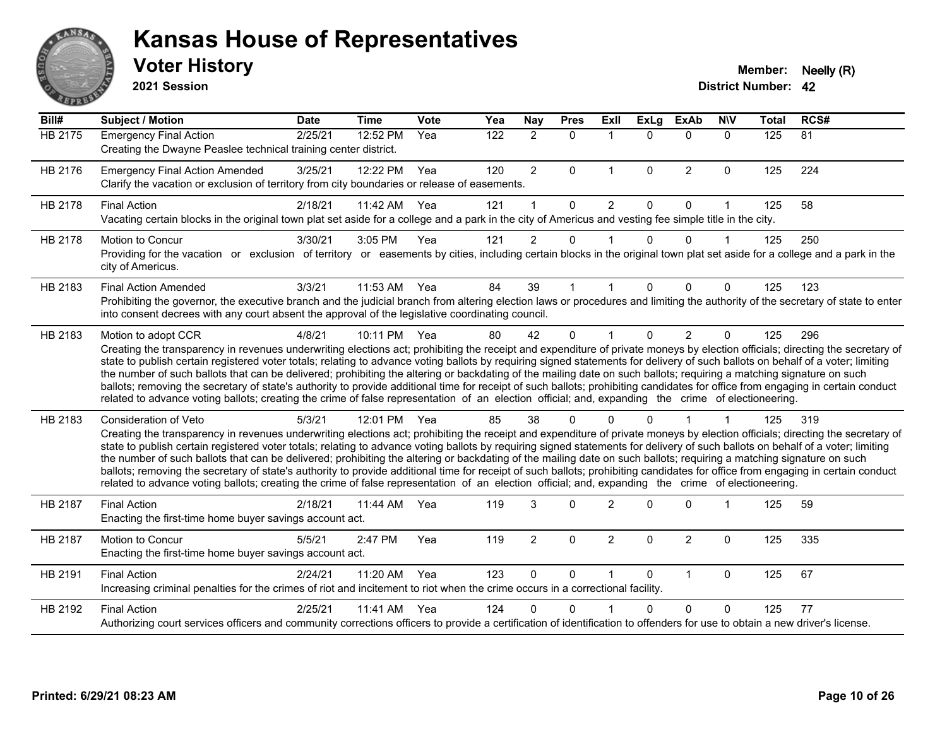

**2021 Session**

| Bill#          | <b>Subject / Motion</b>                                                                                                                                                                                                                                                                                                                                                                                                                                                                                                                                                                                                                                                                                                                                                                                                                                                                                           | <b>Date</b> | <b>Time</b> | Vote | Yea | Nay            | <b>Pres</b>  | <b>Exll</b>    | <b>ExLg</b>  | <b>ExAb</b>    | <b>NIV</b>   | <b>Total</b>     | RCS# |
|----------------|-------------------------------------------------------------------------------------------------------------------------------------------------------------------------------------------------------------------------------------------------------------------------------------------------------------------------------------------------------------------------------------------------------------------------------------------------------------------------------------------------------------------------------------------------------------------------------------------------------------------------------------------------------------------------------------------------------------------------------------------------------------------------------------------------------------------------------------------------------------------------------------------------------------------|-------------|-------------|------|-----|----------------|--------------|----------------|--------------|----------------|--------------|------------------|------|
| <b>HB 2175</b> | <b>Emergency Final Action</b><br>Creating the Dwayne Peaslee technical training center district.                                                                                                                                                                                                                                                                                                                                                                                                                                                                                                                                                                                                                                                                                                                                                                                                                  | 2/25/21     | 12:52 PM    | Yea  | 122 | $\overline{2}$ | $\Omega$     | $\mathbf{1}$   | $\Omega$     | $\Omega$       | $\Omega$     | $\overline{125}$ | 81   |
| HB 2176        | <b>Emergency Final Action Amended</b><br>Clarify the vacation or exclusion of territory from city boundaries or release of easements.                                                                                                                                                                                                                                                                                                                                                                                                                                                                                                                                                                                                                                                                                                                                                                             | 3/25/21     | 12:22 PM    | Yea  | 120 | $\overline{2}$ | $\Omega$     | $\mathbf{1}$   | $\mathbf{0}$ | $\overline{2}$ | $\mathbf{0}$ | 125              | 224  |
| HB 2178        | <b>Final Action</b><br>Vacating certain blocks in the original town plat set aside for a college and a park in the city of Americus and vesting fee simple title in the city.                                                                                                                                                                                                                                                                                                                                                                                                                                                                                                                                                                                                                                                                                                                                     | 2/18/21     | 11:42 AM    | Yea  | 121 | $\mathbf{1}$   | $\Omega$     | $\overline{2}$ | $\Omega$     | $\Omega$       | $\mathbf{1}$ | 125              | 58   |
| HB 2178        | Motion to Concur<br>Providing for the vacation or exclusion of territory or easements by cities, including certain blocks in the original town plat set aside for a college and a park in the<br>city of Americus.                                                                                                                                                                                                                                                                                                                                                                                                                                                                                                                                                                                                                                                                                                | 3/30/21     | 3:05 PM     | Yea  | 121 | $\overline{2}$ | $\Omega$     |                | $\Omega$     | $\Omega$       | $\mathbf 1$  | 125              | 250  |
| HB 2183        | <b>Final Action Amended</b><br>Prohibiting the governor, the executive branch and the judicial branch from altering election laws or procedures and limiting the authority of the secretary of state to enter<br>into consent decrees with any court absent the approval of the legislative coordinating council.                                                                                                                                                                                                                                                                                                                                                                                                                                                                                                                                                                                                 | 3/3/21      | 11:53 AM    | Yea  | 84  | 39             |              |                | 0            | $\Omega$       | $\Omega$     | 125              | 123  |
| HB 2183        | Motion to adopt CCR<br>Creating the transparency in revenues underwriting elections act; prohibiting the receipt and expenditure of private moneys by election officials; directing the secretary of<br>state to publish certain registered voter totals; relating to advance voting ballots by requiring signed statements for delivery of such ballots on behalf of a voter; limiting<br>the number of such ballots that can be delivered; prohibiting the altering or backdating of the mailing date on such ballots; requiring a matching signature on such<br>ballots; removing the secretary of state's authority to provide additional time for receipt of such ballots; prohibiting candidates for office from engaging in certain conduct<br>related to advance voting ballots; creating the crime of false representation of an election official; and, expanding the crime of electioneering.          | 4/8/21      | 10:11 PM    | Yea  | 80  | 42             | $\mathbf{0}$ |                | $\Omega$     | $\overline{2}$ | $\Omega$     | 125              | 296  |
| HB 2183        | <b>Consideration of Veto</b><br>Creating the transparency in revenues underwriting elections act; prohibiting the receipt and expenditure of private moneys by election officials; directing the secretary of<br>state to publish certain registered voter totals; relating to advance voting ballots by requiring signed statements for delivery of such ballots on behalf of a voter; limiting<br>the number of such ballots that can be delivered; prohibiting the altering or backdating of the mailing date on such ballots; requiring a matching signature on such<br>ballots; removing the secretary of state's authority to provide additional time for receipt of such ballots; prohibiting candidates for office from engaging in certain conduct<br>related to advance voting ballots; creating the crime of false representation of an election official; and, expanding the crime of electioneering. | 5/3/21      | 12:01 PM    | Yea  | 85  | 38             | $\Omega$     |                | U            |                |              | 125              | 319  |
| <b>HB 2187</b> | <b>Final Action</b><br>Enacting the first-time home buyer savings account act.                                                                                                                                                                                                                                                                                                                                                                                                                                                                                                                                                                                                                                                                                                                                                                                                                                    | 2/18/21     | 11:44 AM    | Yea  | 119 | 3              | $\Omega$     | $\mathcal{P}$  | O.           | $\Omega$       |              | 125              | 59   |
| HB 2187        | Motion to Concur<br>Enacting the first-time home buyer savings account act.                                                                                                                                                                                                                                                                                                                                                                                                                                                                                                                                                                                                                                                                                                                                                                                                                                       | 5/5/21      | 2:47 PM     | Yea  | 119 | $\overline{2}$ | 0            | $\overline{2}$ | $\mathbf{0}$ | $\overline{2}$ | $\mathbf{0}$ | 125              | 335  |
| HB 2191        | <b>Final Action</b><br>Increasing criminal penalties for the crimes of riot and incitement to riot when the crime occurs in a correctional facility.                                                                                                                                                                                                                                                                                                                                                                                                                                                                                                                                                                                                                                                                                                                                                              | 2/24/21     | 11:20 AM    | Yea  | 123 | $\Omega$       | 0            |                | $\Omega$     | $\mathbf{1}$   | $\mathbf{0}$ | 125              | 67   |
| HB 2192        | <b>Final Action</b><br>Authorizing court services officers and community corrections officers to provide a certification of identification to offenders for use to obtain a new driver's license.                                                                                                                                                                                                                                                                                                                                                                                                                                                                                                                                                                                                                                                                                                                 | 2/25/21     | 11:41 AM    | Yea  | 124 | 0              | $\Omega$     |                | $\Omega$     | $\Omega$       | $\Omega$     | 125              | 77   |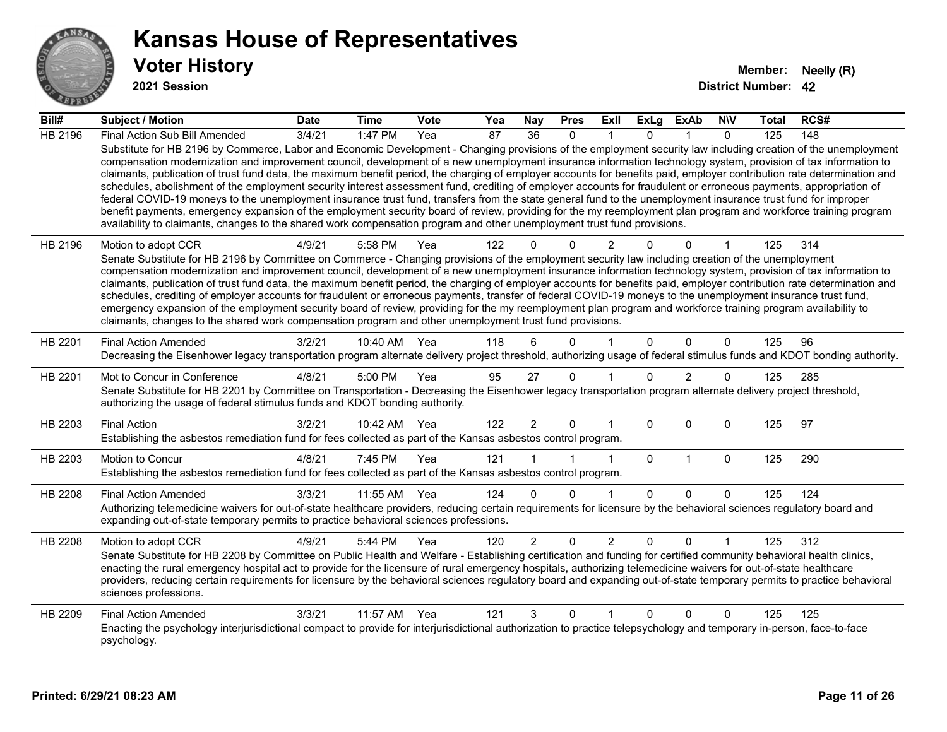

**2021 Session**

| Bill#          | Subject / Motion                                                                                                                                                                                                                                                                                                                                                                                                                                                                                                                                                                                                                                                                                                                                                                                                                                                                                                                                                                                                                                                                                                                                  | <b>Date</b>     | <b>Time</b>  | <b>Vote</b> | Yea | Nay            | <b>Pres</b>  | ExII           | <b>ExLg</b> | <b>ExAb</b>    | <b>NIV</b>   | Total | RCS# |
|----------------|---------------------------------------------------------------------------------------------------------------------------------------------------------------------------------------------------------------------------------------------------------------------------------------------------------------------------------------------------------------------------------------------------------------------------------------------------------------------------------------------------------------------------------------------------------------------------------------------------------------------------------------------------------------------------------------------------------------------------------------------------------------------------------------------------------------------------------------------------------------------------------------------------------------------------------------------------------------------------------------------------------------------------------------------------------------------------------------------------------------------------------------------------|-----------------|--------------|-------------|-----|----------------|--------------|----------------|-------------|----------------|--------------|-------|------|
| HB 2196        | Final Action Sub Bill Amended                                                                                                                                                                                                                                                                                                                                                                                                                                                                                                                                                                                                                                                                                                                                                                                                                                                                                                                                                                                                                                                                                                                     | $\sqrt{3}/4/21$ | 1:47 $PM$    | Yea         | 87  | 36             | $\Omega$     |                | $\Omega$    |                | $\Omega$     | 125   | 148  |
|                | Substitute for HB 2196 by Commerce, Labor and Economic Development - Changing provisions of the employment security law including creation of the unemployment<br>compensation modernization and improvement council, development of a new unemployment insurance information technology system, provision of tax information to<br>claimants, publication of trust fund data, the maximum benefit period, the charging of employer accounts for benefits paid, employer contribution rate determination and<br>schedules, abolishment of the employment security interest assessment fund, crediting of employer accounts for fraudulent or erroneous payments, appropriation of<br>federal COVID-19 moneys to the unemployment insurance trust fund, transfers from the state general fund to the unemployment insurance trust fund for improper<br>benefit payments, emergency expansion of the employment security board of review, providing for the my reemployment plan program and workforce training program<br>availability to claimants, changes to the shared work compensation program and other unemployment trust fund provisions. |                 |              |             |     |                |              |                |             |                |              |       |      |
| HB 2196        | Motion to adopt CCR                                                                                                                                                                                                                                                                                                                                                                                                                                                                                                                                                                                                                                                                                                                                                                                                                                                                                                                                                                                                                                                                                                                               | 4/9/21          | 5:58 PM      | Yea         | 122 | 0              | $\Omega$     | $\overline{2}$ |             | $\Omega$       |              | 125   | 314  |
|                | Senate Substitute for HB 2196 by Committee on Commerce - Changing provisions of the employment security law including creation of the unemployment<br>compensation modernization and improvement council, development of a new unemployment insurance information technology system, provision of tax information to                                                                                                                                                                                                                                                                                                                                                                                                                                                                                                                                                                                                                                                                                                                                                                                                                              |                 |              |             |     |                |              |                |             |                |              |       |      |
|                | claimants, publication of trust fund data, the maximum benefit period, the charging of employer accounts for benefits paid, employer contribution rate determination and                                                                                                                                                                                                                                                                                                                                                                                                                                                                                                                                                                                                                                                                                                                                                                                                                                                                                                                                                                          |                 |              |             |     |                |              |                |             |                |              |       |      |
|                | schedules, crediting of employer accounts for fraudulent or erroneous payments, transfer of federal COVID-19 moneys to the unemployment insurance trust fund,<br>emergency expansion of the employment security board of review, providing for the my reemployment plan program and workforce training program availability to                                                                                                                                                                                                                                                                                                                                                                                                                                                                                                                                                                                                                                                                                                                                                                                                                    |                 |              |             |     |                |              |                |             |                |              |       |      |
|                | claimants, changes to the shared work compensation program and other unemployment trust fund provisions.                                                                                                                                                                                                                                                                                                                                                                                                                                                                                                                                                                                                                                                                                                                                                                                                                                                                                                                                                                                                                                          |                 |              |             |     |                |              |                |             |                |              |       |      |
| HB 2201        | <b>Final Action Amended</b>                                                                                                                                                                                                                                                                                                                                                                                                                                                                                                                                                                                                                                                                                                                                                                                                                                                                                                                                                                                                                                                                                                                       | 3/2/21          | 10:40 AM     | Yea         | 118 | 6              | $\Omega$     |                | $\Omega$    | $\Omega$       | $\mathbf{0}$ | 125   | 96   |
|                | Decreasing the Eisenhower legacy transportation program alternate delivery project threshold, authorizing usage of federal stimulus funds and KDOT bonding authority.                                                                                                                                                                                                                                                                                                                                                                                                                                                                                                                                                                                                                                                                                                                                                                                                                                                                                                                                                                             |                 |              |             |     |                |              |                |             |                |              |       |      |
| HB 2201        | Mot to Concur in Conference                                                                                                                                                                                                                                                                                                                                                                                                                                                                                                                                                                                                                                                                                                                                                                                                                                                                                                                                                                                                                                                                                                                       | 4/8/21          | 5:00 PM      | Yea         | 95  | 27             | $\mathbf{0}$ |                | $\Omega$    | $\overline{2}$ | $\Omega$     | 125   | 285  |
|                | Senate Substitute for HB 2201 by Committee on Transportation - Decreasing the Eisenhower legacy transportation program alternate delivery project threshold,<br>authorizing the usage of federal stimulus funds and KDOT bonding authority.                                                                                                                                                                                                                                                                                                                                                                                                                                                                                                                                                                                                                                                                                                                                                                                                                                                                                                       |                 |              |             |     |                |              |                |             |                |              |       |      |
| HB 2203        | <b>Final Action</b>                                                                                                                                                                                                                                                                                                                                                                                                                                                                                                                                                                                                                                                                                                                                                                                                                                                                                                                                                                                                                                                                                                                               | 3/2/21          | 10:42 AM Yea |             | 122 | $\overline{2}$ | $\mathbf{0}$ | 1              | $\Omega$    | $\Omega$       | $\mathbf 0$  | 125   | 97   |
|                | Establishing the asbestos remediation fund for fees collected as part of the Kansas asbestos control program.                                                                                                                                                                                                                                                                                                                                                                                                                                                                                                                                                                                                                                                                                                                                                                                                                                                                                                                                                                                                                                     |                 |              |             |     |                |              |                |             |                |              |       |      |
| HB 2203        | Motion to Concur                                                                                                                                                                                                                                                                                                                                                                                                                                                                                                                                                                                                                                                                                                                                                                                                                                                                                                                                                                                                                                                                                                                                  | 4/8/21          | 7:45 PM      | Yea         | 121 |                |              | 1              | $\mathbf 0$ | $\mathbf{1}$   | $\mathbf 0$  | 125   | 290  |
|                | Establishing the asbestos remediation fund for fees collected as part of the Kansas asbestos control program.                                                                                                                                                                                                                                                                                                                                                                                                                                                                                                                                                                                                                                                                                                                                                                                                                                                                                                                                                                                                                                     |                 |              |             |     |                |              |                |             |                |              |       |      |
| HB 2208        | <b>Final Action Amended</b>                                                                                                                                                                                                                                                                                                                                                                                                                                                                                                                                                                                                                                                                                                                                                                                                                                                                                                                                                                                                                                                                                                                       | 3/3/21          | 11:55 AM     | Yea         | 124 | $\Omega$       | $\Omega$     | 1              | $\Omega$    | $\Omega$       | $\mathbf{0}$ | 125   | 124  |
|                | Authorizing telemedicine waivers for out-of-state healthcare providers, reducing certain requirements for licensure by the behavioral sciences regulatory board and<br>expanding out-of-state temporary permits to practice behavioral sciences professions.                                                                                                                                                                                                                                                                                                                                                                                                                                                                                                                                                                                                                                                                                                                                                                                                                                                                                      |                 |              |             |     |                |              |                |             |                |              |       |      |
| <b>HB 2208</b> | Motion to adopt CCR                                                                                                                                                                                                                                                                                                                                                                                                                                                                                                                                                                                                                                                                                                                                                                                                                                                                                                                                                                                                                                                                                                                               | 4/9/21          | 5:44 PM      | Yea         | 120 | $\overline{2}$ | 0            | $\overline{2}$ | 0           | 0              |              | 125   | 312  |
|                | Senate Substitute for HB 2208 by Committee on Public Health and Welfare - Establishing certification and funding for certified community behavioral health clinics,<br>enacting the rural emergency hospital act to provide for the licensure of rural emergency hospitals, authorizing telemedicine waivers for out-of-state healthcare                                                                                                                                                                                                                                                                                                                                                                                                                                                                                                                                                                                                                                                                                                                                                                                                          |                 |              |             |     |                |              |                |             |                |              |       |      |
|                | providers, reducing certain requirements for licensure by the behavioral sciences regulatory board and expanding out-of-state temporary permits to practice behavioral<br>sciences professions.                                                                                                                                                                                                                                                                                                                                                                                                                                                                                                                                                                                                                                                                                                                                                                                                                                                                                                                                                   |                 |              |             |     |                |              |                |             |                |              |       |      |
| HB 2209        | <b>Final Action Amended</b>                                                                                                                                                                                                                                                                                                                                                                                                                                                                                                                                                                                                                                                                                                                                                                                                                                                                                                                                                                                                                                                                                                                       | 3/3/21          | 11:57 AM     | Yea         | 121 | 3              | 0            | 1              | 0           | 0              | $\mathbf 0$  | 125   | 125  |
|                | Enacting the psychology interjurisdictional compact to provide for interjurisdictional authorization to practice telepsychology and temporary in-person, face-to-face<br>psychology.                                                                                                                                                                                                                                                                                                                                                                                                                                                                                                                                                                                                                                                                                                                                                                                                                                                                                                                                                              |                 |              |             |     |                |              |                |             |                |              |       |      |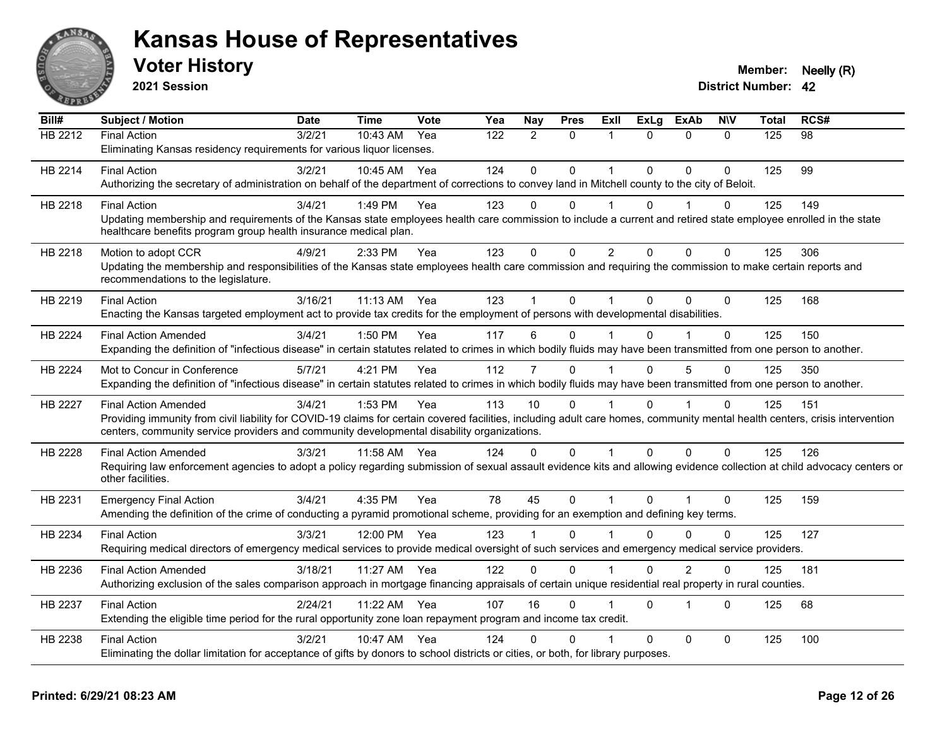

**2021 Session**

| Bill#          | <b>Subject / Motion</b>                                                                                                                                                      | <b>Date</b> | <b>Time</b> | Vote | Yea | Nay          | <b>Pres</b> | ExII           | <b>ExLg</b>  | <b>ExAb</b>             | <b>NIV</b>   | <b>Total</b> | RCS# |
|----------------|------------------------------------------------------------------------------------------------------------------------------------------------------------------------------|-------------|-------------|------|-----|--------------|-------------|----------------|--------------|-------------------------|--------------|--------------|------|
| HB 2212        | <b>Final Action</b>                                                                                                                                                          | 3/2/21      | $10:43$ AM  | Yea  | 122 | 2            | $\Omega$    | 1              | $\Omega$     | $\Omega$                | $\Omega$     | 125          | 98   |
|                | Eliminating Kansas residency requirements for various liquor licenses.                                                                                                       |             |             |      |     |              |             |                |              |                         |              |              |      |
| HB 2214        | <b>Final Action</b>                                                                                                                                                          | 3/2/21      | 10:45 AM    | Yea  | 124 | $\mathbf{0}$ | $\Omega$    | 1              | $\Omega$     | $\Omega$                | $\Omega$     | 125          | 99   |
|                | Authorizing the secretary of administration on behalf of the department of corrections to convey land in Mitchell county to the city of Beloit.                              |             |             |      |     |              |             |                |              |                         |              |              |      |
| HB 2218        | <b>Final Action</b>                                                                                                                                                          | 3/4/21      | 1:49 PM     | Yea  | 123 | $\Omega$     | $\Omega$    | $\overline{1}$ | 0            | 1                       | $\Omega$     | 125          | 149  |
|                | Updating membership and requirements of the Kansas state employees health care commission to include a current and retired state employee enrolled in the state              |             |             |      |     |              |             |                |              |                         |              |              |      |
|                | healthcare benefits program group health insurance medical plan.                                                                                                             |             |             |      |     |              |             |                |              |                         |              |              |      |
| HB 2218        | Motion to adopt CCR                                                                                                                                                          | 4/9/21      | 2:33 PM     | Yea  | 123 | $\mathbf 0$  | 0           | $\overline{c}$ | $\Omega$     | $\mathbf{0}$            | $\mathbf 0$  | 125          | 306  |
|                | Updating the membership and responsibilities of the Kansas state employees health care commission and requiring the commission to make certain reports and                   |             |             |      |     |              |             |                |              |                         |              |              |      |
|                | recommendations to the legislature.                                                                                                                                          |             |             |      |     |              |             |                |              |                         |              |              |      |
| HB 2219        | <b>Final Action</b>                                                                                                                                                          | 3/16/21     | 11:13 AM    | Yea  | 123 |              | $\Omega$    | 1              | $\Omega$     | $\Omega$                | $\Omega$     | 125          | 168  |
|                | Enacting the Kansas targeted employment act to provide tax credits for the employment of persons with developmental disabilities.                                            |             |             |      |     |              |             |                |              |                         |              |              |      |
| <b>HB 2224</b> | <b>Final Action Amended</b>                                                                                                                                                  | 3/4/21      | 1:50 PM     | Yea  | 117 | 6            | 0           |                | $\Omega$     |                         | $\Omega$     | 125          | 150  |
|                | Expanding the definition of "infectious disease" in certain statutes related to crimes in which bodily fluids may have been transmitted from one person to another.          |             |             |      |     |              |             |                |              |                         |              |              |      |
| HB 2224        | Mot to Concur in Conference                                                                                                                                                  | 5/7/21      | 4:21 PM     | Yea  | 112 | 7            | $\Omega$    |                | $\Omega$     | $\overline{5}$          | $\Omega$     | 125          | 350  |
|                | Expanding the definition of "infectious disease" in certain statutes related to crimes in which bodily fluids may have been transmitted from one person to another.          |             |             |      |     |              |             |                |              |                         |              |              |      |
| <b>HB 2227</b> | <b>Final Action Amended</b>                                                                                                                                                  | 3/4/21      | 1:53 PM     | Yea  | 113 | 10           | $\Omega$    |                | $\Omega$     |                         | $\Omega$     | 125          | 151  |
|                | Providing immunity from civil liability for COVID-19 claims for certain covered facilities, including adult care homes, community mental health centers, crisis intervention |             |             |      |     |              |             |                |              |                         |              |              |      |
|                | centers, community service providers and community developmental disability organizations.                                                                                   |             |             |      |     |              |             |                |              |                         |              |              |      |
| HB 2228        | <b>Final Action Amended</b>                                                                                                                                                  | 3/3/21      | 11:58 AM    | Yea  | 124 | $\Omega$     | $\Omega$    | $\overline{1}$ | $\Omega$     | $\mathbf{0}$            | $\Omega$     | 125          | 126  |
|                | Requiring law enforcement agencies to adopt a policy regarding submission of sexual assault evidence kits and allowing evidence collection at child advocacy centers or      |             |             |      |     |              |             |                |              |                         |              |              |      |
|                | other facilities.                                                                                                                                                            |             |             |      |     |              |             |                |              |                         |              |              |      |
| HB 2231        | <b>Emergency Final Action</b>                                                                                                                                                | 3/4/21      | 4:35 PM     | Yea  | 78  | 45           | $\mathbf 0$ | $\mathbf{1}$   | $\mathbf{0}$ | $\overline{1}$          | $\mathbf{0}$ | 125          | 159  |
|                | Amending the definition of the crime of conducting a pyramid promotional scheme, providing for an exemption and defining key terms.                                          |             |             |      |     |              |             |                |              |                         |              |              |      |
| HB 2234        | <b>Final Action</b>                                                                                                                                                          | 3/3/21      | 12:00 PM    | Yea  | 123 |              | $\Omega$    |                | 0            | $\Omega$                | 0            | 125          | 127  |
|                | Requiring medical directors of emergency medical services to provide medical oversight of such services and emergency medical service providers.                             |             |             |      |     |              |             |                |              |                         |              |              |      |
| HB 2236        | <b>Final Action Amended</b>                                                                                                                                                  | 3/18/21     | 11:27 AM    | Yea  | 122 | $\Omega$     | 0           |                | $\Omega$     | 2                       | 0            | 125          | 181  |
|                | Authorizing exclusion of the sales comparison approach in mortgage financing appraisals of certain unique residential real property in rural counties.                       |             |             |      |     |              |             |                |              |                         |              |              |      |
| HB 2237        | <b>Final Action</b>                                                                                                                                                          | 2/24/21     | 11:22 AM    | Yea  | 107 | 16           | $\Omega$    |                | $\Omega$     | $\overline{\mathbf{1}}$ | $\Omega$     | 125          | 68   |
|                | Extending the eligible time period for the rural opportunity zone loan repayment program and income tax credit.                                                              |             |             |      |     |              |             |                |              |                         |              |              |      |
| HB 2238        | <b>Final Action</b>                                                                                                                                                          | 3/2/21      | 10:47 AM    | Yea  | 124 | 0            | 0           |                | $\Omega$     | $\mathbf{0}$            | 0            | 125          | 100  |
|                | Eliminating the dollar limitation for acceptance of gifts by donors to school districts or cities, or both, for library purposes.                                            |             |             |      |     |              |             |                |              |                         |              |              |      |
|                |                                                                                                                                                                              |             |             |      |     |              |             |                |              |                         |              |              |      |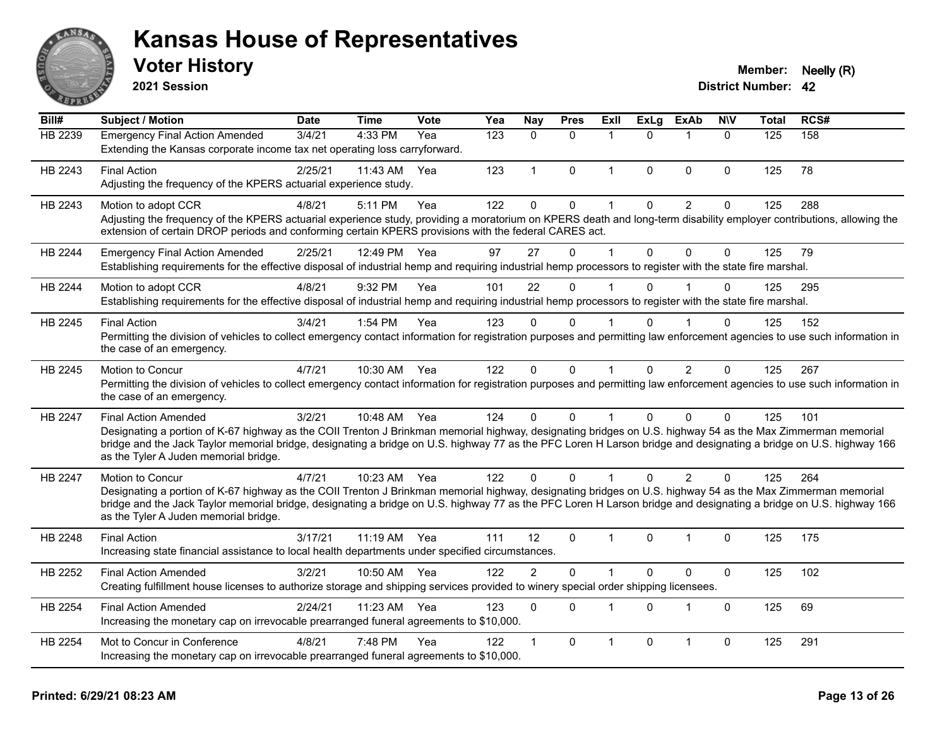

**2021 Session**

#### **Voter History Member: Neelly (R)**

| Bill#          | <b>Subject / Motion</b>                                                                                                                                                                                                                                                                                                                                                                                  | <b>Date</b> | <b>Time</b>  | <b>Vote</b> | Yea | Nay            | <b>Pres</b>  | ExII         | <b>ExLg</b>  | <b>ExAb</b>    | <b>NIV</b>  | <b>Total</b> | RCS# |
|----------------|----------------------------------------------------------------------------------------------------------------------------------------------------------------------------------------------------------------------------------------------------------------------------------------------------------------------------------------------------------------------------------------------------------|-------------|--------------|-------------|-----|----------------|--------------|--------------|--------------|----------------|-------------|--------------|------|
| HB 2239        | <b>Emergency Final Action Amended</b><br>Extending the Kansas corporate income tax net operating loss carryforward.                                                                                                                                                                                                                                                                                      | 3/4/21      | 4:33 PM      | Yea         | 123 | $\Omega$       | $\Omega$     | $\mathbf 1$  | $\Omega$     | -1             | $\Omega$    | 125          | 158  |
| HB 2243        | <b>Final Action</b><br>Adjusting the frequency of the KPERS actuarial experience study.                                                                                                                                                                                                                                                                                                                  | 2/25/21     | 11:43 AM     | Yea         | 123 | $\mathbf{1}$   | $\mathbf 0$  | $\mathbf{1}$ | $\mathbf{0}$ | $\mathbf{0}$   | 0           | 125          | 78   |
| HB 2243        | Motion to adopt CCR<br>Adjusting the frequency of the KPERS actuarial experience study, providing a moratorium on KPERS death and long-term disability employer contributions, allowing the<br>extension of certain DROP periods and conforming certain KPERS provisions with the federal CARES act.                                                                                                     | 4/8/21      | 5:11 PM      | Yea         | 122 | $\mathbf{0}$   | 0            | $\mathbf{1}$ | $\mathbf{0}$ | $\overline{2}$ | 0           | 125          | 288  |
| HB 2244        | <b>Emergency Final Action Amended</b><br>Establishing requirements for the effective disposal of industrial hemp and requiring industrial hemp processors to register with the state fire marshal.                                                                                                                                                                                                       | 2/25/21     | 12:49 PM     | Yea         | 97  | 27             | $\mathbf{0}$ | $\mathbf{1}$ | $\mathbf{0}$ | $\mathbf{0}$   | $\mathbf 0$ | 125          | 79   |
| HB 2244        | Motion to adopt CCR<br>Establishing requirements for the effective disposal of industrial hemp and requiring industrial hemp processors to register with the state fire marshal.                                                                                                                                                                                                                         | 4/8/21      | 9:32 PM      | Yea         | 101 | 22             | 0            | $\mathbf 1$  | $\Omega$     |                | 0           | 125          | 295  |
| HB 2245        | <b>Final Action</b><br>Permitting the division of vehicles to collect emergency contact information for registration purposes and permitting law enforcement agencies to use such information in<br>the case of an emergency.                                                                                                                                                                            | 3/4/21      | 1:54 PM      | Yea         | 123 | $\Omega$       | 0            | $\mathbf 1$  | 0            |                | 0           | 125          | 152  |
| HB 2245        | Motion to Concur<br>Permitting the division of vehicles to collect emergency contact information for registration purposes and permitting law enforcement agencies to use such information in<br>the case of an emergency.                                                                                                                                                                               | 4/7/21      | 10:30 AM     | Yea         | 122 | $\mathbf{0}$   | $\mathbf{0}$ | $\mathbf{1}$ | $\mathbf{0}$ | $\overline{2}$ | 0           | 125          | 267  |
| HB 2247        | <b>Final Action Amended</b><br>Designating a portion of K-67 highway as the COII Trenton J Brinkman memorial highway, designating bridges on U.S. highway 54 as the Max Zimmerman memorial<br>bridge and the Jack Taylor memorial bridge, designating a bridge on U.S. highway 77 as the PFC Loren H Larson bridge and designating a bridge on U.S. highway 166<br>as the Tyler A Juden memorial bridge. | 3/2/21      | 10:48 AM Yea |             | 124 | $\Omega$       | $\Omega$     | $\mathbf 1$  | $\Omega$     | $\Omega$       | 0           | 125          | 101  |
| <b>HB 2247</b> | Motion to Concur<br>Designating a portion of K-67 highway as the COII Trenton J Brinkman memorial highway, designating bridges on U.S. highway 54 as the Max Zimmerman memorial<br>bridge and the Jack Taylor memorial bridge, designating a bridge on U.S. highway 77 as the PFC Loren H Larson bridge and designating a bridge on U.S. highway 166<br>as the Tyler A Juden memorial bridge.            | 4/7/21      | 10:23 AM Yea |             | 122 | $\Omega$       | $\Omega$     |              | 0            | $\overline{2}$ | 0           | 125          | 264  |
| HB 2248        | <b>Final Action</b><br>Increasing state financial assistance to local health departments under specified circumstances.                                                                                                                                                                                                                                                                                  | 3/17/21     | 11:19 AM Yea |             | 111 | 12             | $\Omega$     | $\mathbf 1$  | $\Omega$     | -1             | 0           | 125          | 175  |
| HB 2252        | <b>Final Action Amended</b><br>Creating fulfillment house licenses to authorize storage and shipping services provided to winery special order shipping licensees.                                                                                                                                                                                                                                       | 3/2/21      | 10:50 AM     | Yea         | 122 | $\overline{2}$ | $\mathbf 0$  | $\mathbf 1$  | $\mathbf 0$  | $\pmb{0}$      | $\mathbf 0$ | 125          | 102  |
| HB 2254        | <b>Final Action Amended</b><br>Increasing the monetary cap on irrevocable prearranged funeral agreements to \$10,000.                                                                                                                                                                                                                                                                                    | 2/24/21     | $11:23$ AM   | Yea         | 123 | $\mathbf{0}$   | $\Omega$     | $\mathbf 1$  | $\Omega$     | $\overline{1}$ | $\Omega$    | 125          | 69   |
| HB 2254        | Mot to Concur in Conference<br>Increasing the monetary cap on irrevocable prearranged funeral agreements to \$10,000.                                                                                                                                                                                                                                                                                    | 4/8/21      | 7:48 PM      | Yea         | 122 | 1              | $\mathbf 0$  | $\mathbf{1}$ | $\Omega$     | $\overline{1}$ | 0           | 125          | 291  |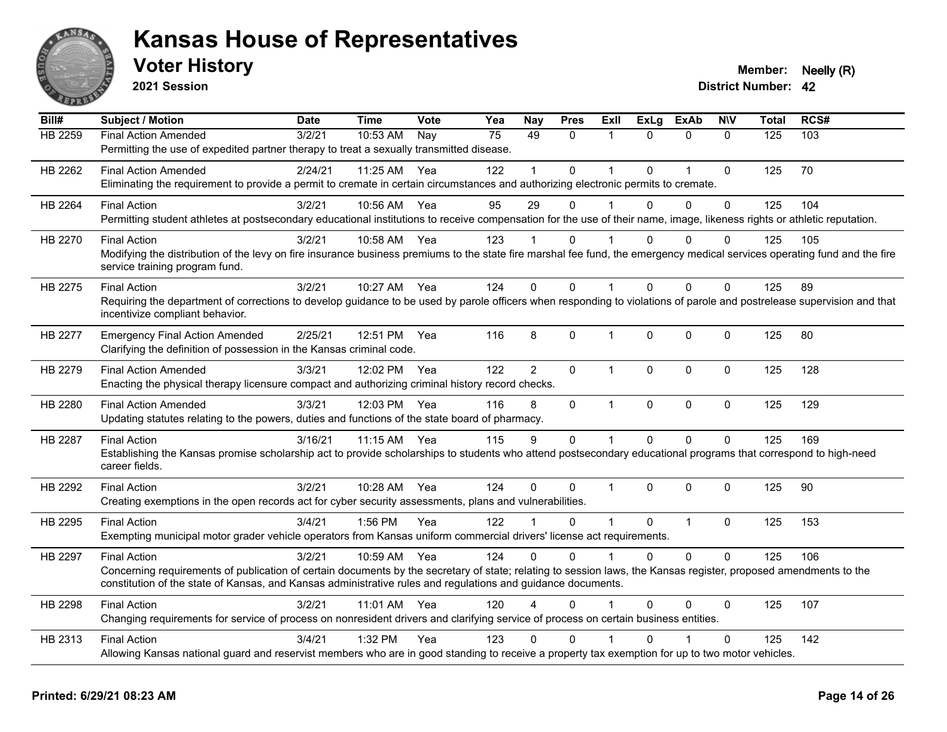

**2021 Session**

| Bill#          | <b>Subject / Motion</b>                                                                                                                                                                                   | <b>Date</b> | <b>Time</b>  | Vote | Yea | <b>Nay</b>     | <b>Pres</b>  | ExII           | <b>ExLg</b> | <b>ExAb</b>    | <b>NIV</b>   | <b>Total</b> | RCS# |
|----------------|-----------------------------------------------------------------------------------------------------------------------------------------------------------------------------------------------------------|-------------|--------------|------|-----|----------------|--------------|----------------|-------------|----------------|--------------|--------------|------|
| <b>HB 2259</b> | <b>Final Action Amended</b>                                                                                                                                                                               | 3/2/21      | 10:53 AM     | Nay  | 75  | 49             | $\Omega$     | 1              | $\Omega$    | $\mathbf{0}$   | $\Omega$     | 125          | 103  |
|                | Permitting the use of expedited partner therapy to treat a sexually transmitted disease.                                                                                                                  |             |              |      |     |                |              |                |             |                |              |              |      |
| HB 2262        | <b>Final Action Amended</b>                                                                                                                                                                               | 2/24/21     | 11:25 AM     | Yea  | 122 |                | $\Omega$     | $\overline{1}$ | $\Omega$    | $\overline{1}$ | $\mathbf{0}$ | 125          | 70   |
|                | Eliminating the requirement to provide a permit to cremate in certain circumstances and authorizing electronic permits to cremate.                                                                        |             |              |      |     |                |              |                |             |                |              |              |      |
| HB 2264        | <b>Final Action</b>                                                                                                                                                                                       | 3/2/21      | 10:56 AM     | Yea  | 95  | 29             | $\Omega$     |                | $\Omega$    | $\Omega$       | $\Omega$     | 125          | 104  |
|                | Permitting student athletes at postsecondary educational institutions to receive compensation for the use of their name, image, likeness rights or athletic reputation.                                   |             |              |      |     |                |              |                |             |                |              |              |      |
| HB 2270        | <b>Final Action</b>                                                                                                                                                                                       | 3/2/21      | 10:58 AM     | Yea  | 123 |                | 0            |                | 0           | $\Omega$       | $\Omega$     | 125          | 105  |
|                | Modifying the distribution of the levy on fire insurance business premiums to the state fire marshal fee fund, the emergency medical services operating fund and the fire                                 |             |              |      |     |                |              |                |             |                |              |              |      |
|                | service training program fund.                                                                                                                                                                            |             |              |      |     |                |              |                |             |                |              |              |      |
| HB 2275        | <b>Final Action</b>                                                                                                                                                                                       | 3/2/21      | 10:27 AM     | Yea  | 124 | 0              | 0            | $\overline{1}$ | $\Omega$    | $\Omega$       | $\mathbf{0}$ | 125          | 89   |
|                | Requiring the department of corrections to develop guidance to be used by parole officers when responding to violations of parole and postrelease supervision and that<br>incentivize compliant behavior. |             |              |      |     |                |              |                |             |                |              |              |      |
| HB 2277        | <b>Emergency Final Action Amended</b>                                                                                                                                                                     | 2/25/21     | 12:51 PM     | Yea  | 116 | 8              | 0            | $\mathbf 1$    | $\mathbf 0$ | $\mathbf 0$    | $\mathbf 0$  | 125          | 80   |
|                | Clarifying the definition of possession in the Kansas criminal code.                                                                                                                                      |             |              |      |     |                |              |                |             |                |              |              |      |
| HB 2279        | <b>Final Action Amended</b>                                                                                                                                                                               | 3/3/21      | 12:02 PM     | Yea  | 122 | $\overline{2}$ | $\Omega$     | $\mathbf{1}$   | $\Omega$    | $\mathbf{0}$   | $\Omega$     | 125          | 128  |
|                | Enacting the physical therapy licensure compact and authorizing criminal history record checks.                                                                                                           |             |              |      |     |                |              |                |             |                |              |              |      |
| HB 2280        | <b>Final Action Amended</b>                                                                                                                                                                               | 3/3/21      | 12:03 PM Yea |      | 116 | 8              | $\mathbf 0$  | $\mathbf{1}$   | 0           | $\mathbf 0$    | $\mathbf 0$  | 125          | 129  |
|                | Updating statutes relating to the powers, duties and functions of the state board of pharmacy.                                                                                                            |             |              |      |     |                |              |                |             |                |              |              |      |
| HB 2287        | <b>Final Action</b>                                                                                                                                                                                       | 3/16/21     | 11:15 AM     | Yea  | 115 | 9              | 0            | $\mathbf{1}$   | $\Omega$    | $\Omega$       | $\mathbf 0$  | 125          | 169  |
|                | Establishing the Kansas promise scholarship act to provide scholarships to students who attend postsecondary educational programs that correspond to high-need                                            |             |              |      |     |                |              |                |             |                |              |              |      |
|                | career fields.                                                                                                                                                                                            |             |              |      |     |                |              |                |             |                |              |              |      |
| HB 2292        | <b>Final Action</b>                                                                                                                                                                                       | 3/2/21      | 10:28 AM     | Yea  | 124 | 0              | $\Omega$     | $\mathbf{1}$   | $\Omega$    | $\Omega$       | $\mathbf{0}$ | 125          | 90   |
|                | Creating exemptions in the open records act for cyber security assessments, plans and vulnerabilities.                                                                                                    |             |              |      |     |                |              |                |             |                |              |              |      |
| HB 2295        | <b>Final Action</b>                                                                                                                                                                                       | 3/4/21      | $1:56$ PM    | Yea  | 122 |                | 0            | $\mathbf{1}$   | $\Omega$    | $\mathbf{1}$   | $\mathbf{0}$ | 125          | 153  |
|                | Exempting municipal motor grader vehicle operators from Kansas uniform commercial drivers' license act requirements.                                                                                      |             |              |      |     |                |              |                |             |                |              |              |      |
| HB 2297        | <b>Final Action</b>                                                                                                                                                                                       | 3/2/21      | 10:59 AM     | Yea  | 124 | $\Omega$       | $\Omega$     |                | $\Omega$    | $\Omega$       | $\Omega$     | 125          | 106  |
|                | Concerning requirements of publication of certain documents by the secretary of state; relating to session laws, the Kansas register, proposed amendments to the                                          |             |              |      |     |                |              |                |             |                |              |              |      |
|                | constitution of the state of Kansas, and Kansas administrative rules and regulations and guidance documents.                                                                                              |             |              |      |     |                |              |                |             |                |              |              |      |
| HB 2298        | <b>Final Action</b>                                                                                                                                                                                       | 3/2/21      | 11:01 AM     | Yea  | 120 | 4              | 0            |                | 0           | 0              | $\mathbf{0}$ | 125          | 107  |
|                | Changing requirements for service of process on nonresident drivers and clarifying service of process on certain business entities.                                                                       |             |              |      |     |                |              |                |             |                |              |              |      |
| HB 2313        | <b>Final Action</b>                                                                                                                                                                                       | 3/4/21      | 1:32 PM      | Yea  | 123 | 0              | $\mathbf{0}$ |                | ሰ           |                | $\mathbf{0}$ | 125          | 142  |
|                | Allowing Kansas national guard and reservist members who are in good standing to receive a property tax exemption for up to two motor vehicles.                                                           |             |              |      |     |                |              |                |             |                |              |              |      |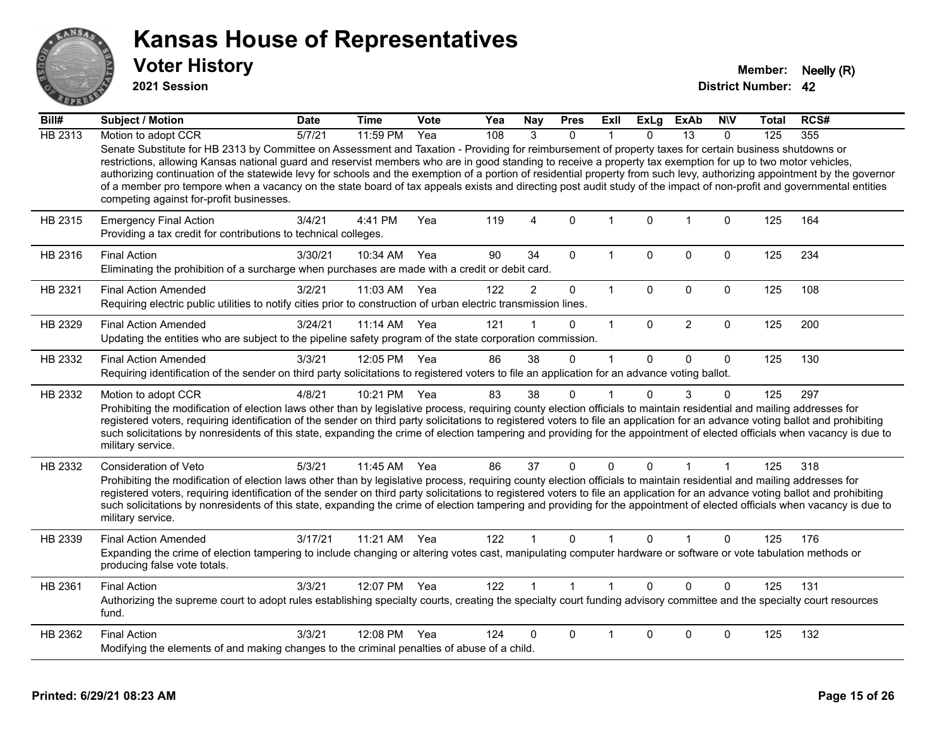

**2021 Session**

| Bill#          | Subject / Motion                                                                                                                                                                                                                                                                                                                                                                                                                                                                                                                                                                                                                                                                                                          | <b>Date</b> | <b>Time</b> | <b>Vote</b> | Yea | <b>Nay</b>     | <b>Pres</b>  | Exll         | <b>ExLg</b>  | <b>ExAb</b>    | <b>NIV</b>  | Total | RCS# |
|----------------|---------------------------------------------------------------------------------------------------------------------------------------------------------------------------------------------------------------------------------------------------------------------------------------------------------------------------------------------------------------------------------------------------------------------------------------------------------------------------------------------------------------------------------------------------------------------------------------------------------------------------------------------------------------------------------------------------------------------------|-------------|-------------|-------------|-----|----------------|--------------|--------------|--------------|----------------|-------------|-------|------|
| <b>HB 2313</b> | Motion to adopt CCR                                                                                                                                                                                                                                                                                                                                                                                                                                                                                                                                                                                                                                                                                                       | 5/7/21      | 11:59 PM    | Yea         | 108 | 3              | $\Omega$     |              | $\Omega$     | 13             | $\Omega$    | 125   | 355  |
|                | Senate Substitute for HB 2313 by Committee on Assessment and Taxation - Providing for reimbursement of property taxes for certain business shutdowns or<br>restrictions, allowing Kansas national guard and reservist members who are in good standing to receive a property tax exemption for up to two motor vehicles,<br>authorizing continuation of the statewide levy for schools and the exemption of a portion of residential property from such levy, authorizing appointment by the governor<br>of a member pro tempore when a vacancy on the state board of tax appeals exists and directing post audit study of the impact of non-profit and governmental entities<br>competing against for-profit businesses. |             |             |             |     |                |              |              |              |                |             |       |      |
| HB 2315        | <b>Emergency Final Action</b><br>Providing a tax credit for contributions to technical colleges.                                                                                                                                                                                                                                                                                                                                                                                                                                                                                                                                                                                                                          | 3/4/21      | 4:41 PM     | Yea         | 119 | 4              | $\Omega$     | $\mathbf{1}$ | $\mathbf{0}$ | $\overline{1}$ | $\Omega$    | 125   | 164  |
| HB 2316        | <b>Final Action</b><br>Eliminating the prohibition of a surcharge when purchases are made with a credit or debit card.                                                                                                                                                                                                                                                                                                                                                                                                                                                                                                                                                                                                    | 3/30/21     | 10:34 AM    | Yea         | 90  | 34             | $\Omega$     | 1            | $\Omega$     | 0              | $\Omega$    | 125   | 234  |
| HB 2321        | <b>Final Action Amended</b><br>Requiring electric public utilities to notify cities prior to construction of urban electric transmission lines.                                                                                                                                                                                                                                                                                                                                                                                                                                                                                                                                                                           | 3/2/21      | 11:03 AM    | Yea         | 122 | $\overline{2}$ | $\pmb{0}$    | $\mathbf{1}$ | $\mathbf{0}$ | 0              | $\mathbf 0$ | 125   | 108  |
| HB 2329        | <b>Final Action Amended</b><br>Updating the entities who are subject to the pipeline safety program of the state corporation commission.                                                                                                                                                                                                                                                                                                                                                                                                                                                                                                                                                                                  | 3/24/21     | $11:14$ AM  | Yea         | 121 |                | 0            | $\mathbf{1}$ | $\Omega$     | 2              | $\Omega$    | 125   | 200  |
| HB 2332        | <b>Final Action Amended</b><br>Requiring identification of the sender on third party solicitations to registered voters to file an application for an advance voting ballot.                                                                                                                                                                                                                                                                                                                                                                                                                                                                                                                                              | 3/3/21      | 12:05 PM    | Yea         | 86  | 38             | $\mathbf 0$  | $\mathbf 1$  | $\mathbf 0$  | $\mathbf 0$    | $\mathbf 0$ | 125   | 130  |
| HB 2332        | Motion to adopt CCR<br>Prohibiting the modification of election laws other than by legislative process, requiring county election officials to maintain residential and mailing addresses for<br>registered voters, requiring identification of the sender on third party solicitations to registered voters to file an application for an advance voting ballot and prohibiting<br>such solicitations by nonresidents of this state, expanding the crime of election tampering and providing for the appointment of elected officials when vacancy is due to<br>military service.                                                                                                                                        | 4/8/21      | 10:21 PM    | Yea         | 83  | 38             | $\Omega$     | 1            | $\mathbf{0}$ | 3              | $\Omega$    | 125   | 297  |
| HB 2332        | Consideration of Veto<br>Prohibiting the modification of election laws other than by legislative process, requiring county election officials to maintain residential and mailing addresses for<br>registered voters, requiring identification of the sender on third party solicitations to registered voters to file an application for an advance voting ballot and prohibiting<br>such solicitations by nonresidents of this state, expanding the crime of election tampering and providing for the appointment of elected officials when vacancy is due to<br>military service.                                                                                                                                      | 5/3/21      | $11:45$ AM  | Yea         | 86  | 37             | 0            | $\mathbf 0$  | $\Omega$     | 1              | 1           | 125   | 318  |
| HB 2339        | <b>Final Action Amended</b><br>Expanding the crime of election tampering to include changing or altering votes cast, manipulating computer hardware or software or vote tabulation methods or<br>producing false vote totals.                                                                                                                                                                                                                                                                                                                                                                                                                                                                                             | 3/17/21     | 11:21 AM    | Yea         | 122 | $\mathbf 1$    | $\Omega$     | 1            | 0            |                | 0           | 125   | 176  |
| HB 2361        | <b>Final Action</b><br>Authorizing the supreme court to adopt rules establishing specialty courts, creating the specialty court funding advisory committee and the specialty court resources<br>fund.                                                                                                                                                                                                                                                                                                                                                                                                                                                                                                                     | 3/3/21      | 12:07 PM    | Yea         | 122 |                | $\mathbf{1}$ | $\mathbf{1}$ | $\Omega$     | $\Omega$       | $\Omega$    | 125   | 131  |
| HB 2362        | <b>Final Action</b><br>Modifying the elements of and making changes to the criminal penalties of abuse of a child.                                                                                                                                                                                                                                                                                                                                                                                                                                                                                                                                                                                                        | 3/3/21      | 12:08 PM    | Yea         | 124 | 0              | 0            | 1            | $\Omega$     | 0              | 0           | 125   | 132  |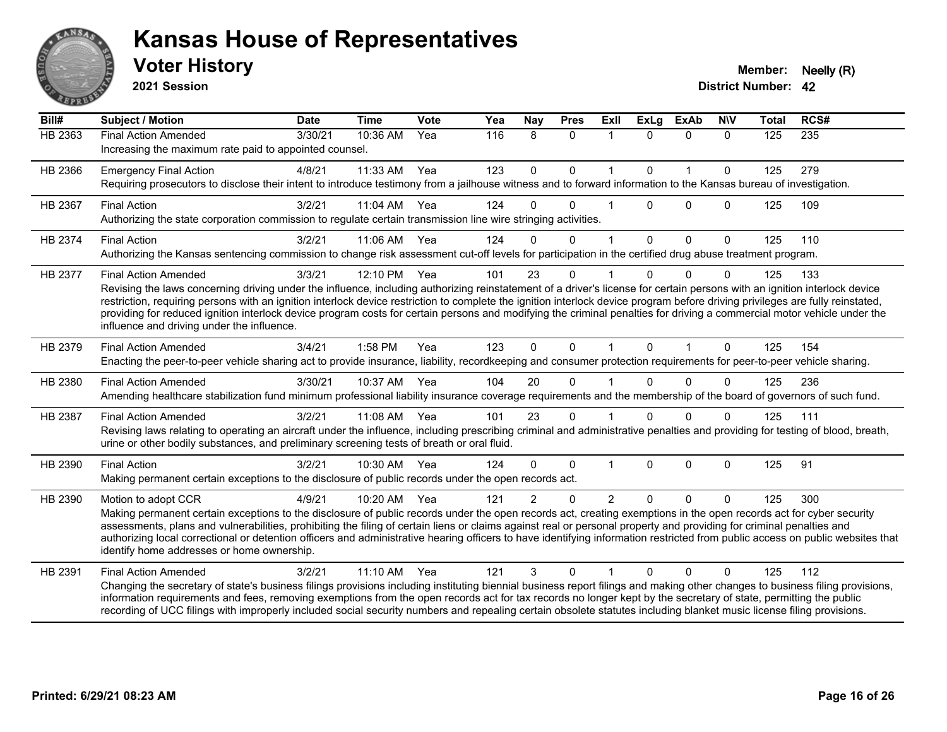

**2021 Session**

| Bill#          | Subject / Motion                                                                                                                                                                                                                                                                                                                                                                                                                                                                                                                                                                                                    | <b>Date</b> | <b>Time</b> | <b>Vote</b> | Yea | <b>Nay</b>    | <b>Pres</b>  | <b>Exll</b>    | <b>ExLg</b> | <b>ExAb</b>  | <b>NIV</b>   | <b>Total</b> | RCS# |
|----------------|---------------------------------------------------------------------------------------------------------------------------------------------------------------------------------------------------------------------------------------------------------------------------------------------------------------------------------------------------------------------------------------------------------------------------------------------------------------------------------------------------------------------------------------------------------------------------------------------------------------------|-------------|-------------|-------------|-----|---------------|--------------|----------------|-------------|--------------|--------------|--------------|------|
| <b>HB 2363</b> | <b>Final Action Amended</b><br>Increasing the maximum rate paid to appointed counsel.                                                                                                                                                                                                                                                                                                                                                                                                                                                                                                                               | 3/30/21     | 10:36 AM    | Yea         | 116 | 8             | $\mathbf{0}$ | $\mathbf{1}$   | $\Omega$    | $\mathbf{0}$ | $\Omega$     | 125          | 235  |
| HB 2366        | <b>Emergency Final Action</b><br>Requiring prosecutors to disclose their intent to introduce testimony from a jailhouse witness and to forward information to the Kansas bureau of investigation.                                                                                                                                                                                                                                                                                                                                                                                                                   | 4/8/21      | 11:33 AM    | Yea         | 123 | $\mathbf 0$   | $\mathbf 0$  | 1              | $\Omega$    | $\mathbf{1}$ | $\mathbf 0$  | 125          | 279  |
| HB 2367        | <b>Final Action</b><br>Authorizing the state corporation commission to regulate certain transmission line wire stringing activities.                                                                                                                                                                                                                                                                                                                                                                                                                                                                                | 3/2/21      | 11:04 AM    | Yea         | 124 | $\Omega$      | $\Omega$     |                | $\Omega$    | $\Omega$     | $\Omega$     | 125          | 109  |
| HB 2374        | <b>Final Action</b><br>Authorizing the Kansas sentencing commission to change risk assessment cut-off levels for participation in the certified drug abuse treatment program.                                                                                                                                                                                                                                                                                                                                                                                                                                       | 3/2/21      | 11:06 AM    | Yea         | 124 | $\Omega$      | $\mathbf{0}$ | 1              | $\Omega$    | $\mathbf{0}$ | $\mathbf{0}$ | 125          | 110  |
| HB 2377        | <b>Final Action Amended</b><br>Revising the laws concerning driving under the influence, including authorizing reinstatement of a driver's license for certain persons with an ignition interlock device<br>restriction, requiring persons with an ignition interlock device restriction to complete the ignition interlock device program before driving privileges are fully reinstated,<br>providing for reduced ignition interlock device program costs for certain persons and modifying the criminal penalties for driving a commercial motor vehicle under the<br>influence and driving under the influence. | 3/3/21      | 12:10 PM    | Yea         | 101 | 23            | $\Omega$     |                |             | $\Omega$     | 0            | 125          | 133  |
| HB 2379        | <b>Final Action Amended</b><br>Enacting the peer-to-peer vehicle sharing act to provide insurance, liability, recordkeeping and consumer protection requirements for peer-to-peer vehicle sharing.                                                                                                                                                                                                                                                                                                                                                                                                                  | 3/4/21      | 1:58 PM     | Yea         | 123 | $\Omega$      | $\mathbf{0}$ | 1              | $\Omega$    | $\mathbf 1$  | $\Omega$     | 125          | 154  |
| HB 2380        | <b>Final Action Amended</b><br>Amending healthcare stabilization fund minimum professional liability insurance coverage requirements and the membership of the board of governors of such fund.                                                                                                                                                                                                                                                                                                                                                                                                                     | 3/30/21     | 10:37 AM    | Yea         | 104 | 20            | $\Omega$     |                | $\Omega$    | $\mathbf 0$  | $\Omega$     | 125          | 236  |
| HB 2387        | <b>Final Action Amended</b><br>Revising laws relating to operating an aircraft under the influence, including prescribing criminal and administrative penalties and providing for testing of blood, breath,<br>urine or other bodily substances, and preliminary screening tests of breath or oral fluid.                                                                                                                                                                                                                                                                                                           | 3/2/21      | 11:08 AM    | Yea         | 101 | 23            | $\mathbf{0}$ |                | $\Omega$    | $\Omega$     | $\Omega$     | 125          | 111  |
| HB 2390        | <b>Final Action</b><br>Making permanent certain exceptions to the disclosure of public records under the open records act.                                                                                                                                                                                                                                                                                                                                                                                                                                                                                          | 3/2/21      | 10:30 AM    | Yea         | 124 | $\Omega$      | $\mathbf 0$  | 1              | $\Omega$    | $\mathbf 0$  | $\Omega$     | 125          | 91   |
| HB 2390        | Motion to adopt CCR<br>Making permanent certain exceptions to the disclosure of public records under the open records act, creating exemptions in the open records act for cyber security<br>assessments, plans and vulnerabilities, prohibiting the filing of certain liens or claims against real or personal property and providing for criminal penalties and<br>authorizing local correctional or detention officers and administrative hearing officers to have identifying information restricted from public access on public websites that<br>identify home addresses or home ownership.                   | 4/9/21      | 10:20 AM    | Yea         | 121 | $\mathcal{P}$ | $\Omega$     | $\overline{2}$ | $\Omega$    | $\Omega$     | $\Omega$     | 125          | 300  |
| HB 2391        | <b>Final Action Amended</b><br>Changing the secretary of state's business filings provisions including instituting biennial business report filings and making other changes to business filing provisions,<br>information requirements and fees, removing exemptions from the open records act for tax records no longer kept by the secretary of state, permitting the public<br>recording of UCC filings with improperly included social security numbers and repealing certain obsolete statutes including blanket music license filing provisions.                                                             | 3/2/21      | 11:10 AM    | Yea         | 121 | 3             | $\Omega$     |                | $\Omega$    | $\Omega$     | $\Omega$     | 125          | 112  |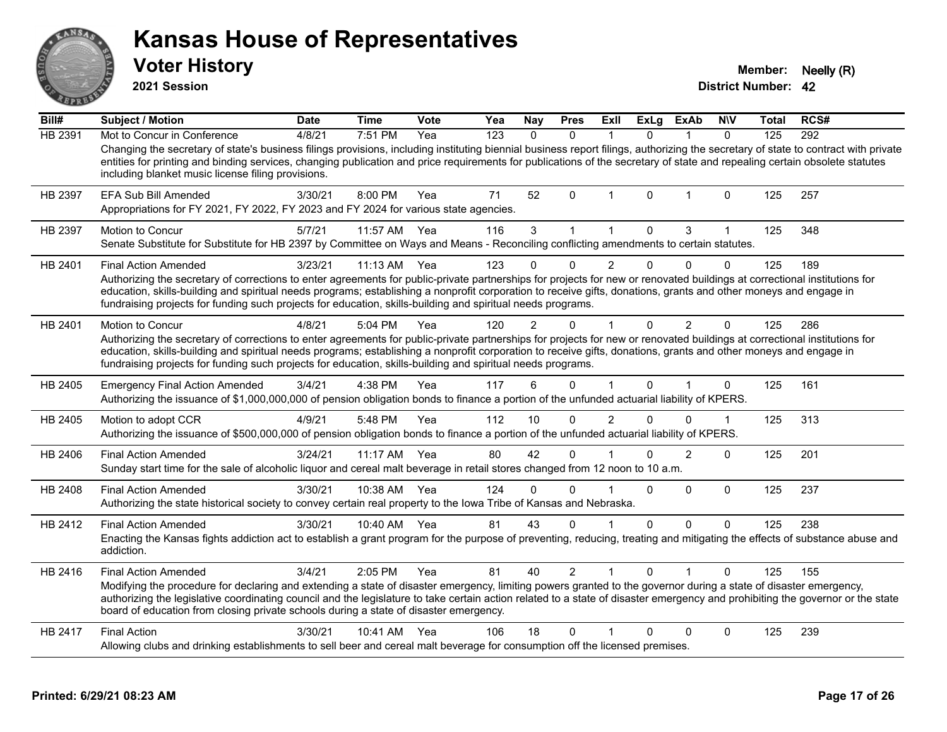| ANSAR              | <b>Kansas House of Representatives</b><br><b>Voter History</b><br>2021 Session                                                                                                                                                                                                                                                                                                                                                                                                              |             |              |             |     |              |                |                |              |                |                | <b>Member:</b><br><b>District Number: 42</b> | Neelly (R) |
|--------------------|---------------------------------------------------------------------------------------------------------------------------------------------------------------------------------------------------------------------------------------------------------------------------------------------------------------------------------------------------------------------------------------------------------------------------------------------------------------------------------------------|-------------|--------------|-------------|-----|--------------|----------------|----------------|--------------|----------------|----------------|----------------------------------------------|------------|
| $\overline{BiII#}$ | <b>Subject / Motion</b>                                                                                                                                                                                                                                                                                                                                                                                                                                                                     | <b>Date</b> | <b>Time</b>  | <b>Vote</b> | Yea | Nay          | <b>Pres</b>    | ExIl           | <b>ExLg</b>  | <b>ExAb</b>    | <b>NIV</b>     | Total                                        | RCS#       |
| HB 2391            | Mot to Concur in Conference<br>Changing the secretary of state's business filings provisions, including instituting biennial business report filings, authorizing the secretary of state to contract with private<br>entities for printing and binding services, changing publication and price requirements for publications of the secretary of state and repealing certain obsolete statutes<br>including blanket music license filing provisions.                                       | 4/8/21      | 7:51 PM      | Yea         | 123 | $\mathbf{0}$ | $\mathbf{0}$   | $\mathbf{1}$   | $\mathbf{0}$ | $\mathbf{1}$   | $\Omega$       | 125                                          | 292        |
| HB 2397            | EFA Sub Bill Amended<br>Appropriations for FY 2021, FY 2022, FY 2023 and FY 2024 for various state agencies.                                                                                                                                                                                                                                                                                                                                                                                | 3/30/21     | 8:00 PM      | Yea         | 71  | 52           | 0              | 1              | 0            | $\mathbf 1$    | $\mathbf 0$    | 125                                          | 257        |
| HB 2397            | <b>Motion to Concur</b><br>Senate Substitute for Substitute for HB 2397 by Committee on Ways and Means - Reconciling conflicting amendments to certain statutes.                                                                                                                                                                                                                                                                                                                            | 5/7/21      | 11:57 AM     | Yea         | 116 | 3            | $\mathbf 1$    | $\mathbf{1}$   | 0            | 3              | $\mathbf{1}$   | 125                                          | 348        |
| HB 2401            | <b>Final Action Amended</b><br>Authorizing the secretary of corrections to enter agreements for public-private partnerships for projects for new or renovated buildings at correctional institutions for<br>education, skills-building and spiritual needs programs; establishing a nonprofit corporation to receive gifts, donations, grants and other moneys and engage in<br>fundraising projects for funding such projects for education, skills-building and spiritual needs programs. | 3/23/21     | $11:13$ AM   | Yea         | 123 | 0            | $\Omega$       | 2              | $\Omega$     | $\Omega$       | $\mathbf{0}$   | 125                                          | 189        |
| HB 2401            | <b>Motion to Concur</b><br>Authorizing the secretary of corrections to enter agreements for public-private partnerships for projects for new or renovated buildings at correctional institutions for<br>education, skills-building and spiritual needs programs; establishing a nonprofit corporation to receive gifts, donations, grants and other moneys and engage in<br>fundraising projects for funding such projects for education, skills-building and spiritual needs programs.     | 4/8/21      | 5:04 PM      | Yea         | 120 | 2            | $\Omega$       |                | $\Omega$     | $\overline{2}$ | $\Omega$       | 125                                          | 286        |
| HB 2405            | <b>Emergency Final Action Amended</b><br>Authorizing the issuance of \$1,000,000,000 of pension obligation bonds to finance a portion of the unfunded actuarial liability of KPERS.                                                                                                                                                                                                                                                                                                         | 3/4/21      | 4:38 PM      | Yea         | 117 | 6            | $\Omega$       | $\overline{1}$ | $\Omega$     | $\mathbf{1}$   | $\mathbf 0$    | 125                                          | 161        |
| HB 2405            | Motion to adopt CCR<br>Authorizing the issuance of \$500,000,000 of pension obligation bonds to finance a portion of the unfunded actuarial liability of KPERS.                                                                                                                                                                                                                                                                                                                             | 4/9/21      | 5:48 PM      | Yea         | 112 | 10           | $\Omega$       | $\mathcal{P}$  | $\Omega$     | $\Omega$       | $\overline{1}$ | 125                                          | 313        |
| HB 2406            | <b>Final Action Amended</b><br>Sunday start time for the sale of alcoholic liquor and cereal malt beverage in retail stores changed from 12 noon to 10 a.m.                                                                                                                                                                                                                                                                                                                                 | 3/24/21     | $11:17$ AM   | Yea         | 80  | 42           | 0              |                | 0            | $\overline{2}$ | $\mathbf{0}$   | 125                                          | 201        |
| HB 2408            | <b>Final Action Amended</b><br>Authorizing the state historical society to convey certain real property to the lowa Tribe of Kansas and Nebraska.                                                                                                                                                                                                                                                                                                                                           | 3/30/21     | 10:38 AM     | Yea         | 124 | 0            | $\Omega$       |                | $\Omega$     | $\Omega$       | $\Omega$       | 125                                          | 237        |
| HB 2412            | <b>Final Action Amended</b><br>Enacting the Kansas fights addiction act to establish a grant program for the purpose of preventing, reducing, treating and mitigating the effects of substance abuse and<br>addiction.                                                                                                                                                                                                                                                                      | 3/30/21     | 10:40 AM     | Yea         | 81  | 43           | $\Omega$       | 1              | 0            | 0              | $\mathbf 0$    | 125                                          | 238        |
| HB 2416            | <b>Final Action Amended</b><br>Modifying the procedure for declaring and extending a state of disaster emergency, limiting powers granted to the governor during a state of disaster emergency,<br>authorizing the legislative coordinating council and the legislature to take certain action related to a state of disaster emergency and prohibiting the governor or the state<br>board of education from closing private schools during a state of disaster emergency.                  | 3/4/21      | 2:05 PM      | Yea         | 81  | 40           | $\overline{2}$ | $\mathbf{1}$   | 0            |                | $\Omega$       | 125                                          | 155        |
| HB 2417            | <b>Final Action</b><br>Allowing clubs and drinking establishments to sell beer and cereal malt beverage for consumption off the licensed premises.                                                                                                                                                                                                                                                                                                                                          | 3/30/21     | 10:41 AM Yea |             | 106 | 18           | 0              |                | 0            | $\Omega$       | $\mathbf 0$    | 125                                          | 239        |

**Printed: 6/29/21 08:23 AM Page 17 of 26**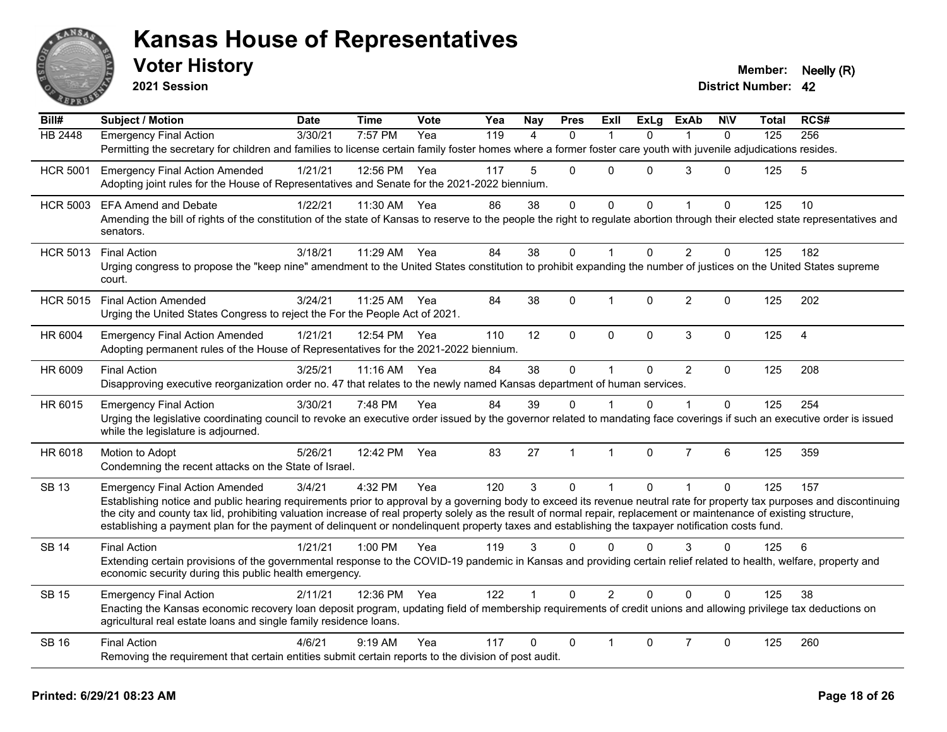

**2021 Session**

| Bill#           | <b>Subject / Motion</b>                                                                                                                                                                     | <b>Date</b> | <b>Time</b>  | <b>Vote</b> | Yea | <b>Nay</b>   | <b>Pres</b>    | <b>Exll</b>    | <b>ExLg</b> | <b>ExAb</b>    | <b>N\V</b>   | Total | RCS#           |
|-----------------|---------------------------------------------------------------------------------------------------------------------------------------------------------------------------------------------|-------------|--------------|-------------|-----|--------------|----------------|----------------|-------------|----------------|--------------|-------|----------------|
| <b>HB 2448</b>  | Emergency Final Action                                                                                                                                                                      | 3/30/21     | 7:57 PM      | Yea         | 119 | 4            | $\mathbf{0}$   | -1             | $\Omega$    | 1              | $\mathbf{0}$ | 125   | 256            |
|                 | Permitting the secretary for children and families to license certain family foster homes where a former foster care youth with juvenile adjudications resides.                             |             |              |             |     |              |                |                |             |                |              |       |                |
| <b>HCR 5001</b> | <b>Emergency Final Action Amended</b>                                                                                                                                                       | 1/21/21     | 12:56 PM     | Yea         | 117 | 5            | $\mathbf 0$    | $\Omega$       | $\Omega$    | 3              | $\Omega$     | 125   | 5              |
|                 | Adopting joint rules for the House of Representatives and Senate for the 2021-2022 biennium.                                                                                                |             |              |             |     |              |                |                |             |                |              |       |                |
| <b>HCR 5003</b> | <b>EFA Amend and Debate</b>                                                                                                                                                                 | 1/22/21     | 11:30 AM     | Yea         | 86  | 38           | $\mathbf 0$    | 0              | $\Omega$    |                | $\Omega$     | 125   | 10             |
|                 | Amending the bill of rights of the constitution of the state of Kansas to reserve to the people the right to regulate abortion through their elected state representatives and<br>senators. |             |              |             |     |              |                |                |             |                |              |       |                |
|                 |                                                                                                                                                                                             | 3/18/21     | 11:29 AM     | Yea         | 84  | 38           | $\mathbf 0$    | 1              | $\Omega$    | $\overline{2}$ | $\mathbf 0$  | 125   | 182            |
| <b>HCR 5013</b> | <b>Final Action</b><br>Urging congress to propose the "keep nine" amendment to the United States constitution to prohibit expanding the number of justices on the United States supreme     |             |              |             |     |              |                |                |             |                |              |       |                |
|                 | court.                                                                                                                                                                                      |             |              |             |     |              |                |                |             |                |              |       |                |
| <b>HCR 5015</b> | <b>Final Action Amended</b>                                                                                                                                                                 | 3/24/21     | 11:25 AM Yea |             | 84  | 38           | $\Omega$       | 1              | $\Omega$    | $\overline{2}$ | $\Omega$     | 125   | 202            |
|                 | Urging the United States Congress to reject the For the People Act of 2021.                                                                                                                 |             |              |             |     |              |                |                |             |                |              |       |                |
| HR 6004         | <b>Emergency Final Action Amended</b>                                                                                                                                                       | 1/21/21     | 12:54 PM     | Yea         | 110 | 12           | $\mathbf 0$    | 0              | 0           | $\mathbf{3}$   | $\mathbf 0$  | 125   | $\overline{4}$ |
|                 | Adopting permanent rules of the House of Representatives for the 2021-2022 biennium.                                                                                                        |             |              |             |     |              |                |                |             |                |              |       |                |
| HR 6009         | <b>Final Action</b>                                                                                                                                                                         | 3/25/21     | 11:16 AM     | Yea         | 84  | 38           | $\pmb{0}$      | $\mathbf{1}$   | $\Omega$    | $\overline{2}$ | $\mathbf{0}$ | 125   | 208            |
|                 | Disapproving executive reorganization order no. 47 that relates to the newly named Kansas department of human services.                                                                     |             |              |             |     |              |                |                |             |                |              |       |                |
| HR 6015         | <b>Emergency Final Action</b>                                                                                                                                                               | 3/30/21     | 7:48 PM      | Yea         | 84  | 39           | 0              |                | 0           |                | $\Omega$     | 125   | 254            |
|                 | Urging the legislative coordinating council to revoke an executive order issued by the governor related to mandating face coverings if such an executive order is issued                    |             |              |             |     |              |                |                |             |                |              |       |                |
|                 | while the legislature is adjourned.                                                                                                                                                         |             |              |             |     |              |                |                |             |                |              |       |                |
| HR 6018         | Motion to Adopt                                                                                                                                                                             | 5/26/21     | 12:42 PM     | Yea         | 83  | 27           | $\overline{1}$ | $\mathbf{1}$   | $\Omega$    | $\overline{7}$ | 6            | 125   | 359            |
|                 | Condemning the recent attacks on the State of Israel.                                                                                                                                       |             |              |             |     |              |                |                |             |                |              |       |                |
| <b>SB 13</b>    | <b>Emergency Final Action Amended</b>                                                                                                                                                       | 3/4/21      | 4:32 PM      | Yea         | 120 | 3            | $\mathbf{0}$   | 1              | $\Omega$    | $\mathbf{1}$   | $\mathbf{0}$ | 125   | 157            |
|                 | Establishing notice and public hearing requirements prior to approval by a governing body to exceed its revenue neutral rate for property tax purposes and discontinuing                    |             |              |             |     |              |                |                |             |                |              |       |                |
|                 | the city and county tax lid, prohibiting valuation increase of real property solely as the result of normal repair, replacement or maintenance of existing structure,                       |             |              |             |     |              |                |                |             |                |              |       |                |
|                 | establishing a payment plan for the payment of delinquent or nondelinquent property taxes and establishing the taxpayer notification costs fund.                                            |             |              |             |     |              |                |                |             |                |              |       |                |
| <b>SB 14</b>    | <b>Final Action</b>                                                                                                                                                                         | 1/21/21     | $1:00$ PM    | Yea         | 119 | 3            | $\Omega$       | $\Omega$       | $\Omega$    | 3              | 0            | 125   | 6              |
|                 | Extending certain provisions of the governmental response to the COVID-19 pandemic in Kansas and providing certain relief related to health, welfare, property and                          |             |              |             |     |              |                |                |             |                |              |       |                |
|                 | economic security during this public health emergency.                                                                                                                                      |             |              |             |     |              |                |                |             |                |              |       |                |
| <b>SB 15</b>    | <b>Emergency Final Action</b>                                                                                                                                                               | 2/11/21     | 12:36 PM     | Yea         | 122 | $\mathbf{1}$ | $\Omega$       | $\overline{2}$ | $\Omega$    | $\Omega$       | $\Omega$     | 125   | 38             |
|                 | Enacting the Kansas economic recovery loan deposit program, updating field of membership requirements of credit unions and allowing privilege tax deductions on                             |             |              |             |     |              |                |                |             |                |              |       |                |
|                 | agricultural real estate loans and single family residence loans.                                                                                                                           |             |              |             |     |              |                |                |             |                |              |       |                |
| <b>SB 16</b>    | <b>Final Action</b>                                                                                                                                                                         | 4/6/21      | 9:19 AM      | Yea         | 117 | 0            | $\Omega$       | 1              | $\Omega$    | $\overline{7}$ | $\Omega$     | 125   | 260            |
|                 | Removing the requirement that certain entities submit certain reports to the division of post audit.                                                                                        |             |              |             |     |              |                |                |             |                |              |       |                |
|                 |                                                                                                                                                                                             |             |              |             |     |              |                |                |             |                |              |       |                |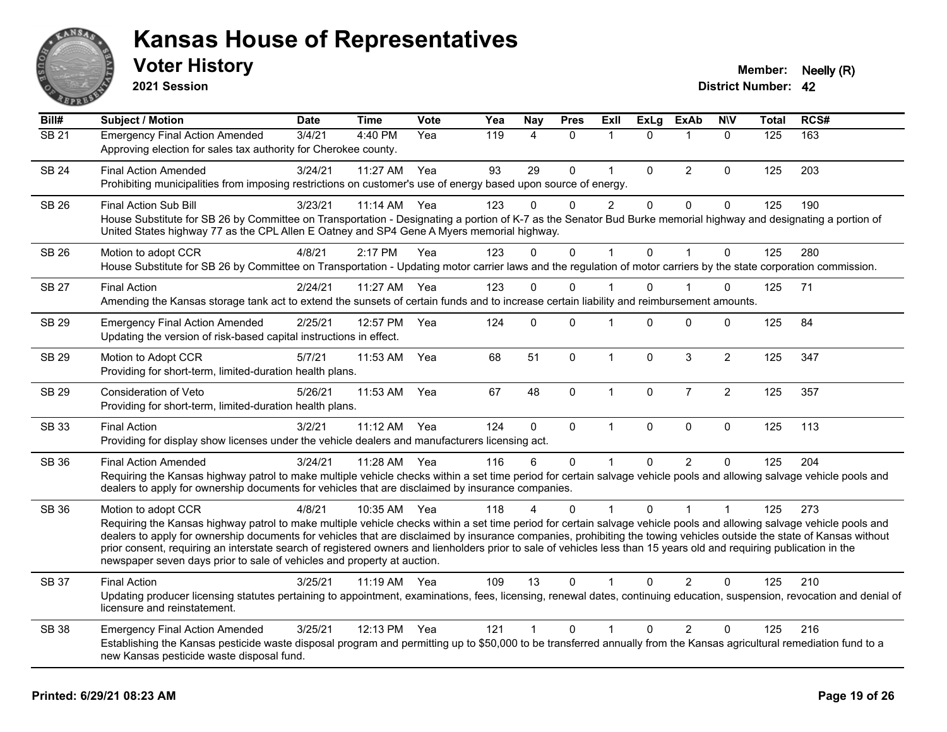

**2021 Session**

| Bill#        | Subject / Motion                                                                                                                                                                                                                                                                                                                                                                                                                                                                                                                                                                                                         | <b>Date</b> | <b>Time</b>  | <b>Vote</b> | Yea | <b>Nay</b>     | <b>Pres</b> | Exll           | <b>ExLg</b>  | <b>ExAb</b>    | <b>NIV</b>     | Total | RCS# |
|--------------|--------------------------------------------------------------------------------------------------------------------------------------------------------------------------------------------------------------------------------------------------------------------------------------------------------------------------------------------------------------------------------------------------------------------------------------------------------------------------------------------------------------------------------------------------------------------------------------------------------------------------|-------------|--------------|-------------|-----|----------------|-------------|----------------|--------------|----------------|----------------|-------|------|
| <b>SB 21</b> | <b>Emergency Final Action Amended</b><br>Approving election for sales tax authority for Cherokee county.                                                                                                                                                                                                                                                                                                                                                                                                                                                                                                                 | 3/4/21      | 4:40 PM      | Yea         | 119 | 4              | $\Omega$    | $\mathbf 1$    | $\Omega$     | $\overline{1}$ | $\mathbf{0}$   | 125   | 163  |
| <b>SB 24</b> | <b>Final Action Amended</b><br>Prohibiting municipalities from imposing restrictions on customer's use of energy based upon source of energy.                                                                                                                                                                                                                                                                                                                                                                                                                                                                            | 3/24/21     | $11:27$ AM   | Yea         | 93  | 29             | $\Omega$    | $\mathbf 1$    | $\mathbf{0}$ | 2              | $\mathbf{0}$   | 125   | 203  |
| <b>SB 26</b> | <b>Final Action Sub Bill</b><br>House Substitute for SB 26 by Committee on Transportation - Designating a portion of K-7 as the Senator Bud Burke memorial highway and designating a portion of<br>United States highway 77 as the CPL Allen E Oatney and SP4 Gene A Myers memorial highway.                                                                                                                                                                                                                                                                                                                             | 3/23/21     | 11:14 AM     | Yea         | 123 | $\Omega$       | $\Omega$    | $\overline{2}$ | $\mathbf 0$  | $\pmb{0}$      | $\mathbf 0$    | 125   | 190  |
| SB 26        | Motion to adopt CCR<br>House Substitute for SB 26 by Committee on Transportation - Updating motor carrier laws and the regulation of motor carriers by the state corporation commission.                                                                                                                                                                                                                                                                                                                                                                                                                                 | 4/8/21      | 2:17 PM      | Yea         | 123 | 0              | 0           | $\mathbf 1$    | $\mathbf 0$  | $\overline{1}$ | $\mathbf 0$    | 125   | 280  |
| <b>SB 27</b> | <b>Final Action</b><br>Amending the Kansas storage tank act to extend the sunsets of certain funds and to increase certain liability and reimbursement amounts.                                                                                                                                                                                                                                                                                                                                                                                                                                                          | 2/24/21     | 11:27 AM Yea |             | 123 | $\Omega$       | $\Omega$    | 1              | $\Omega$     |                | $\Omega$       | 125   | 71   |
| SB 29        | <b>Emergency Final Action Amended</b><br>Updating the version of risk-based capital instructions in effect.                                                                                                                                                                                                                                                                                                                                                                                                                                                                                                              | 2/25/21     | 12:57 PM     | Yea         | 124 | 0              | 0           | 1              | 0            | $\overline{0}$ | 0              | 125   | 84   |
| <b>SB 29</b> | Motion to Adopt CCR<br>Providing for short-term, limited-duration health plans.                                                                                                                                                                                                                                                                                                                                                                                                                                                                                                                                          | 5/7/21      | 11:53 AM     | Yea         | 68  | 51             | 0           | $\mathbf{1}$   | $\mathbf{0}$ | 3              | $\overline{2}$ | 125   | 347  |
| SB 29        | Consideration of Veto<br>Providing for short-term, limited-duration health plans.                                                                                                                                                                                                                                                                                                                                                                                                                                                                                                                                        | 5/26/21     | 11:53 AM     | Yea         | 67  | 48             | $\mathbf 0$ | $\mathbf{1}$   | $\pmb{0}$    | $\overline{7}$ | $\overline{2}$ | 125   | 357  |
| SB 33        | <b>Final Action</b><br>Providing for display show licenses under the vehicle dealers and manufacturers licensing act.                                                                                                                                                                                                                                                                                                                                                                                                                                                                                                    | 3/2/21      | $11:12$ AM   | Yea         | 124 | 0              | $\Omega$    | $\mathbf{1}$   | $\mathbf{0}$ | $\mathbf 0$    | $\mathbf 0$    | 125   | 113  |
| SB 36        | <b>Final Action Amended</b><br>Requiring the Kansas highway patrol to make multiple vehicle checks within a set time period for certain salvage vehicle pools and allowing salvage vehicle pools and<br>dealers to apply for ownership documents for vehicles that are disclaimed by insurance companies.                                                                                                                                                                                                                                                                                                                | 3/24/21     | 11:28 AM     | Yea         | 116 | 6              | 0           | $\overline{1}$ | $\Omega$     | 2              | $\Omega$       | 125   | 204  |
| <b>SB 36</b> | Motion to adopt CCR<br>Requiring the Kansas highway patrol to make multiple vehicle checks within a set time period for certain salvage vehicle pools and allowing salvage vehicle pools and<br>dealers to apply for ownership documents for vehicles that are disclaimed by insurance companies, prohibiting the towing vehicles outside the state of Kansas without<br>prior consent, requiring an interstate search of registered owners and lienholders prior to sale of vehicles less than 15 years old and requiring publication in the<br>newspaper seven days prior to sale of vehicles and property at auction. | 4/8/21      | 10:35 AM     | Yea         | 118 | 4              | $\Omega$    | $\overline{1}$ | $\Omega$     | 1              | 1              | 125   | 273  |
| SB 37        | <b>Final Action</b><br>Updating producer licensing statutes pertaining to appointment, examinations, fees, licensing, renewal dates, continuing education, suspension, revocation and denial of<br>licensure and reinstatement.                                                                                                                                                                                                                                                                                                                                                                                          | 3/25/21     | 11:19 AM Yea |             | 109 | 13             | $\Omega$    | 1              | $\Omega$     | 2              | $\Omega$       | 125   | 210  |
| <b>SB 38</b> | <b>Emergency Final Action Amended</b><br>Establishing the Kansas pesticide waste disposal program and permitting up to \$50,000 to be transferred annually from the Kansas agricultural remediation fund to a<br>new Kansas pesticide waste disposal fund.                                                                                                                                                                                                                                                                                                                                                               | 3/25/21     | 12:13 PM     | Yea         | 121 | $\overline{1}$ | 0           | 1              | $\Omega$     | $\overline{2}$ | $\Omega$       | 125   | 216  |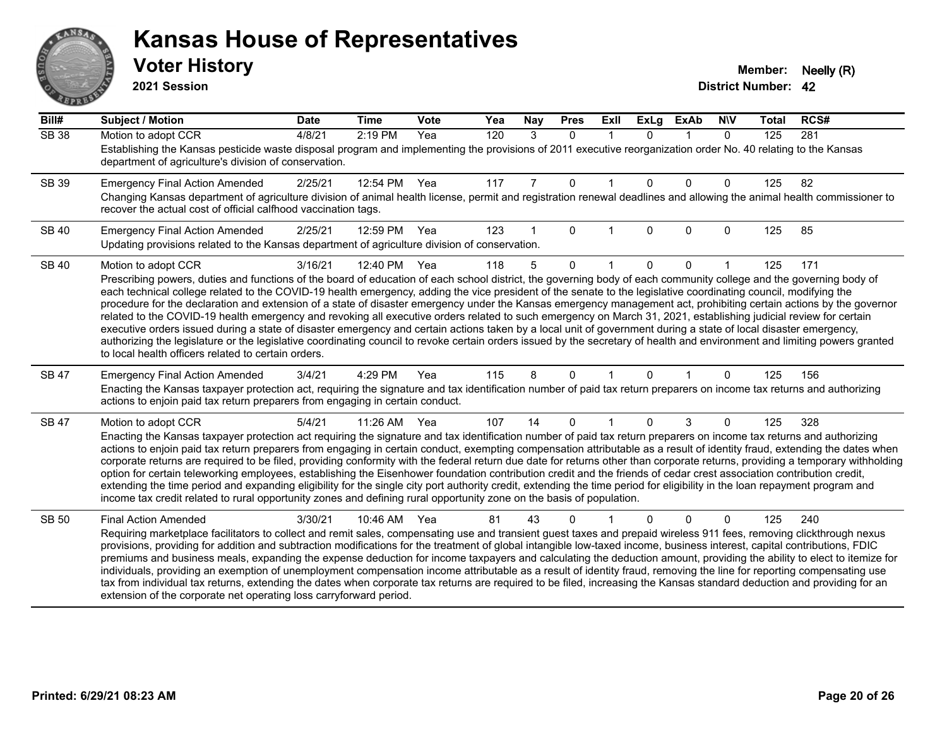# AN. **PARTIE**

#### **Kansas House of Representatives**

**2021 Session**

| $\overline{Bill#}$ | Subject / Motion                                                                                                                                                                                                                                                                                                                                           | <b>Date</b> | <b>Time</b> | <b>Vote</b> | Yea | Nay | <b>Pres</b>  | ExII | <b>ExLg</b> | <b>ExAb</b>  | <b>NIV</b> | <b>Total</b> | RCS# |
|--------------------|------------------------------------------------------------------------------------------------------------------------------------------------------------------------------------------------------------------------------------------------------------------------------------------------------------------------------------------------------------|-------------|-------------|-------------|-----|-----|--------------|------|-------------|--------------|------------|--------------|------|
| <b>SB 38</b>       | Motion to adopt CCR                                                                                                                                                                                                                                                                                                                                        | 4/8/21      | 2:19 PM     | Yea         | 120 | 3   | $\mathbf{0}$ | 1    | $\Omega$    | $\mathbf 1$  | $\Omega$   | 125          | 281  |
|                    | Establishing the Kansas pesticide waste disposal program and implementing the provisions of 2011 executive reorganization order No. 40 relating to the Kansas<br>department of agriculture's division of conservation.                                                                                                                                     |             |             |             |     |     |              |      |             |              |            |              |      |
| SB 39              | <b>Emergency Final Action Amended</b>                                                                                                                                                                                                                                                                                                                      | 2/25/21     | 12:54 PM    | Yea         | 117 | 7   | $\mathbf 0$  |      | $\Omega$    | $\mathbf{0}$ | 0          | 125          | 82   |
|                    | Changing Kansas department of agriculture division of animal health license, permit and registration renewal deadlines and allowing the animal health commissioner to<br>recover the actual cost of official calfhood vaccination tags.                                                                                                                    |             |             |             |     |     |              |      |             |              |            |              |      |
| <b>SB 40</b>       | <b>Emergency Final Action Amended</b>                                                                                                                                                                                                                                                                                                                      | 2/25/21     | 12:59 PM    | Yea         | 123 |     | $\Omega$     |      | $\Omega$    | $\Omega$     | 0          | 125          | 85   |
|                    | Updating provisions related to the Kansas department of agriculture division of conservation.                                                                                                                                                                                                                                                              |             |             |             |     |     |              |      |             |              |            |              |      |
| <b>SB 40</b>       | Motion to adopt CCR                                                                                                                                                                                                                                                                                                                                        | 3/16/21     | 12:40 PM    | Yea         | 118 | 5   | $\Omega$     |      | 0           | 0            |            | 125          | 171  |
|                    | Prescribing powers, duties and functions of the board of education of each school district, the governing body of each community college and the governing body of                                                                                                                                                                                         |             |             |             |     |     |              |      |             |              |            |              |      |
|                    | each technical college related to the COVID-19 health emergency, adding the vice president of the senate to the legislative coordinating council, modifying the<br>procedure for the declaration and extension of a state of disaster emergency under the Kansas emergency management act, prohibiting certain actions by the governor                     |             |             |             |     |     |              |      |             |              |            |              |      |
|                    | related to the COVID-19 health emergency and revoking all executive orders related to such emergency on March 31, 2021, establishing judicial review for certain                                                                                                                                                                                           |             |             |             |     |     |              |      |             |              |            |              |      |
|                    | executive orders issued during a state of disaster emergency and certain actions taken by a local unit of government during a state of local disaster emergency,<br>authorizing the legislature or the legislative coordinating council to revoke certain orders issued by the secretary of health and environment and limiting powers granted             |             |             |             |     |     |              |      |             |              |            |              |      |
|                    | to local health officers related to certain orders.                                                                                                                                                                                                                                                                                                        |             |             |             |     |     |              |      |             |              |            |              |      |
| <b>SB 47</b>       | <b>Emergency Final Action Amended</b>                                                                                                                                                                                                                                                                                                                      | 3/4/21      | 4:29 PM     | Yea         | 115 | 8   | $\Omega$     |      | $\Omega$    |              | 0          | 125          | 156  |
|                    | Enacting the Kansas taxpayer protection act, requiring the signature and tax identification number of paid tax return preparers on income tax returns and authorizing<br>actions to enjoin paid tax return preparers from engaging in certain conduct.                                                                                                     |             |             |             |     |     |              |      |             |              |            |              |      |
| <b>SB 47</b>       | Motion to adopt CCR                                                                                                                                                                                                                                                                                                                                        | 5/4/21      | 11:26 AM    | Yea         | 107 | 14  | $\Omega$     |      | $\Omega$    | 3            | 0          | 125          | 328  |
|                    | Enacting the Kansas taxpayer protection act requiring the signature and tax identification number of paid tax return preparers on income tax returns and authorizing                                                                                                                                                                                       |             |             |             |     |     |              |      |             |              |            |              |      |
|                    | actions to enjoin paid tax return preparers from engaging in certain conduct, exempting compensation attributable as a result of identity fraud, extending the dates when<br>corporate returns are required to be filed, providing conformity with the federal return due date for returns other than corporate returns, providing a temporary withholding |             |             |             |     |     |              |      |             |              |            |              |      |
|                    | option for certain teleworking employees, establishing the Eisenhower foundation contribution credit and the friends of cedar crest association contribution credit,                                                                                                                                                                                       |             |             |             |     |     |              |      |             |              |            |              |      |
|                    | extending the time period and expanding eligibility for the single city port authority credit, extending the time period for eligibility in the loan repayment program and                                                                                                                                                                                 |             |             |             |     |     |              |      |             |              |            |              |      |
|                    | income tax credit related to rural opportunity zones and defining rural opportunity zone on the basis of population.                                                                                                                                                                                                                                       |             |             |             |     |     |              |      |             |              |            |              |      |
| SB 50              | <b>Final Action Amended</b>                                                                                                                                                                                                                                                                                                                                | 3/30/21     | 10:46 AM    | Yea         | 81  | 43  | 0            |      |             | $\Omega$     | 0          | 125          | 240  |
|                    | Requiring marketplace facilitators to collect and remit sales, compensating use and transient guest taxes and prepaid wireless 911 fees, removing clickthrough nexus<br>provisions, providing for addition and subtraction modifications for the treatment of global intangible low-taxed income, business interest, capital contributions, FDIC           |             |             |             |     |     |              |      |             |              |            |              |      |
|                    | premiums and business meals, expanding the expense deduction for income taxpayers and calculating the deduction amount, providing the ability to elect to itemize for                                                                                                                                                                                      |             |             |             |     |     |              |      |             |              |            |              |      |
|                    | individuals, providing an exemption of unemployment compensation income attributable as a result of identity fraud, removing the line for reporting compensating use                                                                                                                                                                                       |             |             |             |     |     |              |      |             |              |            |              |      |
|                    | tax from individual tax returns, extending the dates when corporate tax returns are required to be filed, increasing the Kansas standard deduction and providing for an<br>extension of the corporate net operating loss carryforward period.                                                                                                              |             |             |             |     |     |              |      |             |              |            |              |      |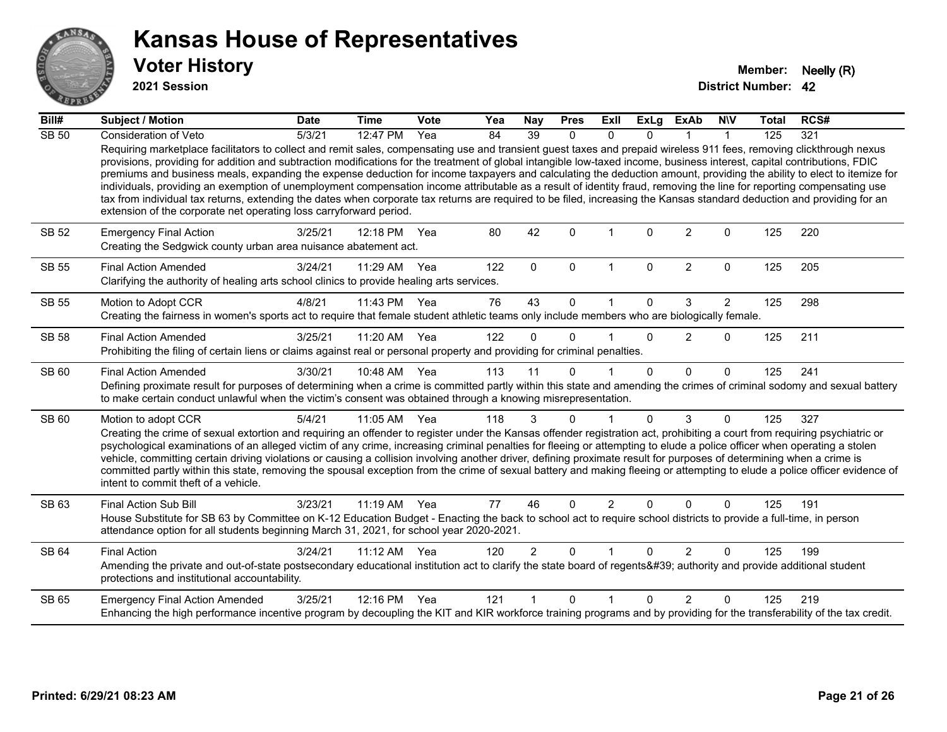

**2021 Session**

| Bill#        | <b>Subject / Motion</b>                                                                                                                                                                                                                                                                                                                                                                                                                                                                                                                                                                                                                                                                                                                                                                                                                                                                                                                            | <b>Date</b> | <b>Time</b> | Vote | Yea | Nay            | <b>Pres</b>  | ExII                 | <b>ExLg</b>  | <b>ExAb</b>    | <b>NIV</b>     | <b>Total</b> | RCS# |
|--------------|----------------------------------------------------------------------------------------------------------------------------------------------------------------------------------------------------------------------------------------------------------------------------------------------------------------------------------------------------------------------------------------------------------------------------------------------------------------------------------------------------------------------------------------------------------------------------------------------------------------------------------------------------------------------------------------------------------------------------------------------------------------------------------------------------------------------------------------------------------------------------------------------------------------------------------------------------|-------------|-------------|------|-----|----------------|--------------|----------------------|--------------|----------------|----------------|--------------|------|
| <b>SB 50</b> | Consideration of Veto                                                                                                                                                                                                                                                                                                                                                                                                                                                                                                                                                                                                                                                                                                                                                                                                                                                                                                                              | 5/3/21      | 12:47 PM    | Yea  | 84  | 39             | $\Omega$     | $\Omega$             | 0            |                | 1              | 125          | 321  |
|              | Requiring marketplace facilitators to collect and remit sales, compensating use and transient guest taxes and prepaid wireless 911 fees, removing clickthrough nexus<br>provisions, providing for addition and subtraction modifications for the treatment of global intangible low-taxed income, business interest, capital contributions, FDIC<br>premiums and business meals, expanding the expense deduction for income taxpayers and calculating the deduction amount, providing the ability to elect to itemize for<br>individuals, providing an exemption of unemployment compensation income attributable as a result of identity fraud, removing the line for reporting compensating use<br>tax from individual tax returns, extending the dates when corporate tax returns are required to be filed, increasing the Kansas standard deduction and providing for an<br>extension of the corporate net operating loss carryforward period. |             |             |      |     |                |              |                      |              |                |                |              |      |
| SB 52        | <b>Emergency Final Action</b><br>Creating the Sedgwick county urban area nuisance abatement act.                                                                                                                                                                                                                                                                                                                                                                                                                                                                                                                                                                                                                                                                                                                                                                                                                                                   | 3/25/21     | 12:18 PM    | Yea  | 80  | 42             | $\mathbf{0}$ |                      | 0            | $\overline{2}$ | 0              | 125          | 220  |
| <b>SB 55</b> | <b>Final Action Amended</b><br>Clarifying the authority of healing arts school clinics to provide healing arts services.                                                                                                                                                                                                                                                                                                                                                                                                                                                                                                                                                                                                                                                                                                                                                                                                                           | 3/24/21     | 11:29 AM    | Yea  | 122 | $\mathbf{0}$   | $\Omega$     | $\mathbf{1}$         | $\Omega$     | 2              | $\mathbf 0$    | 125          | 205  |
| <b>SB 55</b> | Motion to Adopt CCR                                                                                                                                                                                                                                                                                                                                                                                                                                                                                                                                                                                                                                                                                                                                                                                                                                                                                                                                | 4/8/21      | 11:43 PM    | Yea  | 76  | 43             | $\Omega$     | 1                    | $\mathbf{0}$ | 3              | $\overline{2}$ | 125          | 298  |
|              | Creating the fairness in women's sports act to require that female student athletic teams only include members who are biologically female.                                                                                                                                                                                                                                                                                                                                                                                                                                                                                                                                                                                                                                                                                                                                                                                                        |             |             |      |     |                |              |                      |              |                |                |              |      |
| <b>SB 58</b> | <b>Final Action Amended</b>                                                                                                                                                                                                                                                                                                                                                                                                                                                                                                                                                                                                                                                                                                                                                                                                                                                                                                                        | 3/25/21     | 11:20 AM    | Yea  | 122 | $\Omega$       | $\Omega$     | $\blacktriangleleft$ | $\Omega$     | 2              | $\mathbf{0}$   | 125          | 211  |
|              | Prohibiting the filing of certain liens or claims against real or personal property and providing for criminal penalties.                                                                                                                                                                                                                                                                                                                                                                                                                                                                                                                                                                                                                                                                                                                                                                                                                          |             |             |      |     |                |              |                      |              |                |                |              |      |
| SB 60        | <b>Final Action Amended</b>                                                                                                                                                                                                                                                                                                                                                                                                                                                                                                                                                                                                                                                                                                                                                                                                                                                                                                                        | 3/30/21     | 10:48 AM    | Yea  | 113 | 11             | $\Omega$     |                      | $\Omega$     | $\Omega$       | $\Omega$       | 125          | 241  |
|              | Defining proximate result for purposes of determining when a crime is committed partly within this state and amending the crimes of criminal sodomy and sexual battery<br>to make certain conduct unlawful when the victim's consent was obtained through a knowing misrepresentation.                                                                                                                                                                                                                                                                                                                                                                                                                                                                                                                                                                                                                                                             |             |             |      |     |                |              |                      |              |                |                |              |      |
| SB 60        | Motion to adopt CCR                                                                                                                                                                                                                                                                                                                                                                                                                                                                                                                                                                                                                                                                                                                                                                                                                                                                                                                                | 5/4/21      | 11:05 AM    | Yea  | 118 | 3              | $\Omega$     | 1                    | $\Omega$     | 3              | $\Omega$       | 125          | 327  |
|              | Creating the crime of sexual extortion and requiring an offender to register under the Kansas offender registration act, prohibiting a court from requiring psychiatric or<br>psychological examinations of an alleged victim of any crime, increasing criminal penalties for fleeing or attempting to elude a police officer when operating a stolen<br>vehicle, committing certain driving violations or causing a collision involving another driver, defining proximate result for purposes of determining when a crime is<br>committed partly within this state, removing the spousal exception from the crime of sexual battery and making fleeing or attempting to elude a police officer evidence of<br>intent to commit theft of a vehicle.                                                                                                                                                                                               |             |             |      |     |                |              |                      |              |                |                |              |      |
| SB 63        | Final Action Sub Bill                                                                                                                                                                                                                                                                                                                                                                                                                                                                                                                                                                                                                                                                                                                                                                                                                                                                                                                              | 3/23/21     | 11:19 AM    | Yea  | 77  | 46             | $\Omega$     | $\overline{2}$       | 0            | $\Omega$       | $\Omega$       | 125          | 191  |
|              | House Substitute for SB 63 by Committee on K-12 Education Budget - Enacting the back to school act to require school districts to provide a full-time, in person<br>attendance option for all students beginning March 31, 2021, for school year 2020-2021.                                                                                                                                                                                                                                                                                                                                                                                                                                                                                                                                                                                                                                                                                        |             |             |      |     |                |              |                      |              |                |                |              |      |
| SB 64        | <b>Final Action</b>                                                                                                                                                                                                                                                                                                                                                                                                                                                                                                                                                                                                                                                                                                                                                                                                                                                                                                                                | 3/24/21     | 11:12 AM    | Yea  | 120 | $\overline{2}$ | $\Omega$     |                      | $\Omega$     | $\overline{2}$ | $\mathbf 0$    | 125          | 199  |
|              | Amending the private and out-of-state postsecondary educational institution act to clarify the state board of regents' authority and provide additional student<br>protections and institutional accountability.                                                                                                                                                                                                                                                                                                                                                                                                                                                                                                                                                                                                                                                                                                                                   |             |             |      |     |                |              |                      |              |                |                |              |      |
| SB 65        | <b>Emergency Final Action Amended</b>                                                                                                                                                                                                                                                                                                                                                                                                                                                                                                                                                                                                                                                                                                                                                                                                                                                                                                              | 3/25/21     | 12:16 PM    | Yea  | 121 |                | $\Omega$     | 1                    | <sup>n</sup> | $\mathfrak{p}$ | $\Omega$       | 125          | 219  |
|              | Enhancing the high performance incentive program by decoupling the KIT and KIR workforce training programs and by providing for the transferability of the tax credit.                                                                                                                                                                                                                                                                                                                                                                                                                                                                                                                                                                                                                                                                                                                                                                             |             |             |      |     |                |              |                      |              |                |                |              |      |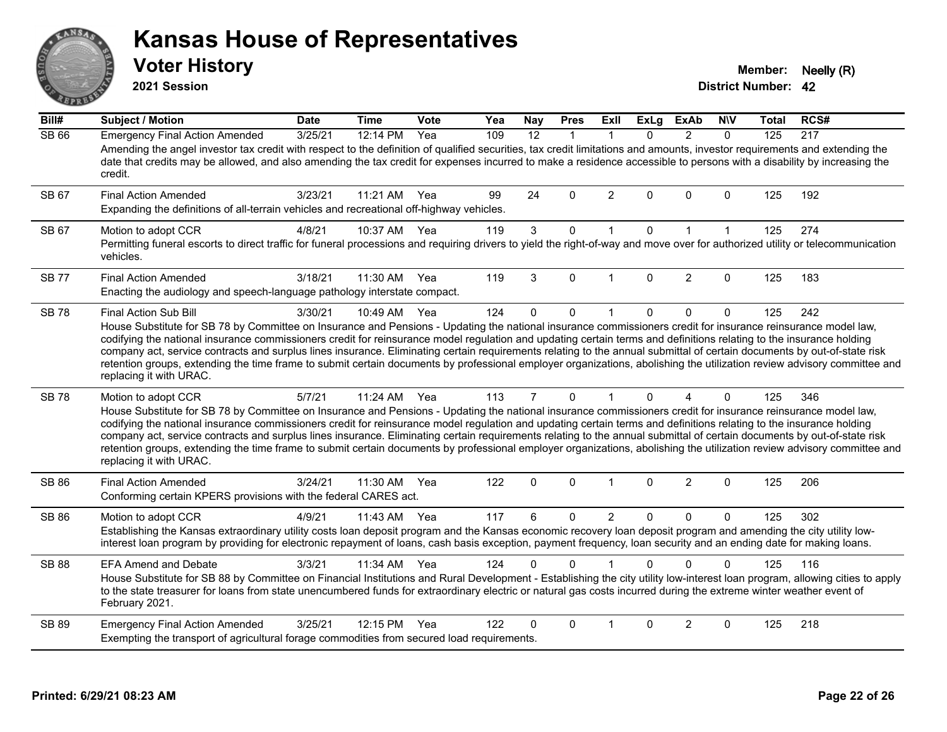#### ANS Erry  $E$   $\mathbf{F}$

#### **Kansas House of Representatives**

**2021 Session**

**Voter History Member: Neelly (R)** 

| Bill#        | <b>Subject / Motion</b>                                                                                                                                                                                                                                                                                                                                                                                                                                                                                                                                                                                                                                                                                                                        | <b>Date</b> | <b>Time</b> | Vote | Yea | <b>Nay</b>     | <b>Pres</b>  | <b>ExII</b>    | <b>ExLg</b> | <b>ExAb</b>    | <b>NIV</b>   | Total | RCS# |
|--------------|------------------------------------------------------------------------------------------------------------------------------------------------------------------------------------------------------------------------------------------------------------------------------------------------------------------------------------------------------------------------------------------------------------------------------------------------------------------------------------------------------------------------------------------------------------------------------------------------------------------------------------------------------------------------------------------------------------------------------------------------|-------------|-------------|------|-----|----------------|--------------|----------------|-------------|----------------|--------------|-------|------|
| <b>SB 66</b> | <b>Emergency Final Action Amended</b><br>Amending the angel investor tax credit with respect to the definition of qualified securities, tax credit limitations and amounts, investor requirements and extending the<br>date that credits may be allowed, and also amending the tax credit for expenses incurred to make a residence accessible to persons with a disability by increasing the<br>credit.                                                                                                                                                                                                                                                                                                                                       | 3/25/21     | 12:14 PM    | Yea  | 109 | 12             | $\mathbf{1}$ |                | $\Omega$    | $\mathcal{P}$  | $\Omega$     | 125   | 217  |
| SB 67        | <b>Final Action Amended</b><br>Expanding the definitions of all-terrain vehicles and recreational off-highway vehicles.                                                                                                                                                                                                                                                                                                                                                                                                                                                                                                                                                                                                                        | 3/23/21     | 11:21 AM    | Yea  | 99  | 24             | 0            | 2              | 0           | $\Omega$       | $\mathbf 0$  | 125   | 192  |
| SB 67        | Motion to adopt CCR<br>Permitting funeral escorts to direct traffic for funeral processions and requiring drivers to yield the right-of-way and move over for authorized utility or telecommunication<br>vehicles.                                                                                                                                                                                                                                                                                                                                                                                                                                                                                                                             | 4/8/21      | 10:37 AM    | Yea  | 119 | $\mathbf{3}$   | $\mathbf 0$  | $\mathbf{1}$   | $\Omega$    | $\mathbf{1}$   | $\mathbf{1}$ | 125   | 274  |
| <b>SB 77</b> | <b>Final Action Amended</b><br>Enacting the audiology and speech-language pathology interstate compact.                                                                                                                                                                                                                                                                                                                                                                                                                                                                                                                                                                                                                                        | 3/18/21     | 11:30 AM    | Yea  | 119 | 3              | $\Omega$     |                | $\Omega$    | $\overline{2}$ | $\Omega$     | 125   | 183  |
| <b>SB78</b>  | Final Action Sub Bill<br>House Substitute for SB 78 by Committee on Insurance and Pensions - Updating the national insurance commissioners credit for insurance reinsurance model law,<br>codifying the national insurance commissioners credit for reinsurance model regulation and updating certain terms and definitions relating to the insurance holding<br>company act, service contracts and surplus lines insurance. Eliminating certain requirements relating to the annual submittal of certain documents by out-of-state risk<br>retention groups, extending the time frame to submit certain documents by professional employer organizations, abolishing the utilization review advisory committee and<br>replacing it with URAC. | 3/30/21     | 10:49 AM    | Yea  | 124 | $\Omega$       | 0            | $\mathbf{1}$   | $\Omega$    | $\mathbf{0}$   | $\mathbf 0$  | 125   | 242  |
| <b>SB78</b>  | Motion to adopt CCR<br>House Substitute for SB 78 by Committee on Insurance and Pensions - Updating the national insurance commissioners credit for insurance reinsurance model law,<br>codifying the national insurance commissioners credit for reinsurance model regulation and updating certain terms and definitions relating to the insurance holding<br>company act, service contracts and surplus lines insurance. Eliminating certain requirements relating to the annual submittal of certain documents by out-of-state risk<br>retention groups, extending the time frame to submit certain documents by professional employer organizations, abolishing the utilization review advisory committee and<br>replacing it with URAC.   | 5/7/21      | 11:24 AM    | Yea  | 113 | $\overline{7}$ | $\mathbf{0}$ | $\mathbf{1}$   | $\Omega$    | 4              | $\mathbf{0}$ | 125   | 346  |
| <b>SB 86</b> | <b>Final Action Amended</b><br>Conforming certain KPERS provisions with the federal CARES act.                                                                                                                                                                                                                                                                                                                                                                                                                                                                                                                                                                                                                                                 | 3/24/21     | 11:30 AM    | Yea  | 122 | $\Omega$       | $\Omega$     | $\mathbf{1}$   | $\Omega$    | $\overline{2}$ | $\Omega$     | 125   | 206  |
| <b>SB 86</b> | Motion to adopt CCR<br>Establishing the Kansas extraordinary utility costs loan deposit program and the Kansas economic recovery loan deposit program and amending the city utility low-<br>interest loan program by providing for electronic repayment of loans, cash basis exception, payment frequency, loan security and an ending date for making loans.                                                                                                                                                                                                                                                                                                                                                                                  | 4/9/21      | 11:43 AM    | Yea  | 117 | 6              | 0            | $\overline{2}$ | 0           | $\mathbf{0}$   | $\Omega$     | 125   | 302  |
| <b>SB 88</b> | <b>EFA Amend and Debate</b><br>House Substitute for SB 88 by Committee on Financial Institutions and Rural Development - Establishing the city utility low-interest loan program, allowing cities to apply<br>to the state treasurer for loans from state unencumbered funds for extraordinary electric or natural gas costs incurred during the extreme winter weather event of<br>February 2021.                                                                                                                                                                                                                                                                                                                                             | 3/3/21      | 11:34 AM    | Yea  | 124 | 0              | $\Omega$     |                | $\Omega$    | $\Omega$       | $\Omega$     | 125   | 116  |
| SB 89        | <b>Emergency Final Action Amended</b><br>Exempting the transport of agricultural forage commodities from secured load requirements.                                                                                                                                                                                                                                                                                                                                                                                                                                                                                                                                                                                                            | 3/25/21     | 12:15 PM    | Yea  | 122 | 0              | $\Omega$     |                | $\Omega$    | $\overline{2}$ | $\Omega$     | 125   | 218  |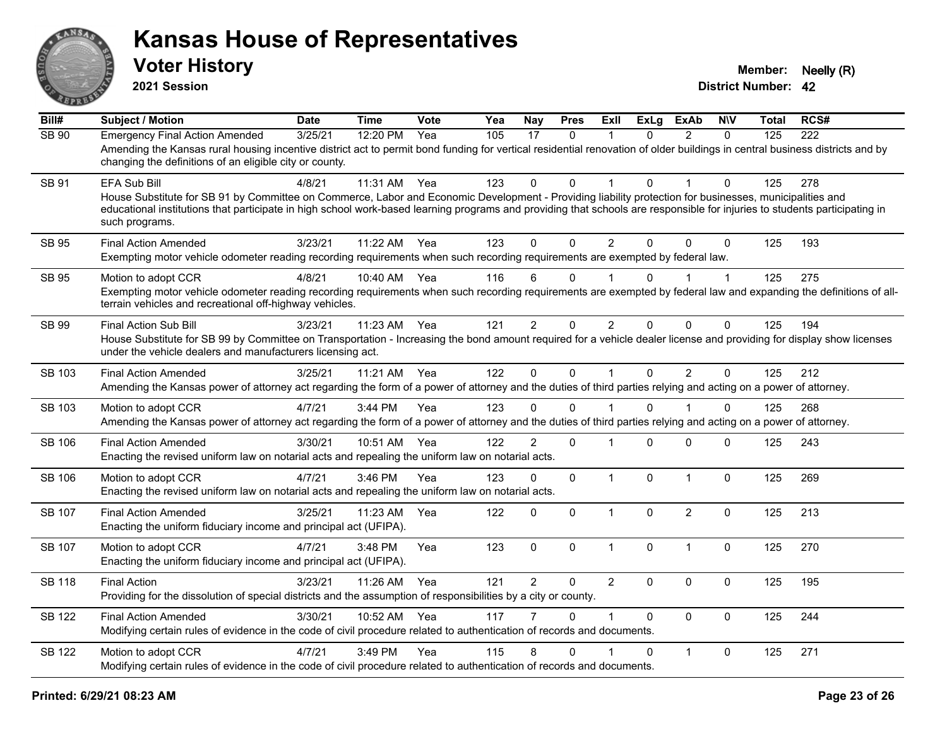

**2021 Session**

| Bill#         | <b>Subject / Motion</b>                                                                                                                                                                                                                                                                                                                                                        | <b>Date</b> | <b>Time</b> | Vote | Yea | <b>Nay</b>     | <b>Pres</b>  | <b>ExII</b>    | <b>ExLg</b>  | <b>ExAb</b>    | <b>N\V</b>   | <b>Total</b> | RCS# |
|---------------|--------------------------------------------------------------------------------------------------------------------------------------------------------------------------------------------------------------------------------------------------------------------------------------------------------------------------------------------------------------------------------|-------------|-------------|------|-----|----------------|--------------|----------------|--------------|----------------|--------------|--------------|------|
| SB 90         | <b>Emergency Final Action Amended</b><br>Amending the Kansas rural housing incentive district act to permit bond funding for vertical residential renovation of older buildings in central business districts and by<br>changing the definitions of an eligible city or county.                                                                                                | 3/25/21     | 12:20 PM    | Yea  | 105 | 17             | 0            | 1              | $\mathbf{0}$ | $\overline{2}$ | $\Omega$     | 125          | 222  |
| SB 91         | <b>EFA Sub Bill</b><br>House Substitute for SB 91 by Committee on Commerce, Labor and Economic Development - Providing liability protection for businesses, municipalities and<br>educational institutions that participate in high school work-based learning programs and providing that schools are responsible for injuries to students participating in<br>such programs. | 4/8/21      | 11:31 AM    | Yea  | 123 | $\Omega$       | $\Omega$     | 1              | $\Omega$     |                | $\Omega$     | 125          | 278  |
| <b>SB 95</b>  | <b>Final Action Amended</b><br>Exempting motor vehicle odometer reading recording requirements when such recording requirements are exempted by federal law.                                                                                                                                                                                                                   | 3/23/21     | 11:22 AM    | Yea  | 123 | $\Omega$       | $\mathbf{0}$ | $\overline{2}$ | $\Omega$     | $\Omega$       | $\mathbf{0}$ | 125          | 193  |
| SB 95         | Motion to adopt CCR<br>Exempting motor vehicle odometer reading recording requirements when such recording requirements are exempted by federal law and expanding the definitions of all-<br>terrain vehicles and recreational off-highway vehicles.                                                                                                                           | 4/8/21      | 10:40 AM    | Yea  | 116 | 6              | 0            |                | 0            |                | $\mathbf 1$  | 125          | 275  |
| SB 99         | <b>Final Action Sub Bill</b><br>House Substitute for SB 99 by Committee on Transportation - Increasing the bond amount required for a vehicle dealer license and providing for display show licenses<br>under the vehicle dealers and manufacturers licensing act.                                                                                                             | 3/23/21     | 11:23 AM    | Yea  | 121 | $\overline{2}$ | 0            | $\overline{2}$ | $\Omega$     | $\mathbf{0}$   | 0            | 125          | 194  |
| <b>SB 103</b> | <b>Final Action Amended</b><br>Amending the Kansas power of attorney act regarding the form of a power of attorney and the duties of third parties relying and acting on a power of attorney.                                                                                                                                                                                  | 3/25/21     | 11:21 AM    | Yea  | 122 | $\mathbf 0$    | $\mathbf 0$  | $\mathbf{1}$   | $\mathbf 0$  | $\overline{2}$ | $\mathbf 0$  | 125          | 212  |
| SB 103        | Motion to adopt CCR<br>Amending the Kansas power of attorney act regarding the form of a power of attorney and the duties of third parties relying and acting on a power of attorney.                                                                                                                                                                                          | 4/7/21      | 3:44 PM     | Yea  | 123 | 0              | $\Omega$     |                | 0            |                | 0            | 125          | 268  |
| <b>SB 106</b> | <b>Final Action Amended</b><br>Enacting the revised uniform law on notarial acts and repealing the uniform law on notarial acts.                                                                                                                                                                                                                                               | 3/30/21     | 10:51 AM    | Yea  | 122 | $\overline{2}$ | $\mathbf 0$  | 1              | $\Omega$     | $\mathbf 0$    | 0            | 125          | 243  |
| <b>SB 106</b> | Motion to adopt CCR<br>Enacting the revised uniform law on notarial acts and repealing the uniform law on notarial acts.                                                                                                                                                                                                                                                       | 4/7/21      | 3:46 PM     | Yea  | 123 | 0              | 0            | $\mathbf{1}$   | $\Omega$     | $\mathbf{1}$   | 0            | 125          | 269  |
| <b>SB 107</b> | <b>Final Action Amended</b><br>Enacting the uniform fiduciary income and principal act (UFIPA).                                                                                                                                                                                                                                                                                | 3/25/21     | 11:23 AM    | Yea  | 122 | $\Omega$       | $\mathbf 0$  | $\mathbf{1}$   | $\Omega$     | 2              | $\Omega$     | 125          | 213  |
| <b>SB 107</b> | Motion to adopt CCR<br>Enacting the uniform fiduciary income and principal act (UFIPA).                                                                                                                                                                                                                                                                                        | 4/7/21      | 3:48 PM     | Yea  | 123 | $\mathbf 0$    | 0            | $\mathbf{1}$   | 0            | $\mathbf{1}$   | $\mathbf 0$  | 125          | 270  |
| <b>SB 118</b> | <b>Final Action</b><br>Providing for the dissolution of special districts and the assumption of responsibilities by a city or county.                                                                                                                                                                                                                                          | 3/23/21     | 11:26 AM    | Yea  | 121 | $\overline{2}$ | $\Omega$     | $\overline{2}$ | $\Omega$     | $\mathbf{0}$   | $\mathbf 0$  | 125          | 195  |
| <b>SB 122</b> | <b>Final Action Amended</b><br>Modifying certain rules of evidence in the code of civil procedure related to authentication of records and documents.                                                                                                                                                                                                                          | 3/30/21     | 10:52 AM    | Yea  | 117 |                | $\Omega$     | $\mathbf 1$    | $\Omega$     | $\mathbf{0}$   | $\mathbf 0$  | 125          | 244  |
| <b>SB 122</b> | Motion to adopt CCR<br>Modifying certain rules of evidence in the code of civil procedure related to authentication of records and documents.                                                                                                                                                                                                                                  | 4/7/21      | 3:49 PM     | Yea  | 115 | 8              | $\Omega$     |                | $\Omega$     | $\mathbf{1}$   | $\Omega$     | 125          | 271  |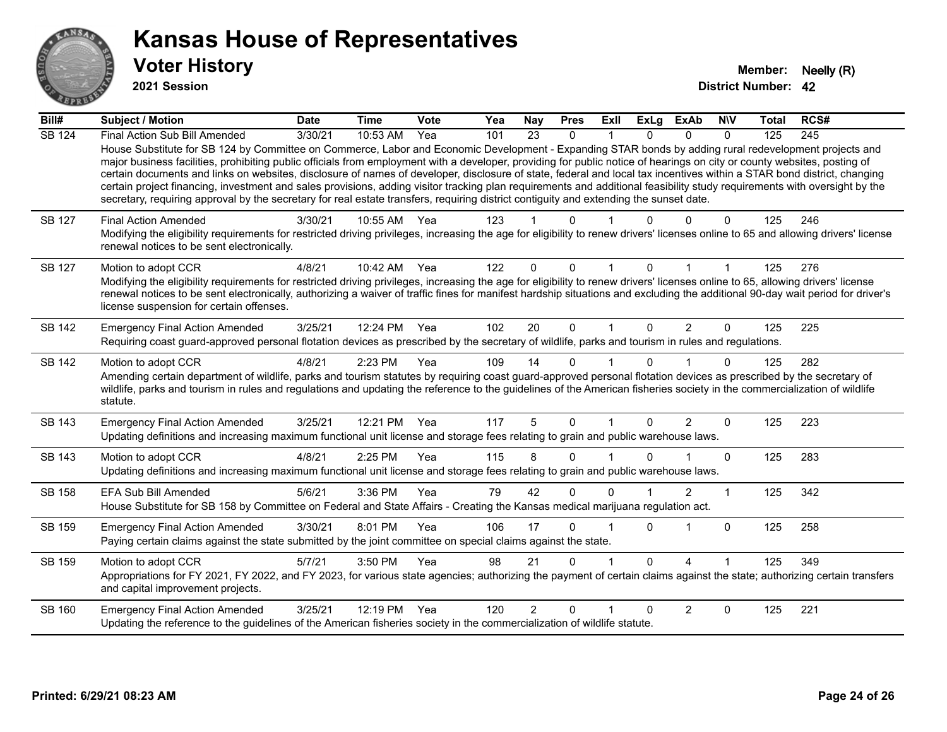

**2021 Session**

| Bill#         | Subject / Motion                                                                                                                                                                                                                                                                                                                                                                                                                                                                                                                                                                                                                                                                                                                                                                                                                                                     | <b>Date</b> | <b>Time</b> | <b>Vote</b> | Yea | <b>Nay</b>      | <b>Pres</b>  | <b>ExII</b> | <b>ExLg</b> | <b>ExAb</b>    | <b>NIV</b>  | Total | RCS# |
|---------------|----------------------------------------------------------------------------------------------------------------------------------------------------------------------------------------------------------------------------------------------------------------------------------------------------------------------------------------------------------------------------------------------------------------------------------------------------------------------------------------------------------------------------------------------------------------------------------------------------------------------------------------------------------------------------------------------------------------------------------------------------------------------------------------------------------------------------------------------------------------------|-------------|-------------|-------------|-----|-----------------|--------------|-------------|-------------|----------------|-------------|-------|------|
| <b>SB 124</b> | Final Action Sub Bill Amended<br>House Substitute for SB 124 by Committee on Commerce, Labor and Economic Development - Expanding STAR bonds by adding rural redevelopment projects and<br>major business facilities, prohibiting public officials from employment with a developer, providing for public notice of hearings on city or county websites, posting of<br>certain documents and links on websites, disclosure of names of developer, disclosure of state, federal and local tax incentives within a STAR bond district, changing<br>certain project financing, investment and sales provisions, adding visitor tracking plan requirements and additional feasibility study requirements with oversight by the<br>secretary, requiring approval by the secretary for real estate transfers, requiring district contiguity and extending the sunset date. | 3/30/21     | 10:53 AM    | Yea         | 101 | $\overline{23}$ | $\mathbf{0}$ |             | $\Omega$    | $\Omega$       | $\Omega$    | 125   | 245  |
| SB 127        | <b>Final Action Amended</b><br>Modifying the eligibility requirements for restricted driving privileges, increasing the age for eligibility to renew drivers' licenses online to 65 and allowing drivers' license<br>renewal notices to be sent electronically.                                                                                                                                                                                                                                                                                                                                                                                                                                                                                                                                                                                                      | 3/30/21     | 10:55 AM    | Yea         | 123 |                 | ሰ            |             |             | U              | 0           | 125   | 246  |
| <b>SB 127</b> | Motion to adopt CCR<br>Modifying the eligibility requirements for restricted driving privileges, increasing the age for eligibility to renew drivers' licenses online to 65, allowing drivers' license<br>renewal notices to be sent electronically, authorizing a waiver of traffic fines for manifest hardship situations and excluding the additional 90-day wait period for driver's<br>license suspension for certain offenses.                                                                                                                                                                                                                                                                                                                                                                                                                                 | 4/8/21      | 10:42 AM    | Yea         | 122 | $\Omega$        | $\Omega$     |             | 0           |                | 1           | 125   | 276  |
| <b>SB 142</b> | <b>Emergency Final Action Amended</b><br>Requiring coast guard-approved personal flotation devices as prescribed by the secretary of wildlife, parks and tourism in rules and regulations.                                                                                                                                                                                                                                                                                                                                                                                                                                                                                                                                                                                                                                                                           | 3/25/21     | 12:24 PM    | Yea         | 102 | 20              | $\mathbf 0$  | $\mathbf 1$ | $\Omega$    | $\overline{2}$ | $\mathbf 0$ | 125   | 225  |
| <b>SB 142</b> | Motion to adopt CCR<br>Amending certain department of wildlife, parks and tourism statutes by requiring coast guard-approved personal flotation devices as prescribed by the secretary of<br>wildlife, parks and tourism in rules and regulations and updating the reference to the guidelines of the American fisheries society in the commercialization of wildlife<br>statute.                                                                                                                                                                                                                                                                                                                                                                                                                                                                                    | 4/8/21      | 2:23 PM     | Yea         | 109 | 14              | $\Omega$     |             | 0           |                | $\Omega$    | 125   | 282  |
| SB 143        | <b>Emergency Final Action Amended</b><br>Updating definitions and increasing maximum functional unit license and storage fees relating to grain and public warehouse laws.                                                                                                                                                                                                                                                                                                                                                                                                                                                                                                                                                                                                                                                                                           | 3/25/21     | 12:21 PM    | Yea         | 117 | 5               | 0            |             | $\Omega$    | 2              | 0           | 125   | 223  |
| <b>SB 143</b> | Motion to adopt CCR<br>Updating definitions and increasing maximum functional unit license and storage fees relating to grain and public warehouse laws.                                                                                                                                                                                                                                                                                                                                                                                                                                                                                                                                                                                                                                                                                                             | 4/8/21      | $2:25$ PM   | Yea         | 115 | 8               | 0            |             | 0           |                | 0           | 125   | 283  |
| <b>SB 158</b> | <b>EFA Sub Bill Amended</b><br>House Substitute for SB 158 by Committee on Federal and State Affairs - Creating the Kansas medical marijuana regulation act.                                                                                                                                                                                                                                                                                                                                                                                                                                                                                                                                                                                                                                                                                                         | 5/6/21      | 3:36 PM     | Yea         | 79  | 42              | 0            | 0           |             | 2              | 1           | 125   | 342  |
| SB 159        | <b>Emergency Final Action Amended</b><br>Paying certain claims against the state submitted by the joint committee on special claims against the state.                                                                                                                                                                                                                                                                                                                                                                                                                                                                                                                                                                                                                                                                                                               | 3/30/21     | 8:01 PM     | Yea         | 106 | 17              | 0            |             | $\Omega$    | 1              | 0           | 125   | 258  |
| SB 159        | Motion to adopt CCR<br>Appropriations for FY 2021, FY 2022, and FY 2023, for various state agencies; authorizing the payment of certain claims against the state; authorizing certain transfers<br>and capital improvement projects.                                                                                                                                                                                                                                                                                                                                                                                                                                                                                                                                                                                                                                 | 5/7/21      | 3:50 PM     | Yea         | 98  | 21              | 0            |             | $\Omega$    | 4              | 1           | 125   | 349  |
| SB 160        | <b>Emergency Final Action Amended</b><br>Updating the reference to the guidelines of the American fisheries society in the commercialization of wildlife statute.                                                                                                                                                                                                                                                                                                                                                                                                                                                                                                                                                                                                                                                                                                    | 3/25/21     | 12:19 PM    | Yea         | 120 | 2               | $\Omega$     |             | $\Omega$    | 2              | 0           | 125   | 221  |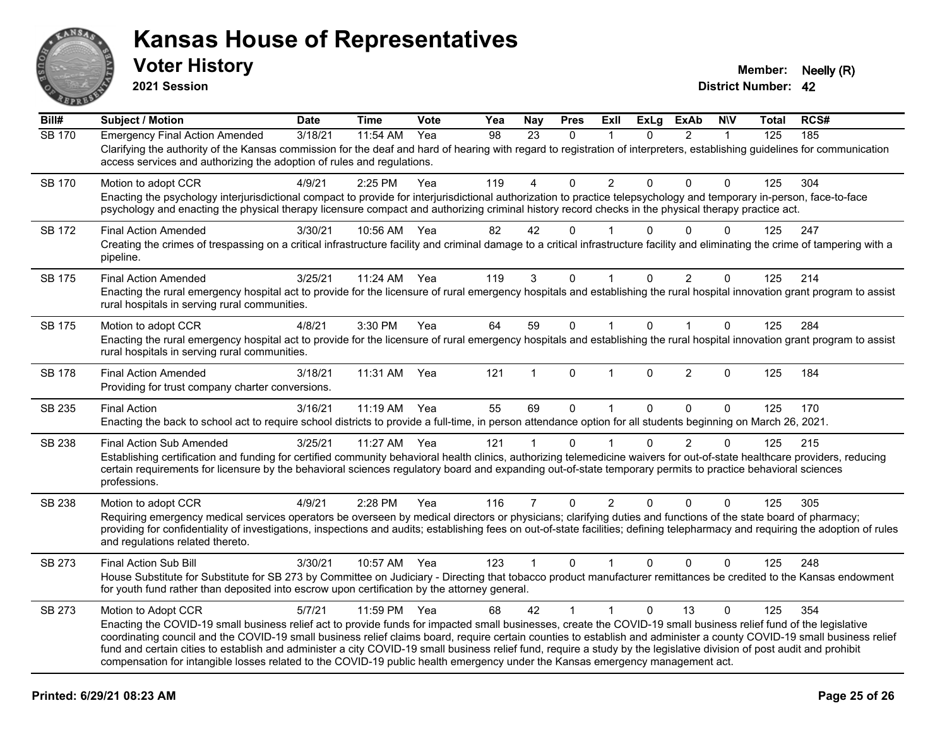

**2021 Session**

| Bill#         | <b>Subject / Motion</b>                                                                                                                                                                                                                                                                                                                                                                                                                                                                                                                                                                                                                                                       | <b>Date</b> | <b>Time</b>  | <b>Vote</b> | Yea | <b>Nay</b>     | <b>Pres</b>  | ExII                 | <b>ExLg</b>  | <b>ExAb</b>    | <b>NIV</b>   | <b>Total</b> | RCS# |
|---------------|-------------------------------------------------------------------------------------------------------------------------------------------------------------------------------------------------------------------------------------------------------------------------------------------------------------------------------------------------------------------------------------------------------------------------------------------------------------------------------------------------------------------------------------------------------------------------------------------------------------------------------------------------------------------------------|-------------|--------------|-------------|-----|----------------|--------------|----------------------|--------------|----------------|--------------|--------------|------|
| <b>SB 170</b> | <b>Emergency Final Action Amended</b><br>Clarifying the authority of the Kansas commission for the deaf and hard of hearing with regard to registration of interpreters, establishing guidelines for communication<br>access services and authorizing the adoption of rules and regulations.                                                                                                                                                                                                                                                                                                                                                                                  | 3/18/21     | 11:54 AM     | Yea         | 98  | 23             | $\Omega$     | 1                    | $\Omega$     | $\overline{2}$ | $\mathbf{1}$ | 125          | 185  |
| SB 170        | Motion to adopt CCR<br>Enacting the psychology interjurisdictional compact to provide for interjurisdictional authorization to practice telepsychology and temporary in-person, face-to-face<br>psychology and enacting the physical therapy licensure compact and authorizing criminal history record checks in the physical therapy practice act.                                                                                                                                                                                                                                                                                                                           | 4/9/21      | 2:25 PM      | Yea         | 119 | 4              | $\Omega$     | $\overline{2}$       | $\mathbf{0}$ | $\Omega$       | $\mathbf{0}$ | 125          | 304  |
| <b>SB 172</b> | <b>Final Action Amended</b><br>Creating the crimes of trespassing on a critical infrastructure facility and criminal damage to a critical infrastructure facility and eliminating the crime of tampering with a<br>pipeline.                                                                                                                                                                                                                                                                                                                                                                                                                                                  | 3/30/21     | 10:56 AM     | Yea         | 82  | 42             | $\Omega$     |                      | $\Omega$     | $\Omega$       | $\Omega$     | 125          | 247  |
| SB 175        | <b>Final Action Amended</b><br>Enacting the rural emergency hospital act to provide for the licensure of rural emergency hospitals and establishing the rural hospital innovation grant program to assist<br>rural hospitals in serving rural communities.                                                                                                                                                                                                                                                                                                                                                                                                                    | 3/25/21     | 11:24 AM     | Yea         | 119 | 3              | 0            | $\blacktriangleleft$ | 0            | $\overline{2}$ | $\mathbf 0$  | 125          | 214  |
| <b>SB 175</b> | Motion to adopt CCR<br>Enacting the rural emergency hospital act to provide for the licensure of rural emergency hospitals and establishing the rural hospital innovation grant program to assist<br>rural hospitals in serving rural communities.                                                                                                                                                                                                                                                                                                                                                                                                                            | 4/8/21      | 3:30 PM      | Yea         | 64  | 59             | $\mathbf 0$  | $\mathbf{1}$         | $\mathbf 0$  | $\mathbf{1}$   | $\mathbf 0$  | 125          | 284  |
| SB 178        | <b>Final Action Amended</b><br>Providing for trust company charter conversions.                                                                                                                                                                                                                                                                                                                                                                                                                                                                                                                                                                                               | 3/18/21     | 11:31 AM     | Yea         | 121 | 1              | $\mathbf{0}$ | $\mathbf 1$          | $\Omega$     | $\overline{2}$ | $\Omega$     | 125          | 184  |
| SB 235        | <b>Final Action</b><br>Enacting the back to school act to require school districts to provide a full-time, in person attendance option for all students beginning on March 26, 2021.                                                                                                                                                                                                                                                                                                                                                                                                                                                                                          | 3/16/21     | $11:19$ AM   | Yea         | 55  | 69             | $\Omega$     | $\mathbf{1}$         | $\Omega$     | $\Omega$       | $\Omega$     | 125          | 170  |
| SB 238        | <b>Final Action Sub Amended</b><br>Establishing certification and funding for certified community behavioral health clinics, authorizing telemedicine waivers for out-of-state healthcare providers, reducing<br>certain requirements for licensure by the behavioral sciences regulatory board and expanding out-of-state temporary permits to practice behavioral sciences<br>professions.                                                                                                                                                                                                                                                                                  | 3/25/21     | 11:27 AM     | Yea         | 121 |                | $\Omega$     |                      | 0            | $\overline{2}$ | 0            | 125          | 215  |
| <b>SB 238</b> | Motion to adopt CCR<br>Requiring emergency medical services operators be overseen by medical directors or physicians; clarifying duties and functions of the state board of pharmacy;<br>providing for confidentiality of investigations, inspections and audits; establishing fees on out-of-state facilities; defining telepharmacy and requiring the adoption of rules<br>and regulations related thereto.                                                                                                                                                                                                                                                                 | 4/9/21      | 2:28 PM      | Yea         | 116 | $\overline{7}$ | $\Omega$     | $\overline{2}$       | $\Omega$     | 0              | $\Omega$     | 125          | 305  |
| SB 273        | <b>Final Action Sub Bill</b><br>House Substitute for Substitute for SB 273 by Committee on Judiciary - Directing that tobacco product manufacturer remittances be credited to the Kansas endowment<br>for youth fund rather than deposited into escrow upon certification by the attorney general.                                                                                                                                                                                                                                                                                                                                                                            | 3/30/21     | 10:57 AM Yea |             | 123 | $\mathbf{1}$   | $\mathbf{0}$ | 1                    | $\mathbf{0}$ | 0              | $\Omega$     | 125          | 248  |
| SB 273        | Motion to Adopt CCR<br>Enacting the COVID-19 small business relief act to provide funds for impacted small businesses, create the COVID-19 small business relief fund of the legislative<br>coordinating council and the COVID-19 small business relief claims board, require certain counties to establish and administer a county COVID-19 small business relief<br>fund and certain cities to establish and administer a city COVID-19 small business relief fund, require a study by the legislative division of post audit and prohibit<br>compensation for intangible losses related to the COVID-19 public health emergency under the Kansas emergency management act. | 5/7/21      | 11:59 PM     | Yea         | 68  | 42             | $\mathbf{1}$ | $\mathbf{1}$         | $\Omega$     | 13             | $\Omega$     | 125          | 354  |